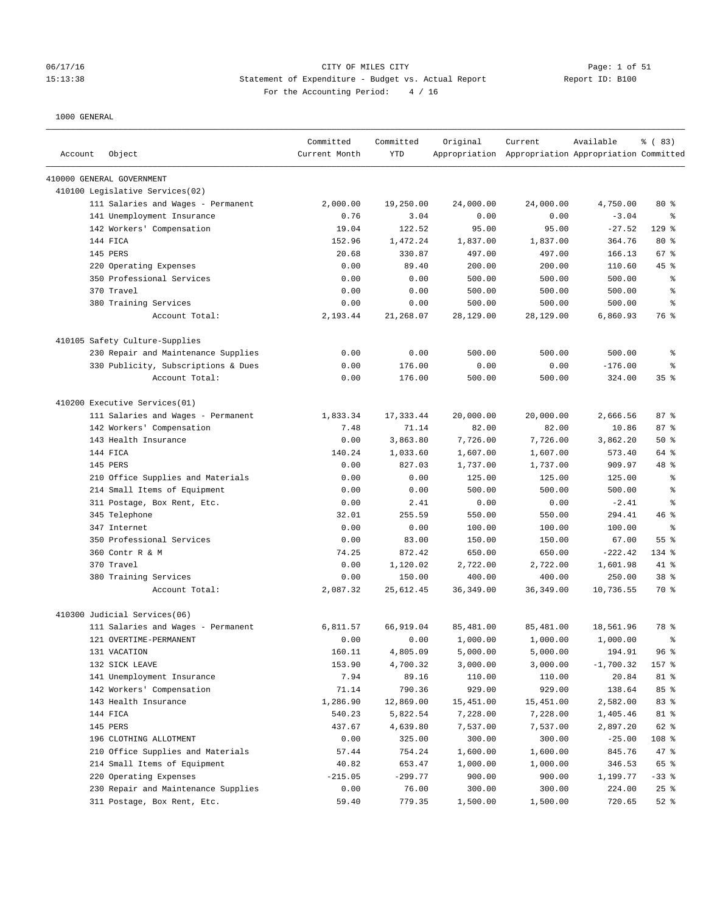#### 06/17/16 CITY OF MILES CITY Page: 1 of 51 15:13:38 Statement of Expenditure - Budget vs. Actual Report Report ID: B100 For the Accounting Period: 4 / 16

| Account | Object                              | Committed<br>Current Month | Committed<br><b>YTD</b> | Original   | Current<br>Appropriation Appropriation Appropriation Committed | Available   | % (83)          |
|---------|-------------------------------------|----------------------------|-------------------------|------------|----------------------------------------------------------------|-------------|-----------------|
|         | 410000 GENERAL GOVERNMENT           |                            |                         |            |                                                                |             |                 |
|         | 410100 Legislative Services(02)     |                            |                         |            |                                                                |             |                 |
|         | 111 Salaries and Wages - Permanent  | 2,000.00                   | 19,250.00               | 24,000.00  | 24,000.00                                                      | 4,750.00    | 80 %            |
|         | 141 Unemployment Insurance          | 0.76                       | 3.04                    | 0.00       | 0.00                                                           | $-3.04$     | ి               |
|         | 142 Workers' Compensation           | 19.04                      | 122.52                  | 95.00      | 95.00                                                          | $-27.52$    | $129$ %         |
|         | 144 FICA                            | 152.96                     | 1,472.24                | 1,837.00   | 1,837.00                                                       | 364.76      | 80 %            |
|         | 145 PERS                            | 20.68                      | 330.87                  | 497.00     | 497.00                                                         | 166.13      | 67%             |
|         | 220 Operating Expenses              | 0.00                       | 89.40                   | 200.00     | 200.00                                                         | 110.60      | 45 %            |
|         | 350 Professional Services           | 0.00                       | 0.00                    | 500.00     | 500.00                                                         | 500.00      | ್ಠಿ             |
|         | 370 Travel                          | 0.00                       | 0.00                    | 500.00     | 500.00                                                         | 500.00      | ್ಠಿ             |
|         | 380 Training Services               | 0.00                       | 0.00                    | 500.00     | 500.00                                                         | 500.00      | ి               |
|         | Account Total:                      | 2,193.44                   | 21,268.07               | 28,129.00  | 28,129.00                                                      | 6,860.93    | 76 %            |
|         | 410105 Safety Culture-Supplies      |                            |                         |            |                                                                |             |                 |
|         | 230 Repair and Maintenance Supplies | 0.00                       | 0.00                    | 500.00     | 500.00                                                         | 500.00      | ್ಠಿ             |
|         | 330 Publicity, Subscriptions & Dues | 0.00                       | 176.00                  | 0.00       | 0.00                                                           | $-176.00$   | ి               |
|         | Account Total:                      | 0.00                       | 176.00                  | 500.00     | 500.00                                                         | 324.00      | 35%             |
|         | 410200 Executive Services(01)       |                            |                         |            |                                                                |             |                 |
|         | 111 Salaries and Wages - Permanent  | 1,833.34                   | 17,333.44               | 20,000.00  | 20,000.00                                                      | 2,666.56    | 87%             |
|         | 142 Workers' Compensation           | 7.48                       | 71.14                   | 82.00      | 82.00                                                          | 10.86       | 87%             |
|         | 143 Health Insurance                | 0.00                       | 3,863.80                | 7,726.00   | 7,726.00                                                       | 3,862.20    | 50%             |
|         | 144 FICA                            | 140.24                     | 1,033.60                | 1,607.00   | 1,607.00                                                       | 573.40      | 64 %            |
|         | 145 PERS                            | 0.00                       | 827.03                  | 1,737.00   | 1,737.00                                                       | 909.97      | 48 %            |
|         | 210 Office Supplies and Materials   | 0.00                       | 0.00                    | 125.00     | 125.00                                                         | 125.00      | ್ಠಿ             |
|         | 214 Small Items of Equipment        | 0.00                       | 0.00                    | 500.00     | 500.00                                                         | 500.00      | る               |
|         | 311 Postage, Box Rent, Etc.         | 0.00                       | 2.41                    | 0.00       | 0.00                                                           | $-2.41$     | る               |
|         | 345 Telephone                       | 32.01                      | 255.59                  | 550.00     | 550.00                                                         | 294.41      | 46 %            |
|         | 347 Internet                        | 0.00                       | 0.00                    | 100.00     | 100.00                                                         | 100.00      | ್ಠಿ             |
|         | 350 Professional Services           | 0.00                       | 83.00                   | 150.00     | 150.00                                                         | 67.00       | 55%             |
|         | 360 Contr R & M                     | 74.25                      | 872.42                  | 650.00     | 650.00                                                         | $-222.42$   | 134 %           |
|         | 370 Travel                          | 0.00                       | 1,120.02                | 2,722.00   | 2,722.00                                                       | 1,601.98    | 41 %            |
|         | 380 Training Services               | 0.00                       | 150.00                  | 400.00     | 400.00                                                         | 250.00      | 38 <sup>8</sup> |
|         | Account Total:                      | 2,087.32                   | 25,612.45               | 36, 349.00 | 36, 349.00                                                     | 10,736.55   | 70 %            |
|         | 410300 Judicial Services(06)        |                            |                         |            |                                                                |             |                 |
|         | 111 Salaries and Wages - Permanent  | 6,811.57                   | 66,919.04               | 85,481.00  | 85,481.00                                                      | 18,561.96   | 78 %            |
|         | 121 OVERTIME-PERMANENT              | 0.00                       | 0.00                    | 1,000.00   | 1,000.00                                                       | 1,000.00    | る               |
|         | 131 VACATION                        | 160.11                     | 4,805.09                | 5,000.00   | 5,000.00                                                       | 194.91      | 96%             |
|         | 132 SICK LEAVE                      | 153.90                     | 4,700.32                | 3,000.00   | 3,000.00                                                       | $-1,700.32$ | 157 %           |
|         | 141 Unemployment Insurance          | 7.94                       | 89.16                   | 110.00     | 110.00                                                         | 20.84       | 81 %            |
|         | 142 Workers' Compensation           | 71.14                      | 790.36                  | 929.00     | 929.00                                                         | 138.64      | 85 %            |
|         | 143 Health Insurance                | 1,286.90                   | 12,869.00               | 15,451.00  | 15,451.00                                                      | 2,582.00    | 83 %            |
|         | 144 FICA                            | 540.23                     | 5,822.54                | 7,228.00   | 7,228.00                                                       | 1,405.46    | 81 %            |
|         | 145 PERS                            | 437.67                     | 4,639.80                | 7,537.00   | 7,537.00                                                       | 2,897.20    | 62 %            |
|         | 196 CLOTHING ALLOTMENT              | 0.00                       | 325.00                  | 300.00     | 300.00                                                         | $-25.00$    | 108 %           |
|         | 210 Office Supplies and Materials   | 57.44                      | 754.24                  | 1,600.00   | 1,600.00                                                       | 845.76      | 47 %            |
|         | 214 Small Items of Equipment        | 40.82                      | 653.47                  | 1,000.00   | 1,000.00                                                       | 346.53      | 65 %            |
|         | 220 Operating Expenses              | $-215.05$                  | $-299.77$               | 900.00     | 900.00                                                         | 1,199.77    | $-33$ %         |
|         | 230 Repair and Maintenance Supplies | 0.00                       | 76.00                   | 300.00     | 300.00                                                         | 224.00      | $25$ %          |
|         | 311 Postage, Box Rent, Etc.         | 59.40                      | 779.35                  | 1,500.00   | 1,500.00                                                       | 720.65      | $52$ $%$        |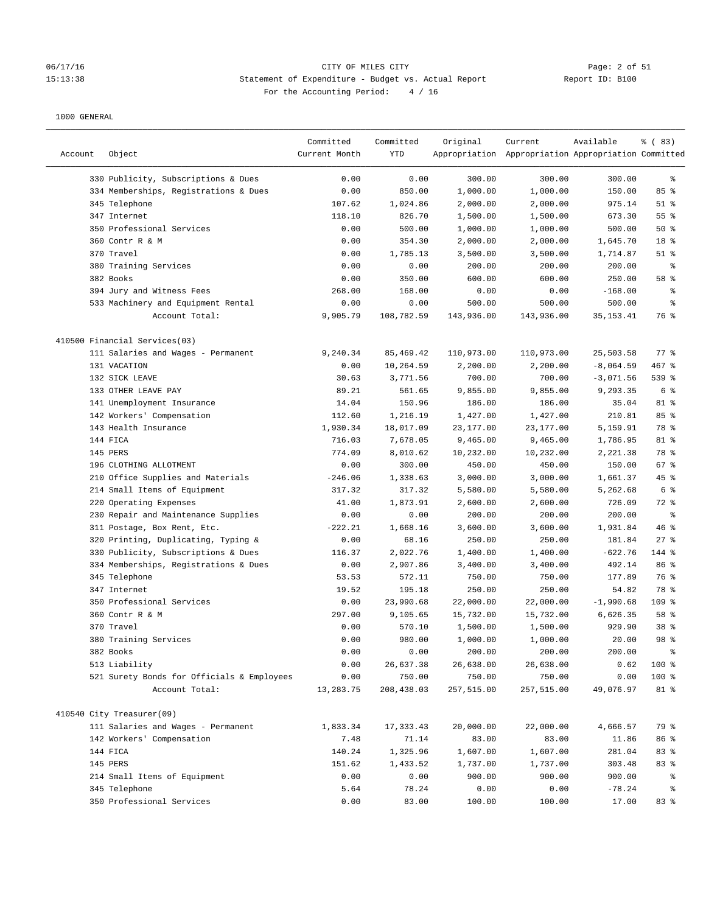# 06/17/16 CITY OF MILES CITY Page: 2 of 51 15:13:38 Statement of Expenditure - Budget vs. Actual Report Report ID: B100 For the Accounting Period: 4 / 16

| Account | Object                                     | Committed<br>Current Month | Committed<br>YTD | Original   | Current<br>Appropriation Appropriation Appropriation Committed | Available   | % (83)          |
|---------|--------------------------------------------|----------------------------|------------------|------------|----------------------------------------------------------------|-------------|-----------------|
|         | 330 Publicity, Subscriptions & Dues        | 0.00                       | 0.00             | 300.00     | 300.00                                                         | 300.00      | ್ಠಿ             |
|         | 334 Memberships, Registrations & Dues      | 0.00                       | 850.00           | 1,000.00   | 1,000.00                                                       | 150.00      | 85%             |
|         | 345 Telephone                              | 107.62                     | 1,024.86         | 2,000.00   | 2,000.00                                                       | 975.14      | $51$ %          |
|         | 347 Internet                               | 118.10                     | 826.70           | 1,500.00   | 1,500.00                                                       | 673.30      | 55 %            |
|         | 350 Professional Services                  | 0.00                       | 500.00           | 1,000.00   | 1,000.00                                                       | 500.00      | 50%             |
|         | 360 Contr R & M                            | 0.00                       | 354.30           | 2,000.00   | 2,000.00                                                       | 1,645.70    | 18 %            |
|         | 370 Travel                                 | 0.00                       | 1,785.13         | 3,500.00   | 3,500.00                                                       | 1,714.87    | $51$ %          |
|         | 380 Training Services                      | 0.00                       | 0.00             | 200.00     | 200.00                                                         | 200.00      | နွ              |
|         | 382 Books                                  | 0.00                       | 350.00           | 600.00     | 600.00                                                         | 250.00      | 58 %            |
|         | 394 Jury and Witness Fees                  | 268.00                     | 168.00           | 0.00       | 0.00                                                           | $-168.00$   | န့              |
|         | 533 Machinery and Equipment Rental         | 0.00                       | 0.00             | 500.00     | 500.00                                                         | 500.00      | န္              |
|         | Account Total:                             | 9,905.79                   | 108,782.59       | 143,936.00 | 143,936.00                                                     | 35, 153. 41 | 76 %            |
|         | 410500 Financial Services(03)              |                            |                  |            |                                                                |             |                 |
|         | 111 Salaries and Wages - Permanent         | 9,240.34                   | 85,469.42        | 110,973.00 | 110,973.00                                                     | 25,503.58   | 77 %            |
|         | 131 VACATION                               | 0.00                       | 10,264.59        | 2,200.00   | 2,200.00                                                       | $-8,064.59$ | 467 %           |
|         | 132 SICK LEAVE                             | 30.63                      | 3,771.56         | 700.00     | 700.00                                                         | $-3,071.56$ | 539 %           |
|         | 133 OTHER LEAVE PAY                        | 89.21                      | 561.65           | 9,855.00   | 9,855.00                                                       | 9,293.35    | 6%              |
|         | 141 Unemployment Insurance                 | 14.04                      | 150.96           | 186.00     | 186.00                                                         | 35.04       | 81 %            |
|         | 142 Workers' Compensation                  | 112.60                     | 1,216.19         | 1,427.00   | 1,427.00                                                       | 210.81      | 85%             |
|         | 143 Health Insurance                       | 1,930.34                   | 18,017.09        | 23,177.00  | 23,177.00                                                      | 5,159.91    | 78 %            |
|         | 144 FICA                                   | 716.03                     | 7,678.05         | 9,465.00   | 9,465.00                                                       | 1,786.95    | 81 %            |
|         | 145 PERS                                   | 774.09                     | 8,010.62         | 10,232.00  | 10,232.00                                                      | 2,221.38    | 78 %            |
|         | 196 CLOTHING ALLOTMENT                     | 0.00                       | 300.00           | 450.00     | 450.00                                                         | 150.00      | 67 %            |
|         | 210 Office Supplies and Materials          | $-246.06$                  | 1,338.63         | 3,000.00   | 3,000.00                                                       | 1,661.37    | 45 %            |
|         | 214 Small Items of Equipment               | 317.32                     | 317.32           | 5,580.00   | 5,580.00                                                       | 5,262.68    | 6%              |
|         | 220 Operating Expenses                     | 41.00                      | 1,873.91         | 2,600.00   | 2,600.00                                                       | 726.09      | 72 %            |
|         | 230 Repair and Maintenance Supplies        | 0.00                       | 0.00             | 200.00     | 200.00                                                         | 200.00      | နွ              |
|         | 311 Postage, Box Rent, Etc.                | $-222.21$                  | 1,668.16         | 3,600.00   | 3,600.00                                                       | 1,931.84    | 46%             |
|         | 320 Printing, Duplicating, Typing &        | 0.00                       | 68.16            | 250.00     | 250.00                                                         | 181.84      | $27$ %          |
|         | 330 Publicity, Subscriptions & Dues        | 116.37                     | 2,022.76         | 1,400.00   | 1,400.00                                                       | $-622.76$   | 144 %           |
|         | 334 Memberships, Registrations & Dues      | 0.00                       | 2,907.86         | 3,400.00   | 3,400.00                                                       | 492.14      | 86 %            |
|         | 345 Telephone                              | 53.53                      | 572.11           | 750.00     | 750.00                                                         | 177.89      | 76 %            |
|         | 347 Internet                               | 19.52                      | 195.18           | 250.00     | 250.00                                                         | 54.82       | 78 %            |
|         | 350 Professional Services                  | 0.00                       | 23,990.68        | 22,000.00  | 22,000.00                                                      | $-1,990.68$ | 109 %           |
|         | 360 Contr R & M                            | 297.00                     | 9,105.65         | 15,732.00  | 15,732.00                                                      | 6,626.35    | 58 %            |
|         | 370 Travel                                 | 0.00                       | 570.10           | 1,500.00   | 1,500.00                                                       | 929.90      | 38 %            |
|         | 380 Training Services                      | 0.00                       | 980.00           | 1,000.00   | 1,000.00                                                       | 20.00       | 98 <sup>8</sup> |
|         | 382 Books                                  | 0.00                       | 0.00             | 200.00     | 200.00                                                         | 200.00      | ್ಠಿ             |
|         | 513 Liability                              | 0.00                       | 26,637.38        | 26,638.00  | 26,638.00                                                      | 0.62        | 100 %           |
|         | 521 Surety Bonds for Officials & Employees | 0.00                       | 750.00           | 750.00     | 750.00                                                         | 0.00        | 100 %           |
|         | Account Total:                             | 13,283.75                  | 208,438.03       | 257,515.00 | 257,515.00                                                     | 49,076.97   | 81 %            |
|         | 410540 City Treasurer(09)                  |                            |                  |            |                                                                |             |                 |
|         | 111 Salaries and Wages - Permanent         | 1,833.34                   | 17,333.43        | 20,000.00  | 22,000.00                                                      | 4,666.57    | 79 %            |
|         | 142 Workers' Compensation                  | 7.48                       | 71.14            | 83.00      | 83.00                                                          | 11.86       | 86 %            |
|         | 144 FICA                                   | 140.24                     | 1,325.96         | 1,607.00   | 1,607.00                                                       | 281.04      | 83%             |
|         | 145 PERS                                   | 151.62                     | 1,433.52         | 1,737.00   | 1,737.00                                                       | 303.48      | 83 %            |
|         | 214 Small Items of Equipment               | 0.00                       | 0.00             | 900.00     | 900.00                                                         | 900.00      | နွ              |
|         | 345 Telephone                              | 5.64                       | 78.24            | 0.00       | 0.00                                                           | $-78.24$    | နွ              |
|         | 350 Professional Services                  | 0.00                       | 83.00            | 100.00     | 100.00                                                         | 17.00       | 83 %            |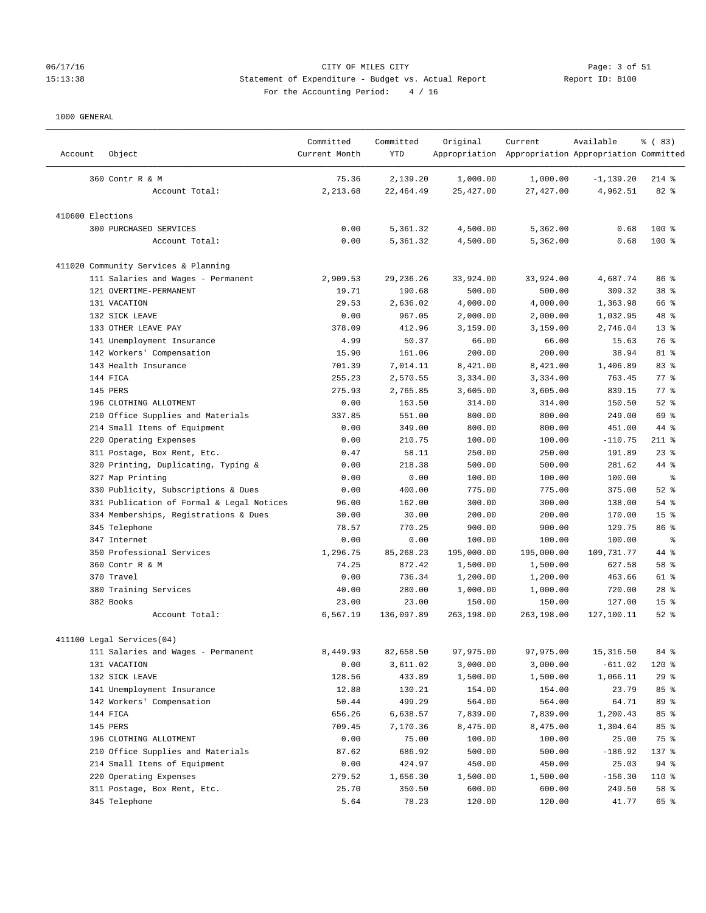# 06/17/16 CITY OF MILES CITY Page: 3 of 51 15:13:38 Statement of Expenditure - Budget vs. Actual Report Changer Report ID: B100 For the Accounting Period: 4 / 16

| Account          | Object                                    | Committed<br>Current Month | Committed<br><b>YTD</b> | Original   | Current<br>Appropriation Appropriation Appropriation Committed | Available    | % (83)          |
|------------------|-------------------------------------------|----------------------------|-------------------------|------------|----------------------------------------------------------------|--------------|-----------------|
|                  | 360 Contr R & M                           | 75.36                      | 2,139.20                | 1,000.00   | 1,000.00                                                       | $-1, 139.20$ | $214$ %         |
|                  | Account Total:                            | 2,213.68                   | 22, 464.49              | 25, 427.00 | 27,427.00                                                      | 4,962.51     | $82*$           |
| 410600 Elections |                                           |                            |                         |            |                                                                |              |                 |
|                  | 300 PURCHASED SERVICES                    | 0.00                       | 5,361.32                | 4,500.00   | 5,362.00                                                       | 0.68         | 100 %           |
|                  | Account Total:                            | 0.00                       | 5,361.32                | 4,500.00   | 5,362.00                                                       | 0.68         | 100 %           |
|                  | 411020 Community Services & Planning      |                            |                         |            |                                                                |              |                 |
|                  | 111 Salaries and Wages - Permanent        | 2,909.53                   | 29, 236. 26             | 33,924.00  | 33,924.00                                                      | 4,687.74     | 86 %            |
|                  | 121 OVERTIME-PERMANENT                    | 19.71                      | 190.68                  | 500.00     | 500.00                                                         | 309.32       | 38 %            |
|                  | 131 VACATION                              | 29.53                      | 2,636.02                | 4,000.00   | 4,000.00                                                       | 1,363.98     | 66 %            |
|                  | 132 SICK LEAVE                            | 0.00                       | 967.05                  | 2,000.00   | 2,000.00                                                       | 1,032.95     | 48 %            |
|                  | 133 OTHER LEAVE PAY                       | 378.09                     | 412.96                  | 3,159.00   | 3,159.00                                                       | 2,746.04     | $13*$           |
|                  | 141 Unemployment Insurance                | 4.99                       | 50.37                   | 66.00      | 66.00                                                          | 15.63        | 76 %            |
|                  | 142 Workers' Compensation                 | 15.90                      | 161.06                  | 200.00     | 200.00                                                         | 38.94        | 81 %            |
|                  | 143 Health Insurance                      | 701.39                     | 7,014.11                | 8,421.00   | 8,421.00                                                       | 1,406.89     | 83 %            |
|                  | 144 FICA                                  | 255.23                     |                         |            |                                                                |              | 77.8            |
|                  |                                           |                            | 2,570.55                | 3,334.00   | 3,334.00                                                       | 763.45       |                 |
|                  | 145 PERS                                  | 275.93                     | 2,765.85                | 3,605.00   | 3,605.00                                                       | 839.15       | 77.8            |
|                  | 196 CLOTHING ALLOTMENT                    | 0.00                       | 163.50                  | 314.00     | 314.00                                                         | 150.50       | $52$ $%$        |
|                  | 210 Office Supplies and Materials         | 337.85                     | 551.00                  | 800.00     | 800.00                                                         | 249.00       | 69 %            |
|                  | 214 Small Items of Equipment              | 0.00                       | 349.00                  | 800.00     | 800.00                                                         | 451.00       | 44 %            |
|                  | 220 Operating Expenses                    | 0.00                       | 210.75                  | 100.00     | 100.00                                                         | $-110.75$    | $211$ %         |
|                  | 311 Postage, Box Rent, Etc.               | 0.47                       | 58.11                   | 250.00     | 250.00                                                         | 191.89       | $23$ %          |
|                  | 320 Printing, Duplicating, Typing &       | 0.00                       | 218.38                  | 500.00     | 500.00                                                         | 281.62       | 44 %            |
|                  | 327 Map Printing                          | 0.00                       | 0.00                    | 100.00     | 100.00                                                         | 100.00       | နွ              |
|                  | 330 Publicity, Subscriptions & Dues       | 0.00                       | 400.00                  | 775.00     | 775.00                                                         | 375.00       | $52$ $%$        |
|                  | 331 Publication of Formal & Legal Notices | 96.00                      | 162.00                  | 300.00     | 300.00                                                         | 138.00       | $54$ %          |
|                  | 334 Memberships, Registrations & Dues     | 30.00                      | 30.00                   | 200.00     | 200.00                                                         | 170.00       | 15 <sup>°</sup> |
|                  | 345 Telephone                             | 78.57                      | 770.25                  | 900.00     | 900.00                                                         | 129.75       | 86 %            |
|                  | 347 Internet                              | 0.00                       | 0.00                    | 100.00     | 100.00                                                         | 100.00       | နွ              |
|                  | 350 Professional Services                 | 1,296.75                   | 85, 268. 23             | 195,000.00 | 195,000.00                                                     | 109,731.77   | 44 %            |
|                  | 360 Contr R & M                           | 74.25                      | 872.42                  | 1,500.00   | 1,500.00                                                       | 627.58       | 58 %            |
|                  | 370 Travel                                | 0.00                       | 736.34                  | 1,200.00   | 1,200.00                                                       | 463.66       | 61 %            |
|                  | 380 Training Services                     | 40.00                      | 280.00                  | 1,000.00   | 1,000.00                                                       | 720.00       | $28$ %          |
|                  | 382 Books                                 | 23.00                      | 23.00                   | 150.00     | 150.00                                                         | 127.00       | 15 <sup>°</sup> |
|                  | Account Total:                            | 6,567.19                   | 136,097.89              | 263,198.00 | 263,198.00                                                     | 127,100.11   | $52$ $%$        |
|                  | 411100 Legal Services(04)                 |                            |                         |            |                                                                |              |                 |
|                  | 111 Salaries and Wages - Permanent        | 8,449.93                   | 82,658.50               | 97,975.00  | 97,975.00                                                      | 15,316.50    | 84 %            |
|                  | 131 VACATION                              | 0.00                       | 3,611.02                | 3,000.00   | 3,000.00                                                       | $-611.02$    | 120 %           |
|                  | 132 SICK LEAVE                            | 128.56                     | 433.89                  | 1,500.00   | 1,500.00                                                       | 1,066.11     | 29%             |
|                  | 141 Unemployment Insurance                | 12.88                      |                         | 154.00     |                                                                | 23.79        | 85%             |
|                  |                                           |                            | 130.21                  |            | 154.00                                                         |              |                 |
|                  | 142 Workers' Compensation                 | 50.44                      | 499.29<br>6,638.57      | 564.00     | 564.00                                                         | 64.71        | 89 %            |
|                  | 144 FICA                                  | 656.26                     |                         | 7,839.00   | 7,839.00                                                       | 1,200.43     | 85 %            |
|                  | 145 PERS                                  | 709.45                     | 7,170.36                | 8,475.00   | 8,475.00                                                       | 1,304.64     | 85 %            |
|                  | 196 CLOTHING ALLOTMENT                    | 0.00                       | 75.00                   | 100.00     | 100.00                                                         | 25.00        | 75 %            |
|                  | 210 Office Supplies and Materials         | 87.62                      | 686.92                  | 500.00     | 500.00                                                         | $-186.92$    | 137 %           |
|                  | 214 Small Items of Equipment              | 0.00                       | 424.97                  | 450.00     | 450.00                                                         | 25.03        | 94%             |
|                  | 220 Operating Expenses                    | 279.52                     | 1,656.30                | 1,500.00   | 1,500.00                                                       | $-156.30$    | 110 %           |
|                  | 311 Postage, Box Rent, Etc.               | 25.70                      | 350.50                  | 600.00     | 600.00                                                         | 249.50       | 58 %            |
|                  | 345 Telephone                             | 5.64                       | 78.23                   | 120.00     | 120.00                                                         | 41.77        | 65 %            |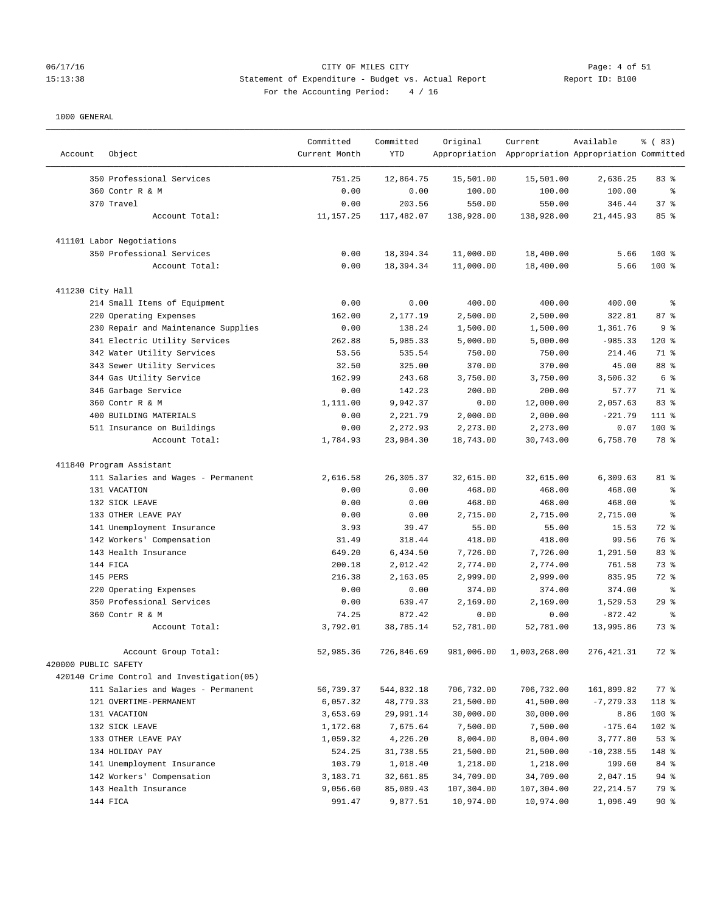# 06/17/16 Page: 4 of 51<br>
CITY OF MILES CITY<br>
CITY OF MILES CITY CITY Actual Report<br>
Statement of Expenditure - Budget vs. Actual Report (Report ID: B100) 15:13:38 Statement of Expenditure - Budget vs. Actual Report For the Accounting Period: 4 / 16

| Account              | Object                                     | Committed<br>Current Month | Committed<br><b>YTD</b> | Original   | Current<br>Appropriation Appropriation Appropriation Committed | Available     | % (83)         |
|----------------------|--------------------------------------------|----------------------------|-------------------------|------------|----------------------------------------------------------------|---------------|----------------|
|                      | 350 Professional Services                  | 751.25                     | 12,864.75               | 15,501.00  | 15,501.00                                                      | 2,636.25      | 83%            |
|                      | 360 Contr R & M                            | 0.00                       | 0.00                    | 100.00     | 100.00                                                         | 100.00        | ి              |
|                      | 370 Travel                                 | 0.00                       | 203.56                  | 550.00     | 550.00                                                         | 346.44        | 37%            |
|                      | Account Total:                             | 11, 157.25                 | 117,482.07              | 138,928.00 | 138,928.00                                                     | 21,445.93     | 85%            |
|                      | 411101 Labor Negotiations                  |                            |                         |            |                                                                |               |                |
|                      | 350 Professional Services                  | 0.00                       | 18,394.34               | 11,000.00  | 18,400.00                                                      | 5.66          | $100*$         |
|                      | Account Total:                             | 0.00                       | 18,394.34               | 11,000.00  | 18,400.00                                                      | 5.66          | $100*$         |
| 411230 City Hall     |                                            |                            |                         |            |                                                                |               |                |
|                      | 214 Small Items of Equipment               | 0.00                       | 0.00                    | 400.00     | 400.00                                                         | 400.00        | ి              |
|                      | 220 Operating Expenses                     | 162.00                     | 2,177.19                | 2,500.00   | 2,500.00                                                       | 322.81        | 87%            |
|                      | 230 Repair and Maintenance Supplies        | 0.00                       | 138.24                  | 1,500.00   | 1,500.00                                                       | 1,361.76      | 98             |
|                      | 341 Electric Utility Services              | 262.88                     | 5,985.33                | 5,000.00   | 5,000.00                                                       | $-985.33$     | $120*$         |
|                      | 342 Water Utility Services                 | 53.56                      | 535.54                  | 750.00     | 750.00                                                         | 214.46        | 71 %           |
|                      | 343 Sewer Utility Services                 | 32.50                      | 325.00                  | 370.00     | 370.00                                                         | 45.00         | 88 %           |
|                      | 344 Gas Utility Service                    | 162.99                     | 243.68                  | 3,750.00   | 3,750.00                                                       | 3,506.32      | 6 <sup>8</sup> |
|                      | 346 Garbage Service                        | 0.00                       | 142.23                  | 200.00     | 200.00                                                         | 57.77         | 71 %           |
|                      | 360 Contr R & M                            | 1,111.00                   | 9,942.37                | 0.00       | 12,000.00                                                      | 2,057.63      | 83 %           |
|                      | 400 BUILDING MATERIALS                     | 0.00                       | 2,221.79                | 2,000.00   | 2,000.00                                                       | $-221.79$     | 111 %          |
|                      | 511 Insurance on Buildings                 | 0.00                       | 2,272.93                | 2,273.00   | 2,273.00                                                       | 0.07          | 100 %          |
|                      | Account Total:                             | 1,784.93                   | 23,984.30               | 18,743.00  | 30,743.00                                                      | 6,758.70      | 78 %           |
|                      | 411840 Program Assistant                   |                            |                         |            |                                                                |               |                |
|                      | 111 Salaries and Wages - Permanent         | 2,616.58                   | 26,305.37               | 32,615.00  | 32,615.00                                                      | 6,309.63      | 81 %           |
|                      | 131 VACATION                               | 0.00                       | 0.00                    | 468.00     | 468.00                                                         | 468.00        | る              |
|                      | 132 SICK LEAVE                             | 0.00                       | 0.00                    | 468.00     | 468.00                                                         | 468.00        | $\approx$      |
|                      | 133 OTHER LEAVE PAY                        | 0.00                       | 0.00                    | 2,715.00   | 2,715.00                                                       | 2,715.00      | နွ             |
|                      | 141 Unemployment Insurance                 | 3.93                       | 39.47                   | 55.00      | 55.00                                                          | 15.53         | 72 %           |
|                      | 142 Workers' Compensation                  | 31.49                      | 318.44                  | 418.00     | 418.00                                                         | 99.56         | 76 %           |
|                      | 143 Health Insurance                       | 649.20                     | 6,434.50                | 7,726.00   | 7,726.00                                                       | 1,291.50      | 83 %           |
|                      | 144 FICA                                   | 200.18                     | 2,012.42                | 2,774.00   | 2,774.00                                                       | 761.58        | 73%            |
|                      | 145 PERS                                   | 216.38                     | 2,163.05                | 2,999.00   | 2,999.00                                                       | 835.95        | 72 %           |
|                      | 220 Operating Expenses                     | 0.00                       | 0.00                    | 374.00     | 374.00                                                         | 374.00        | နွ             |
|                      | 350 Professional Services                  | 0.00                       | 639.47                  | 2,169.00   | 2,169.00                                                       | 1,529.53      | 29%            |
|                      | 360 Contr R & M                            | 74.25                      | 872.42                  | 0.00       | 0.00                                                           | $-872.42$     | နွ             |
|                      | Account Total:                             | 3,792.01                   | 38,785.14               | 52,781.00  | 52,781.00                                                      | 13,995.86     | 73 %           |
|                      | Account Group Total:                       | 52,985.36                  | 726,846.69              | 981,006.00 | 1,003,268.00                                                   | 276, 421.31   | 72 %           |
| 420000 PUBLIC SAFETY |                                            |                            |                         |            |                                                                |               |                |
|                      | 420140 Crime Control and Investigation(05) |                            |                         |            |                                                                |               |                |
|                      | 111 Salaries and Wages - Permanent         | 56,739.37                  | 544,832.18              | 706,732.00 | 706,732.00                                                     | 161,899.82    | 77 %           |
|                      | 121 OVERTIME-PERMANENT                     | 6,057.32                   | 48,779.33               | 21,500.00  | 41,500.00                                                      | $-7, 279.33$  | 118 %          |
|                      | 131 VACATION                               | 3,653.69                   | 29,991.14               | 30,000.00  | 30,000.00                                                      | 8.86          | 100 %          |
|                      | 132 SICK LEAVE                             | 1,172.68                   | 7,675.64                | 7,500.00   | 7,500.00                                                       | $-175.64$     | 102 %          |
|                      | 133 OTHER LEAVE PAY                        | 1,059.32                   | 4,226.20                | 8,004.00   | 8,004.00                                                       | 3,777.80      | 53%            |
|                      | 134 HOLIDAY PAY                            | 524.25                     | 31,738.55               | 21,500.00  | 21,500.00                                                      | $-10, 238.55$ | 148 %          |
|                      | 141 Unemployment Insurance                 | 103.79                     | 1,018.40                | 1,218.00   | 1,218.00                                                       | 199.60        | 84 %           |
|                      | 142 Workers' Compensation                  | 3,183.71                   | 32,661.85               | 34,709.00  | 34,709.00                                                      | 2,047.15      | 94 %           |
|                      | 143 Health Insurance                       | 9,056.60                   | 85,089.43               | 107,304.00 | 107,304.00                                                     | 22, 214.57    | 79 %           |
|                      | 144 FICA                                   | 991.47                     | 9,877.51                | 10,974.00  | 10,974.00                                                      | 1,096.49      | $90*$          |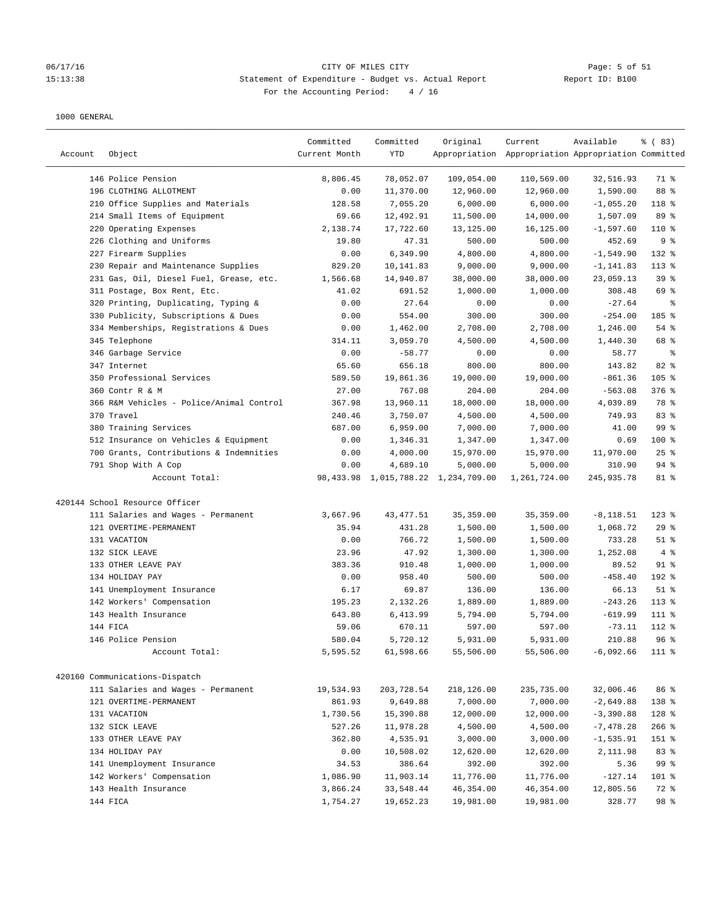#### 06/17/16 Page: 5 of 51 Page: 5 of 51 15:13:38 Statement of Expenditure - Budget vs. Actual Report Report ID: B100 For the Accounting Period: 4 / 16

| Account | Object                                   | Committed<br>Current Month | Committed<br>YTD | Original                                 | Current<br>Appropriation Appropriation Appropriation Committed | Available    | % (83)     |
|---------|------------------------------------------|----------------------------|------------------|------------------------------------------|----------------------------------------------------------------|--------------|------------|
|         | 146 Police Pension                       | 8,806.45                   | 78,052.07        | 109,054.00                               | 110,569.00                                                     | 32,516.93    | 71 %       |
|         | 196 CLOTHING ALLOTMENT                   | 0.00                       | 11,370.00        | 12,960.00                                | 12,960.00                                                      | 1,590.00     | 88 %       |
|         | 210 Office Supplies and Materials        | 128.58                     | 7,055.20         | 6,000.00                                 | 6,000.00                                                       | $-1,055.20$  | 118 %      |
|         | 214 Small Items of Equipment             | 69.66                      | 12,492.91        | 11,500.00                                | 14,000.00                                                      | 1,507.09     | 89 %       |
|         | 220 Operating Expenses                   | 2,138.74                   | 17,722.60        | 13,125.00                                | 16,125.00                                                      | $-1,597.60$  | $110*$     |
|         | 226 Clothing and Uniforms                | 19.80                      | 47.31            | 500.00                                   | 500.00                                                         | 452.69       | 9%         |
|         | 227 Firearm Supplies                     | 0.00                       | 6,349.90         | 4,800.00                                 | 4,800.00                                                       | $-1,549.90$  | 132 %      |
|         | 230 Repair and Maintenance Supplies      | 829.20                     | 10,141.83        | 9,000.00                                 | 9,000.00                                                       | $-1, 141.83$ | $113$ %    |
|         | 231 Gas, Oil, Diesel Fuel, Grease, etc.  | 1,566.68                   | 14,940.87        | 38,000.00                                | 38,000.00                                                      | 23,059.13    | 39%        |
|         | 311 Postage, Box Rent, Etc.              | 41.02                      | 691.52           | 1,000.00                                 | 1,000.00                                                       | 308.48       | 69 %       |
|         | 320 Printing, Duplicating, Typing &      | 0.00                       | 27.64            | 0.00                                     | 0.00                                                           | $-27.64$     | ႜ          |
|         | 330 Publicity, Subscriptions & Dues      | 0.00                       | 554.00           | 300.00                                   | 300.00                                                         | $-254.00$    | 185 %      |
|         | 334 Memberships, Registrations & Dues    | 0.00                       | 1,462.00         | 2,708.00                                 | 2,708.00                                                       | 1,246.00     | $54$ %     |
|         | 345 Telephone                            | 314.11                     | 3,059.70         | 4,500.00                                 | 4,500.00                                                       | 1,440.30     | 68 %       |
|         | 346 Garbage Service                      | 0.00                       | $-58.77$         | 0.00                                     | 0.00                                                           | 58.77        | နွ         |
|         | 347 Internet                             | 65.60                      | 656.18           | 800.00                                   | 800.00                                                         | 143.82       | 82 %       |
|         | 350 Professional Services                | 589.50                     | 19,861.36        | 19,000.00                                | 19,000.00                                                      | $-861.36$    | $105$ %    |
|         | 360 Contr R & M                          | 27.00                      | 767.08           | 204.00                                   | 204.00                                                         | $-563.08$    | 376 %      |
|         | 366 R&M Vehicles - Police/Animal Control | 367.98                     | 13,960.11        | 18,000.00                                | 18,000.00                                                      | 4,039.89     | 78 %       |
|         | 370 Travel                               | 240.46                     | 3,750.07         | 4,500.00                                 | 4,500.00                                                       | 749.93       | 83%        |
|         | 380 Training Services                    | 687.00                     | 6,959.00         | 7,000.00                                 | 7,000.00                                                       | 41.00        | 99 %       |
|         | 512 Insurance on Vehicles & Equipment    | 0.00                       | 1,346.31         | 1,347.00                                 | 1,347.00                                                       | 0.69         | $100*$     |
|         | 700 Grants, Contributions & Indemnities  | 0.00                       | 4,000.00         | 15,970.00                                | 15,970.00                                                      | 11,970.00    | 25%        |
|         | 791 Shop With A Cop                      | 0.00                       | 4,689.10         | 5,000.00                                 | 5,000.00                                                       | 310.90       | $94$ %     |
|         | Account Total:                           |                            |                  | 98, 433.98 1, 015, 788.22 1, 234, 709.00 | 1,261,724.00                                                   | 245,935.78   | 81 %       |
|         | 420144 School Resource Officer           |                            |                  |                                          |                                                                |              |            |
|         | 111 Salaries and Wages - Permanent       | 3,667.96                   | 43, 477.51       | 35, 359.00                               | 35, 359.00                                                     | $-8, 118.51$ | $123$ %    |
|         | 121 OVERTIME-PERMANENT                   | 35.94                      | 431.28           | 1,500.00                                 | 1,500.00                                                       | 1,068.72     | 29%        |
|         | 131 VACATION                             | 0.00                       | 766.72           | 1,500.00                                 | 1,500.00                                                       | 733.28       | $51$ %     |
|         | 132 SICK LEAVE                           | 23.96                      | 47.92            | 1,300.00                                 | 1,300.00                                                       | 1,252.08     | $4\degree$ |
|         | 133 OTHER LEAVE PAY                      | 383.36                     | 910.48           | 1,000.00                                 | 1,000.00                                                       | 89.52        | $91$ %     |
|         | 134 HOLIDAY PAY                          | 0.00                       | 958.40           | 500.00                                   | 500.00                                                         | $-458.40$    | 192 %      |
|         | 141 Unemployment Insurance               | 6.17                       | 69.87            | 136.00                                   | 136.00                                                         | 66.13        | $51$ %     |
|         | 142 Workers' Compensation                | 195.23                     | 2,132.26         | 1,889.00                                 | 1,889.00                                                       | $-243.26$    | $113*$     |
|         | 143 Health Insurance                     | 643.80                     | 6,413.99         | 5,794.00                                 | 5,794.00                                                       | $-619.99$    | 111 %      |
|         | 144 FICA                                 | 59.06                      | 670.11           | 597.00                                   | 597.00                                                         | $-73.11$     | 112 %      |
|         | 146 Police Pension                       | 580.04                     | 5,720.12         | 5,931.00                                 | 5,931.00                                                       | 210.88       | 96%        |
|         | Account Total:                           | 5,595.52                   | 61,598.66        | 55,506.00                                | 55,506.00                                                      | $-6,092.66$  | 111 %      |
|         | 420160 Communications-Dispatch           |                            |                  |                                          |                                                                |              |            |
|         | 111 Salaries and Wages - Permanent       | 19,534.93                  | 203,728.54       | 218,126.00                               | 235,735.00                                                     | 32,006.46    | 86 %       |
|         | 121 OVERTIME-PERMANENT                   | 861.93                     | 9,649.88         | 7,000.00                                 | 7,000.00                                                       | $-2,649.88$  | 138 %      |
|         | 131 VACATION                             | 1,730.56                   | 15,390.88        | 12,000.00                                | 12,000.00                                                      | $-3,390.88$  | 128 %      |
|         | 132 SICK LEAVE                           | 527.26                     | 11,978.28        | 4,500.00                                 | 4,500.00                                                       | $-7,478.28$  | $266$ %    |
|         | 133 OTHER LEAVE PAY                      | 362.80                     | 4,535.91         | 3,000.00                                 | 3,000.00                                                       | $-1,535.91$  | 151 %      |
|         | 134 HOLIDAY PAY                          | 0.00                       | 10,508.02        | 12,620.00                                | 12,620.00                                                      | 2,111.98     | 83 %       |
|         | 141 Unemployment Insurance               | 34.53                      | 386.64           | 392.00                                   | 392.00                                                         | 5.36         | 99 %       |
|         | 142 Workers' Compensation                | 1,086.90                   | 11,903.14        | 11,776.00                                | 11,776.00                                                      | $-127.14$    | 101 %      |
|         | 143 Health Insurance                     | 3,866.24                   | 33,548.44        | 46,354.00                                | 46,354.00                                                      | 12,805.56    | 72 %       |
|         | 144 FICA                                 | 1,754.27                   | 19,652.23        | 19,981.00                                | 19,981.00                                                      | 328.77       | 98 %       |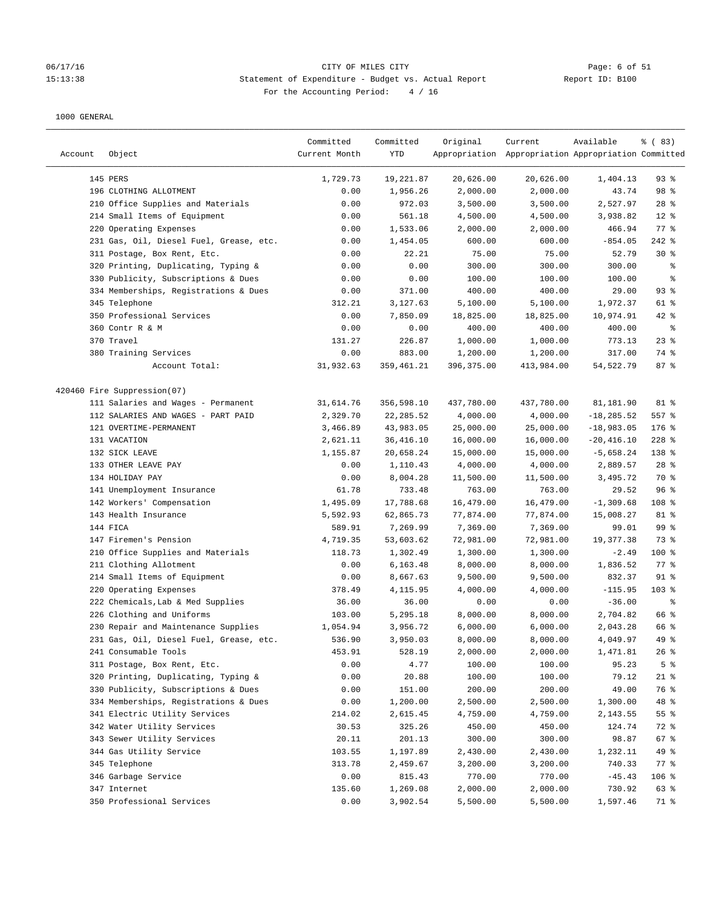#### 06/17/16 CITY OF MILES CITY Page: 6 of 51 15:13:38 Statement of Expenditure - Budget vs. Actual Report Report ID: B100 For the Accounting Period: 4 / 16

| Account | Object                                  | Committed<br>Current Month | Committed<br>YTD | Original   | Current<br>Appropriation Appropriation Appropriation Committed | Available     | % (83)         |
|---------|-----------------------------------------|----------------------------|------------------|------------|----------------------------------------------------------------|---------------|----------------|
|         | 145 PERS                                | 1,729.73                   | 19,221.87        | 20,626.00  | 20,626.00                                                      | 1,404.13      | 93%            |
|         | 196 CLOTHING ALLOTMENT                  | 0.00                       | 1,956.26         | 2,000.00   | 2,000.00                                                       | 43.74         | 98 %           |
|         | 210 Office Supplies and Materials       | 0.00                       | 972.03           | 3,500.00   | 3,500.00                                                       | 2,527.97      | $28$ %         |
|         | 214 Small Items of Equipment            | 0.00                       | 561.18           | 4,500.00   | 4,500.00                                                       | 3,938.82      | $12$ %         |
|         | 220 Operating Expenses                  | 0.00                       | 1,533.06         | 2,000.00   | 2,000.00                                                       | 466.94        | 77.8           |
|         | 231 Gas, Oil, Diesel Fuel, Grease, etc. | 0.00                       | 1,454.05         | 600.00     | 600.00                                                         | $-854.05$     | $242$ %        |
|         | 311 Postage, Box Rent, Etc.             | 0.00                       | 22.21            | 75.00      | 75.00                                                          | 52.79         | $30*$          |
|         | 320 Printing, Duplicating, Typing &     | 0.00                       | 0.00             | 300.00     | 300.00                                                         | 300.00        | နွ             |
|         | 330 Publicity, Subscriptions & Dues     | 0.00                       | 0.00             | 100.00     | 100.00                                                         | 100.00        | ್ಠಿ            |
|         | 334 Memberships, Registrations & Dues   | 0.00                       | 371.00           | 400.00     | 400.00                                                         | 29.00         | 93%            |
|         | 345 Telephone                           | 312.21                     | 3,127.63         | 5,100.00   | 5,100.00                                                       | 1,972.37      | 61 %           |
|         | 350 Professional Services               | 0.00                       | 7,850.09         | 18,825.00  | 18,825.00                                                      | 10,974.91     | $42$ %         |
|         | 360 Contr R & M                         | 0.00                       | 0.00             | 400.00     | 400.00                                                         | 400.00        | နွ             |
|         | 370 Travel                              | 131.27                     | 226.87           | 1,000.00   | 1,000.00                                                       | 773.13        | $23$ $%$       |
|         | 380 Training Services                   | 0.00                       | 883.00           | 1,200.00   | 1,200.00                                                       | 317.00        | 74 %           |
|         | Account Total:                          | 31,932.63                  | 359,461.21       | 396,375.00 | 413,984.00                                                     | 54,522.79     | 87%            |
|         | 420460 Fire Suppression(07)             |                            |                  |            |                                                                |               |                |
|         | 111 Salaries and Wages - Permanent      | 31,614.76                  | 356,598.10       | 437,780.00 | 437,780.00                                                     | 81,181.90     | 81 %           |
|         | 112 SALARIES AND WAGES - PART PAID      | 2,329.70                   | 22, 285.52       | 4,000.00   | 4,000.00                                                       | $-18, 285.52$ | $557$ $%$      |
|         | 121 OVERTIME-PERMANENT                  | 3,466.89                   | 43,983.05        | 25,000.00  | 25,000.00                                                      | $-18,983.05$  | $176$ %        |
|         | 131 VACATION                            | 2,621.11                   | 36,416.10        | 16,000.00  | 16,000.00                                                      | $-20, 416.10$ | $228$ %        |
|         | 132 SICK LEAVE                          | 1,155.87                   | 20,658.24        | 15,000.00  | 15,000.00                                                      | $-5,658.24$   | 138 %          |
|         | 133 OTHER LEAVE PAY                     | 0.00                       | 1,110.43         | 4,000.00   | 4,000.00                                                       | 2,889.57      | $28$ %         |
|         | 134 HOLIDAY PAY                         | 0.00                       | 8,004.28         | 11,500.00  | 11,500.00                                                      | 3,495.72      | 70 %           |
|         | 141 Unemployment Insurance              | 61.78                      | 733.48           | 763.00     | 763.00                                                         | 29.52         | 96%            |
|         | 142 Workers' Compensation               | 1,495.09                   | 17,788.68        | 16,479.00  | 16,479.00                                                      | $-1,309.68$   | 108 %          |
|         | 143 Health Insurance                    | 5,592.93                   | 62,865.73        | 77,874.00  | 77,874.00                                                      | 15,008.27     | 81 %           |
|         | 144 FICA                                | 589.91                     | 7,269.99         | 7,369.00   | 7,369.00                                                       | 99.01         | 99 %           |
|         | 147 Firemen's Pension                   | 4,719.35                   | 53,603.62        | 72,981.00  | 72,981.00                                                      | 19,377.38     | 73 %           |
|         | 210 Office Supplies and Materials       | 118.73                     | 1,302.49         | 1,300.00   | 1,300.00                                                       | $-2.49$       | 100 %          |
|         | 211 Clothing Allotment                  | 0.00                       | 6,163.48         | 8,000.00   | 8,000.00                                                       | 1,836.52      | $77$ $%$       |
|         | 214 Small Items of Equipment            | 0.00                       | 8,667.63         | 9,500.00   | 9,500.00                                                       | 832.37        | $91$ %         |
|         | 220 Operating Expenses                  | 378.49                     | 4,115.95         | 4,000.00   | 4,000.00                                                       | $-115.95$     | 103 %          |
|         | 222 Chemicals, Lab & Med Supplies       | 36.00                      | 36.00            | 0.00       | 0.00                                                           | $-36.00$      | နွ             |
|         | 226 Clothing and Uniforms               | 103.00                     | 5,295.18         | 8,000.00   | 8,000.00                                                       | 2,704.82      | 66 %           |
|         | 230 Repair and Maintenance Supplies     | 1,054.94                   | 3,956.72         | 6,000.00   | 6,000.00                                                       | 2,043.28      | 66 %           |
|         | 231 Gas, Oil, Diesel Fuel, Grease, etc. | 536.90                     | 3,950.03         | 8,000.00   | 8,000.00                                                       | 4,049.97      | $49*$          |
|         | 241 Consumable Tools                    | 453.91                     | 528.19           | 2,000.00   | 2,000.00                                                       | 1,471.81      | 26%            |
|         | 311 Postage, Box Rent, Etc.             | 0.00                       | 4.77             | 100.00     | 100.00                                                         | 95.23         | 5 <sup>8</sup> |
|         | 320 Printing, Duplicating, Typing &     | 0.00                       | 20.88            | 100.00     | 100.00                                                         | 79.12         | $21$ %         |
|         | 330 Publicity, Subscriptions & Dues     | 0.00                       | 151.00           | 200.00     | 200.00                                                         | 49.00         | 76 %           |
|         | 334 Memberships, Registrations & Dues   | 0.00                       | 1,200.00         | 2,500.00   | 2,500.00                                                       | 1,300.00      | 48 %           |
|         | 341 Electric Utility Services           | 214.02                     | 2,615.45         | 4,759.00   | 4,759.00                                                       | 2,143.55      | 55%            |
|         | 342 Water Utility Services              | 30.53                      | 325.26           | 450.00     | 450.00                                                         | 124.74        | 72 %           |
|         | 343 Sewer Utility Services              | 20.11                      | 201.13           | 300.00     | 300.00                                                         | 98.87         | 67 %           |
|         | 344 Gas Utility Service                 | 103.55                     | 1,197.89         | 2,430.00   | 2,430.00                                                       | 1,232.11      | 49 %           |
|         | 345 Telephone                           | 313.78                     | 2,459.67         | 3,200.00   | 3,200.00                                                       | 740.33        | 77 %           |
|         | 346 Garbage Service                     | 0.00                       | 815.43           | 770.00     | 770.00                                                         | $-45.43$      | $106$ %        |
|         | 347 Internet                            | 135.60                     | 1,269.08         | 2,000.00   | 2,000.00                                                       | 730.92        | 63 %           |
|         | 350 Professional Services               | 0.00                       | 3,902.54         | 5,500.00   | 5,500.00                                                       | 1,597.46      | 71 %           |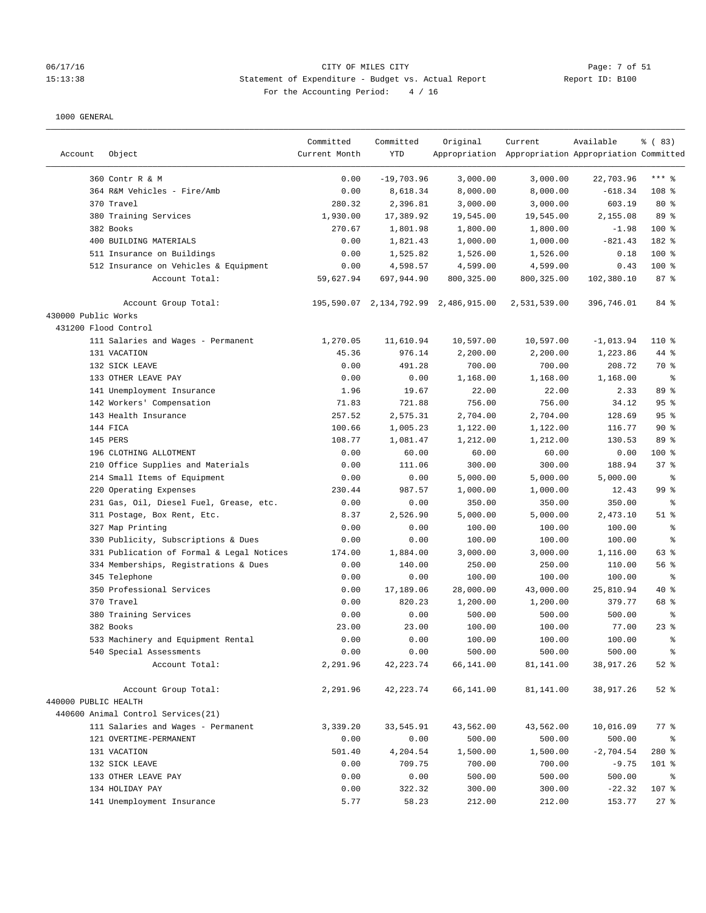#### 06/17/16 Page: 7 of 51 Page: 7 of 51 15:13:38 Statement of Expenditure - Budget vs. Actual Report Report ID: B100 For the Accounting Period: 4 / 16

| Account              | Object                                    | Committed<br>Current Month | Committed<br><b>YTD</b> | Original                             | Current<br>Appropriation Appropriation Appropriation Committed | Available           | % (83)                   |
|----------------------|-------------------------------------------|----------------------------|-------------------------|--------------------------------------|----------------------------------------------------------------|---------------------|--------------------------|
|                      | 360 Contr R & M                           | 0.00                       | $-19,703.96$            | 3,000.00                             | 3,000.00                                                       | 22,703.96           | $***$ 8                  |
|                      | 364 R&M Vehicles - Fire/Amb               | 0.00                       | 8,618.34                | 8,000.00                             | 8,000.00                                                       | $-618.34$           | 108 <sup>8</sup>         |
|                      | 370 Travel                                | 280.32                     | 2,396.81                | 3,000.00                             | 3,000.00                                                       | 603.19              | $80*$                    |
|                      | 380 Training Services                     | 1,930.00                   | 17,389.92               | 19,545.00                            | 19,545.00                                                      | 2,155.08            | 89 %                     |
|                      | 382 Books                                 | 270.67                     | 1,801.98                | 1,800.00                             | 1,800.00                                                       | $-1.98$             | 100 %                    |
|                      | 400 BUILDING MATERIALS                    | 0.00                       | 1,821.43                | 1,000.00                             | 1,000.00                                                       | $-821.43$           | 182 %                    |
|                      | 511 Insurance on Buildings                | 0.00                       | 1,525.82                | 1,526.00                             | 1,526.00                                                       | 0.18                | $100$ %                  |
|                      | 512 Insurance on Vehicles & Equipment     | 0.00                       | 4,598.57                | 4,599.00                             | 4,599.00                                                       | 0.43                | $100$ %                  |
|                      | Account Total:                            | 59,627.94                  | 697,944.90              | 800, 325.00                          | 800,325.00                                                     | 102,380.10          | 87%                      |
|                      | Account Group Total:                      |                            |                         | 195,590.07 2,134,792.99 2,486,915.00 | 2,531,539.00                                                   | 396,746.01          | 84 %                     |
| 430000 Public Works  |                                           |                            |                         |                                      |                                                                |                     |                          |
| 431200 Flood Control |                                           |                            |                         |                                      |                                                                |                     |                          |
|                      | 111 Salaries and Wages - Permanent        | 1,270.05                   | 11,610.94               | 10,597.00                            | 10,597.00                                                      | $-1,013.94$         | $110*$                   |
|                      | 131 VACATION                              | 45.36                      | 976.14                  | 2,200.00                             | 2,200.00                                                       | 1,223.86            | 44 %                     |
|                      | 132 SICK LEAVE                            | 0.00                       | 491.28                  | 700.00                               | 700.00                                                         | 208.72              | 70 %                     |
|                      | 133 OTHER LEAVE PAY                       | 0.00                       | 0.00                    | 1,168.00                             | 1,168.00                                                       | 1,168.00            | $\epsilon$               |
|                      | 141 Unemployment Insurance                | 1.96                       | 19.67                   | 22.00                                | 22.00                                                          | 2.33                | 89 %                     |
|                      | 142 Workers' Compensation                 | 71.83                      | 721.88                  | 756.00                               | 756.00                                                         | 34.12               | 95%                      |
|                      | 143 Health Insurance                      | 257.52                     | 2,575.31                | 2,704.00                             | 2,704.00                                                       | 128.69              | 95%                      |
|                      | 144 FICA                                  | 100.66                     | 1,005.23                | 1,122.00                             | 1,122.00                                                       | 116.77              | 90%                      |
|                      | 145 PERS                                  | 108.77                     | 1,081.47                | 1,212.00                             | 1,212.00                                                       | 130.53              | 89 %                     |
|                      | 196 CLOTHING ALLOTMENT                    | 0.00                       | 60.00                   | 60.00                                | 60.00                                                          | 0.00                | $100$ %                  |
|                      | 210 Office Supplies and Materials         | 0.00                       | 111.06                  | 300.00                               | 300.00                                                         | 188.94              | 37%                      |
|                      | 214 Small Items of Equipment              | 0.00                       | 0.00                    | 5,000.00                             | 5,000.00                                                       | 5,000.00            | $\epsilon$               |
|                      | 220 Operating Expenses                    | 230.44                     | 987.57                  | 1,000.00                             | 1,000.00                                                       | 12.43               | 99 %                     |
|                      | 231 Gas, Oil, Diesel Fuel, Grease, etc.   | 0.00                       | 0.00                    | 350.00                               | 350.00                                                         | 350.00              | $\epsilon$               |
|                      | 311 Postage, Box Rent, Etc.               | 8.37                       | 2,526.90                | 5,000.00                             | 5,000.00                                                       | 2,473.10            | $51$ %                   |
|                      | 327 Map Printing                          | 0.00                       | 0.00                    | 100.00                               | 100.00                                                         | 100.00              | $\,{}^{\circ}\!\!\delta$ |
|                      | 330 Publicity, Subscriptions & Dues       | 0.00                       | 0.00                    | 100.00                               | 100.00                                                         | 100.00              | ್ಠಿ                      |
|                      | 331 Publication of Formal & Legal Notices | 174.00                     | 1,884.00                | 3,000.00                             | 3,000.00                                                       | 1,116.00            | 63 %                     |
|                      | 334 Memberships, Registrations & Dues     | 0.00                       | 140.00                  | 250.00                               | 250.00                                                         | 110.00              | 56 %                     |
|                      | 345 Telephone                             | 0.00                       | 0.00                    | 100.00                               | 100.00                                                         | 100.00              | နွ                       |
|                      | 350 Professional Services                 | 0.00                       | 17,189.06               | 28,000.00                            | 43,000.00                                                      | 25,810.94           | 40 %                     |
|                      | 370 Travel                                | 0.00                       | 820.23                  | 1,200.00                             | 1,200.00                                                       | 379.77              | 68 %                     |
|                      | 380 Training Services                     | 0.00                       | 0.00                    | 500.00                               | 500.00                                                         | 500.00              | ್ಠಿ                      |
|                      | 382 Books                                 | 23.00<br>0.00              | 23.00<br>0.00           | 100.00<br>100.00                     | 100.00                                                         | 77.00               | 23%<br>る                 |
|                      | 533 Machinery and Equipment Rental        |                            |                         | 500.00                               | 100.00                                                         | 100.00              |                          |
|                      | 540 Special Assessments<br>Account Total: | 0.00<br>2,291.96           | 0.00<br>42, 223. 74     | 66,141.00                            | 500.00<br>81,141.00                                            | 500.00<br>38,917.26 | $\epsilon$<br>$52$ $%$   |
|                      | Account Group Total:                      | 2,291.96                   | 42,223.74               | 66,141.00                            | 81,141.00                                                      | 38,917.26           | $52$ $%$                 |
| 440000 PUBLIC HEALTH |                                           |                            |                         |                                      |                                                                |                     |                          |
|                      | 440600 Animal Control Services(21)        |                            |                         |                                      |                                                                |                     |                          |
|                      | 111 Salaries and Wages - Permanent        | 3,339.20                   | 33,545.91               | 43,562.00                            | 43,562.00                                                      | 10,016.09           | $77$ $%$                 |
|                      | 121 OVERTIME-PERMANENT                    | 0.00                       | 0.00                    | 500.00                               | 500.00                                                         | 500.00              | ိစ                       |
|                      | 131 VACATION                              | 501.40                     | 4,204.54                | 1,500.00                             | 1,500.00                                                       | $-2,704.54$         | 280 %                    |
|                      | 132 SICK LEAVE                            | 0.00                       | 709.75                  | 700.00                               | 700.00                                                         | $-9.75$             | 101 %                    |
|                      | 133 OTHER LEAVE PAY                       | 0.00                       | 0.00                    | 500.00                               | 500.00                                                         | 500.00              | ႜ                        |
|                      | 134 HOLIDAY PAY                           | 0.00                       | 322.32                  | 300.00                               | 300.00                                                         | $-22.32$            | 107 %                    |
|                      | 141 Unemployment Insurance                | 5.77                       | 58.23                   | 212.00                               | 212.00                                                         | 153.77              | $27$ %                   |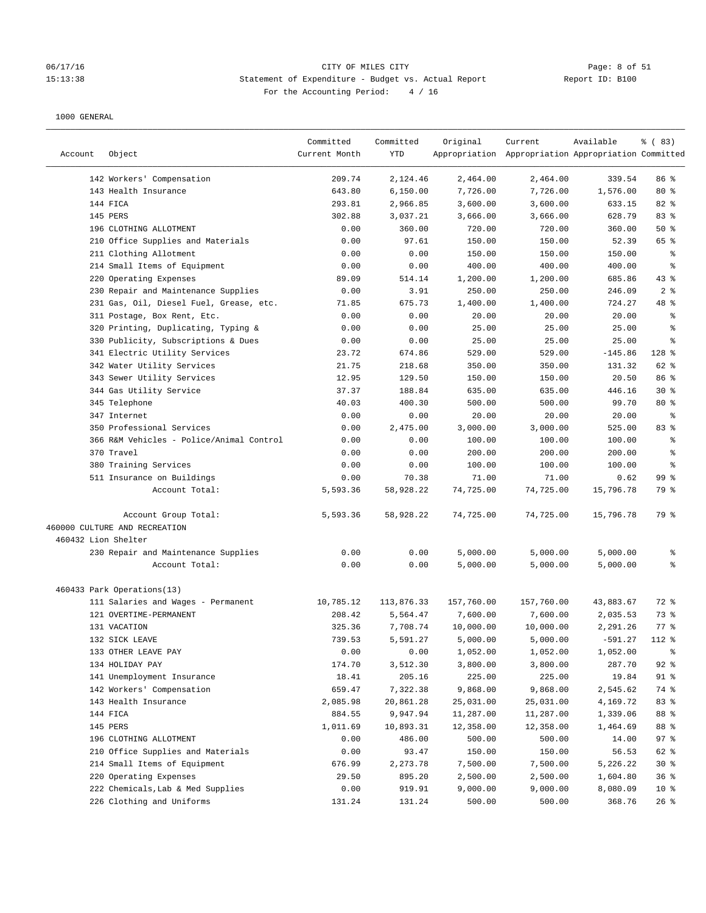### 06/17/16 CITY OF MILES CITY Page: 8 of 51 15:13:38 Statement of Expenditure - Budget vs. Actual Report Changer Report ID: B100 For the Accounting Period: 4 / 16

| Account             | Object                                                | Committed<br>Current Month | Committed<br><b>YTD</b> | Original   | Current<br>Appropriation Appropriation Appropriation Committed | Available | 8 ( 83)         |
|---------------------|-------------------------------------------------------|----------------------------|-------------------------|------------|----------------------------------------------------------------|-----------|-----------------|
|                     | 142 Workers' Compensation                             | 209.74                     | 2,124.46                | 2,464.00   | 2,464.00                                                       | 339.54    | 86 %            |
|                     | 143 Health Insurance                                  | 643.80                     | 6,150.00                | 7,726.00   | 7,726.00                                                       | 1,576.00  | $80*$           |
|                     | 144 FICA                                              | 293.81                     | 2,966.85                | 3,600.00   | 3,600.00                                                       | 633.15    | 82 %            |
|                     | 145 PERS                                              | 302.88                     | 3,037.21                | 3,666.00   | 3,666.00                                                       | 628.79    | 83 %            |
|                     | 196 CLOTHING ALLOTMENT                                | 0.00                       | 360.00                  | 720.00     | 720.00                                                         | 360.00    | 50%             |
|                     | 210 Office Supplies and Materials                     | 0.00                       | 97.61                   | 150.00     | 150.00                                                         | 52.39     | 65 %            |
|                     | 211 Clothing Allotment                                | 0.00                       | 0.00                    | 150.00     | 150.00                                                         | 150.00    | နွ              |
|                     | 214 Small Items of Equipment                          | 0.00                       | 0.00                    | 400.00     | 400.00                                                         | 400.00    | နွ              |
|                     | 220 Operating Expenses                                | 89.09                      | 514.14                  | 1,200.00   | 1,200.00                                                       | 685.86    | 43%             |
|                     | 230 Repair and Maintenance Supplies                   | 0.00                       | 3.91                    | 250.00     | 250.00                                                         | 246.09    | 2 <sub>8</sub>  |
|                     | 231 Gas, Oil, Diesel Fuel, Grease, etc.               | 71.85                      | 675.73                  | 1,400.00   | 1,400.00                                                       | 724.27    | 48 %            |
|                     | 311 Postage, Box Rent, Etc.                           | 0.00                       | 0.00                    | 20.00      | 20.00                                                          | 20.00     | နွ              |
|                     | 320 Printing, Duplicating, Typing &                   | 0.00                       | 0.00                    | 25.00      | 25.00                                                          | 25.00     | ి               |
|                     | 330 Publicity, Subscriptions & Dues                   | 0.00                       | 0.00                    | 25.00      | 25.00                                                          | 25.00     | န္              |
|                     | 341 Electric Utility Services                         | 23.72                      | 674.86                  | 529.00     | 529.00                                                         | $-145.86$ | $128$ %         |
|                     | 342 Water Utility Services                            | 21.75                      | 218.68                  | 350.00     | 350.00                                                         | 131.32    | 62 %            |
|                     | 343 Sewer Utility Services                            | 12.95                      | 129.50                  | 150.00     | 150.00                                                         | 20.50     | 86 %            |
|                     | 344 Gas Utility Service                               | 37.37                      | 188.84                  | 635.00     | 635.00                                                         | 446.16    | $30*$           |
|                     | 345 Telephone                                         | 40.03                      | 400.30                  | 500.00     | 500.00                                                         | 99.70     | $80*$           |
|                     | 347 Internet                                          | 0.00                       | 0.00                    | 20.00      | 20.00                                                          | 20.00     | နွ              |
|                     | 350 Professional Services                             | 0.00                       | 2,475.00                | 3,000.00   | 3,000.00                                                       | 525.00    | 83 %            |
|                     | 366 R&M Vehicles - Police/Animal Control              | 0.00                       | 0.00                    | 100.00     | 100.00                                                         | 100.00    | နွ              |
|                     | 370 Travel                                            | 0.00                       | 0.00                    | 200.00     | 200.00                                                         | 200.00    | ి               |
|                     | 380 Training Services                                 | 0.00                       | 0.00                    | 100.00     | 100.00                                                         | 100.00    | ి               |
|                     | 511 Insurance on Buildings                            | 0.00                       | 70.38                   | 71.00      | 71.00                                                          | 0.62      | 99 <sub>8</sub> |
|                     | Account Total:                                        | 5,593.36                   | 58,928.22               | 74,725.00  | 74,725.00                                                      | 15,796.78 | 79 %            |
|                     | Account Group Total:<br>460000 CULTURE AND RECREATION | 5,593.36                   | 58,928.22               | 74,725.00  | 74,725.00                                                      | 15,796.78 | 79 %            |
| 460432 Lion Shelter |                                                       |                            |                         |            |                                                                |           |                 |
|                     | 230 Repair and Maintenance Supplies                   | 0.00                       | 0.00                    | 5,000.00   | 5,000.00                                                       | 5,000.00  | နွ              |
|                     | Account Total:                                        | 0.00                       | 0.00                    | 5,000.00   | 5,000.00                                                       | 5,000.00  | ៖               |
|                     | 460433 Park Operations(13)                            |                            |                         |            |                                                                |           |                 |
|                     | 111 Salaries and Wages - Permanent                    | 10,785.12                  | 113,876.33              | 157,760.00 | 157,760.00                                                     | 43,883.67 | 72 %            |
|                     | 121 OVERTIME-PERMANENT                                | 208.42                     | 5,564.47                | 7,600.00   | 7,600.00                                                       | 2,035.53  | 73 %            |
|                     | 131 VACATION                                          | 325.36                     | 7,708.74                | 10,000.00  | 10,000.00                                                      | 2,291.26  | $77$ $%$        |
|                     | 132 SICK LEAVE                                        | 739.53                     | 5,591.27                | 5,000.00   | 5,000.00                                                       | $-591.27$ | $112*$          |
|                     | 133 OTHER LEAVE PAY                                   | 0.00                       | 0.00                    | 1,052.00   | 1,052.00                                                       | 1,052.00  | ိစ              |
|                     | 134 HOLIDAY PAY                                       | 174.70                     | 3,512.30                | 3,800.00   | 3,800.00                                                       | 287.70    | $92$ %          |
|                     | 141 Unemployment Insurance                            | 18.41                      | 205.16                  | 225.00     | 225.00                                                         | 19.84     | 91 %            |
|                     | 142 Workers' Compensation                             | 659.47                     | 7,322.38                | 9,868.00   | 9,868.00                                                       | 2,545.62  | 74 %            |
|                     | 143 Health Insurance                                  | 2,085.98                   | 20,861.28               | 25,031.00  | 25,031.00                                                      | 4,169.72  | 83 %            |
|                     | 144 FICA                                              | 884.55                     | 9,947.94                | 11,287.00  | 11,287.00                                                      | 1,339.06  | 88 %            |
|                     | 145 PERS                                              | 1,011.69                   | 10,893.31               | 12,358.00  | 12,358.00                                                      | 1,464.69  | 88 %            |
|                     | 196 CLOTHING ALLOTMENT                                | 0.00                       | 486.00                  | 500.00     | 500.00                                                         | 14.00     | 97%             |
|                     | 210 Office Supplies and Materials                     | 0.00                       | 93.47                   | 150.00     | 150.00                                                         | 56.53     | 62 %            |
|                     | 214 Small Items of Equipment                          | 676.99                     | 2, 273.78               | 7,500.00   | 7,500.00                                                       | 5,226.22  | $30*$           |
|                     | 220 Operating Expenses                                | 29.50                      | 895.20                  | 2,500.00   | 2,500.00                                                       | 1,604.80  | 36%             |
|                     | 222 Chemicals, Lab & Med Supplies                     | 0.00                       | 919.91                  | 9,000.00   | 9,000.00                                                       | 8,080.09  | 10 <sup>°</sup> |
|                     | 226 Clothing and Uniforms                             | 131.24                     | 131.24                  | 500.00     | 500.00                                                         | 368.76    | 26%             |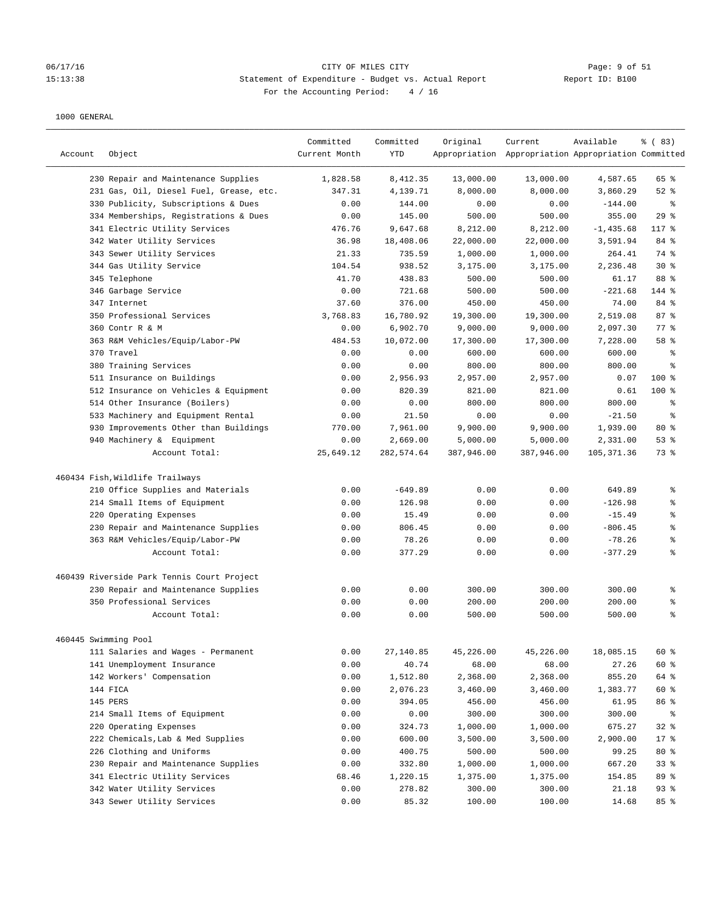#### 06/17/16 CITY OF MILES CITY Page: 9 of 51 15:13:38 Statement of Expenditure - Budget vs. Actual Report Report ID: B100 For the Accounting Period: 4 / 16

| Account              | Object                                     | Committed<br>Current Month | Committed<br><b>YTD</b> | Original   | Current<br>Appropriation Appropriation Appropriation Committed | Available   | % (83)             |
|----------------------|--------------------------------------------|----------------------------|-------------------------|------------|----------------------------------------------------------------|-------------|--------------------|
|                      | 230 Repair and Maintenance Supplies        | 1,828.58                   | 8,412.35                | 13,000.00  | 13,000.00                                                      | 4,587.65    | 65 %               |
|                      | 231 Gas, Oil, Diesel Fuel, Grease, etc.    | 347.31                     | 4,139.71                | 8,000.00   | 8,000.00                                                       | 3,860.29    | $52$ $%$           |
|                      | 330 Publicity, Subscriptions & Dues        | 0.00                       | 144.00                  | 0.00       | 0.00                                                           | $-144.00$   | နွ                 |
|                      | 334 Memberships, Registrations & Dues      | 0.00                       | 145.00                  | 500.00     | 500.00                                                         | 355.00      | 29%                |
|                      | 341 Electric Utility Services              | 476.76                     | 9,647.68                | 8,212.00   | 8,212.00                                                       | $-1,435.68$ | 117 %              |
|                      | 342 Water Utility Services                 | 36.98                      | 18,408.06               | 22,000.00  | 22,000.00                                                      | 3,591.94    | 84 %               |
|                      | 343 Sewer Utility Services                 | 21.33                      | 735.59                  | 1,000.00   | 1,000.00                                                       | 264.41      | 74 %               |
|                      | 344 Gas Utility Service                    | 104.54                     | 938.52                  | 3,175.00   | 3,175.00                                                       | 2,236.48    | $30*$              |
|                      | 345 Telephone                              | 41.70                      | 438.83                  | 500.00     | 500.00                                                         | 61.17       | 88 %               |
|                      | 346 Garbage Service                        | 0.00                       | 721.68                  | 500.00     | 500.00                                                         | $-221.68$   | 144 %              |
|                      | 347 Internet                               | 37.60                      | 376.00                  | 450.00     | 450.00                                                         | 74.00       | 84 %               |
|                      | 350 Professional Services                  | 3,768.83                   | 16,780.92               | 19,300.00  | 19,300.00                                                      | 2,519.08    | 87%                |
|                      | 360 Contr R & M                            | 0.00                       | 6,902.70                | 9,000.00   | 9,000.00                                                       | 2,097.30    | $77$ $\frac{6}{9}$ |
|                      | 363 R&M Vehicles/Equip/Labor-PW            | 484.53                     | 10,072.00               | 17,300.00  | 17,300.00                                                      | 7,228.00    | 58 %               |
|                      | 370 Travel                                 | 0.00                       | 0.00                    | 600.00     | 600.00                                                         | 600.00      | ್ಠಿ                |
|                      | 380 Training Services                      | 0.00                       | 0.00                    | 800.00     | 800.00                                                         | 800.00      | ి                  |
|                      | 511 Insurance on Buildings                 | 0.00                       | 2,956.93                | 2,957.00   | 2,957.00                                                       | 0.07        | $100*$             |
|                      | 512 Insurance on Vehicles & Equipment      | 0.00                       | 820.39                  | 821.00     | 821.00                                                         | 0.61        | $100$ %            |
|                      | 514 Other Insurance (Boilers)              | 0.00                       | 0.00                    | 800.00     | 800.00                                                         | 800.00      | ್ಠಿ                |
|                      | 533 Machinery and Equipment Rental         | 0.00                       | 21.50                   | 0.00       | 0.00                                                           | $-21.50$    | ್ಠಿ                |
|                      | 930 Improvements Other than Buildings      | 770.00                     | 7,961.00                | 9,900.00   | 9,900.00                                                       | 1,939.00    | $80*$              |
|                      | 940 Machinery & Equipment                  | 0.00                       | 2,669.00                | 5,000.00   | 5,000.00                                                       | 2,331.00    | $53$ $%$           |
|                      | Account Total:                             | 25,649.12                  | 282,574.64              | 387,946.00 | 387,946.00                                                     | 105, 371.36 | 73 %               |
|                      | 460434 Fish, Wildlife Trailways            |                            |                         |            |                                                                |             |                    |
|                      | 210 Office Supplies and Materials          | 0.00                       | $-649.89$               | 0.00       | 0.00                                                           | 649.89      | ి                  |
|                      | 214 Small Items of Equipment               | 0.00                       | 126.98                  | 0.00       | 0.00                                                           | $-126.98$   | ి                  |
|                      | 220 Operating Expenses                     | 0.00                       | 15.49                   | 0.00       | 0.00                                                           | $-15.49$    | ి                  |
|                      | 230 Repair and Maintenance Supplies        | 0.00                       | 806.45                  | 0.00       | 0.00                                                           | $-806.45$   | ್ಠಿ                |
|                      | 363 R&M Vehicles/Equip/Labor-PW            | 0.00                       | 78.26                   | 0.00       | 0.00                                                           | $-78.26$    | ್ಠಿ                |
|                      | Account Total:                             | 0.00                       | 377.29                  | 0.00       | 0.00                                                           | $-377.29$   | ៖                  |
|                      | 460439 Riverside Park Tennis Court Project |                            |                         |            |                                                                |             |                    |
|                      | 230 Repair and Maintenance Supplies        | 0.00                       | 0.00                    | 300.00     | 300.00                                                         | 300.00      | ್ಠಿ                |
|                      | 350 Professional Services                  | 0.00                       | 0.00                    | 200.00     | 200.00                                                         | 200.00      | ್ಠಿ                |
|                      | Account Total:                             | 0.00                       | 0.00                    | 500.00     | 500.00                                                         | 500.00      | ៖                  |
| 460445 Swimming Pool |                                            |                            |                         |            |                                                                |             |                    |
|                      | 111 Salaries and Wages - Permanent         | 0.00                       | 27,140.85               | 45,226.00  | 45,226.00                                                      | 18,085.15   | 60 %               |
|                      | 141 Unemployment Insurance                 | 0.00                       | 40.74                   | 68.00      | 68.00                                                          | 27.26       | 60 %               |
|                      | 142 Workers' Compensation                  | 0.00                       | 1,512.80                | 2,368.00   | 2,368.00                                                       | 855.20      | 64 %               |
|                      | 144 FICA                                   | 0.00                       | 2,076.23                | 3,460.00   | 3,460.00                                                       | 1,383.77    | 60 %               |
|                      | 145 PERS                                   | 0.00                       | 394.05                  | 456.00     | 456.00                                                         | 61.95       | 86 %               |
|                      | 214 Small Items of Equipment               | 0.00                       | 0.00                    | 300.00     | 300.00                                                         | 300.00      | ိ                  |
|                      | 220 Operating Expenses                     | 0.00                       | 324.73                  | 1,000.00   | 1,000.00                                                       | 675.27      | 32%                |
|                      | 222 Chemicals, Lab & Med Supplies          | 0.00                       | 600.00                  | 3,500.00   | 3,500.00                                                       | 2,900.00    | 17 <sub>8</sub>    |
|                      | 226 Clothing and Uniforms                  | 0.00                       | 400.75                  | 500.00     | 500.00                                                         | 99.25       | $80*$              |
|                      | 230 Repair and Maintenance Supplies        | 0.00                       | 332.80                  | 1,000.00   | 1,000.00                                                       | 667.20      | 33%                |
|                      | 341 Electric Utility Services              | 68.46                      | 1,220.15                | 1,375.00   | 1,375.00                                                       | 154.85      | 89 %               |
|                      | 342 Water Utility Services                 | 0.00                       | 278.82                  | 300.00     | 300.00                                                         | 21.18       | 93%                |
|                      | 343 Sewer Utility Services                 | 0.00                       | 85.32                   | 100.00     | 100.00                                                         | 14.68       | 85 %               |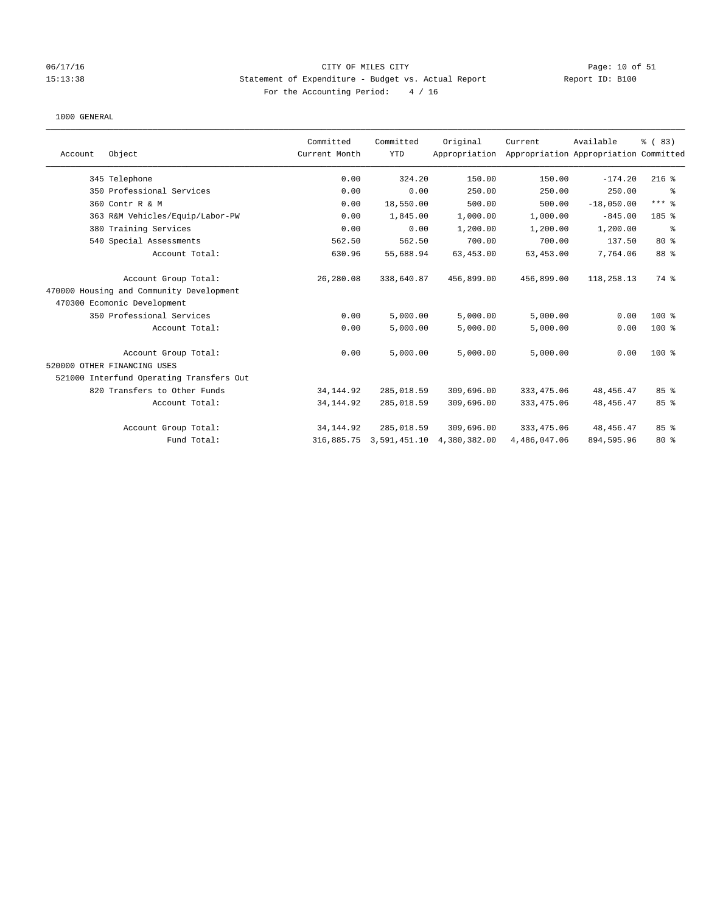### 06/17/16 Page: 10 of 51 Page: 10 of 51 15:13:38 Statement of Expenditure - Budget vs. Actual Report Report ID: B100 For the Accounting Period: 4 / 16

|         |                                          | Committed     | Committed    | Original      | Current      | Available                             | % (83)       |
|---------|------------------------------------------|---------------|--------------|---------------|--------------|---------------------------------------|--------------|
| Account | Object                                   | Current Month | <b>YTD</b>   | Appropriation |              | Appropriation Appropriation Committed |              |
|         | 345 Telephone                            | 0.00          | 324.20       | 150.00        | 150.00       | $-174.20$                             | $216$ %      |
|         | 350 Professional Services                | 0.00          | 0.00         | 250.00        | 250.00       | 250.00                                | နွ           |
|         | 360 Contr R & M                          | 0.00          | 18,550.00    | 500.00        | 500.00       | $-18,050.00$                          | $***$ $_{8}$ |
|         | 363 R&M Vehicles/Equip/Labor-PW          | 0.00          | 1,845.00     | 1,000.00      | 1,000.00     | $-845.00$                             | 185 %        |
|         | 380 Training Services                    | 0.00          | 0.00         | 1,200.00      | 1,200.00     | 1,200.00                              | ႜ            |
|         | 540 Special Assessments                  | 562.50        | 562.50       | 700.00        | 700.00       | 137.50                                | $80*$        |
|         | Account Total:                           | 630.96        | 55,688.94    | 63, 453.00    | 63, 453.00   | 7,764.06                              | 88 %         |
|         | Account Group Total:                     | 26,280.08     | 338,640.87   | 456,899.00    | 456,899.00   | 118,258.13                            | 74 %         |
|         | 470000 Housing and Community Development |               |              |               |              |                                       |              |
|         | 470300 Ecomonic Development              |               |              |               |              |                                       |              |
|         | 350 Professional Services                | 0.00          | 5,000.00     | 5,000.00      | 5,000.00     | 0.00                                  | 100 %        |
|         | Account Total:                           | 0.00          | 5,000.00     | 5,000.00      | 5,000.00     | 0.00                                  | 100 %        |
|         | Account Group Total:                     | 0.00          | 5,000.00     | 5,000.00      | 5,000.00     | 0.00                                  | $100$ %      |
|         | 520000 OTHER FINANCING USES              |               |              |               |              |                                       |              |
|         | 521000 Interfund Operating Transfers Out |               |              |               |              |                                       |              |
|         | 820 Transfers to Other Funds             | 34, 144.92    | 285,018.59   | 309,696.00    | 333, 475.06  | 48, 456. 47                           | 85%          |
|         | Account Total:                           | 34, 144.92    | 285,018.59   | 309,696.00    | 333, 475.06  | 48, 456. 47                           | 85 %         |
|         | Account Group Total:                     | 34, 144.92    | 285,018.59   | 309,696.00    | 333, 475.06  | 48,456.47                             | 85%          |
|         | Fund Total:                              | 316,885.75    | 3,591,451.10 | 4,380,382.00  | 4,486,047.06 | 894,595.96                            | $80*$        |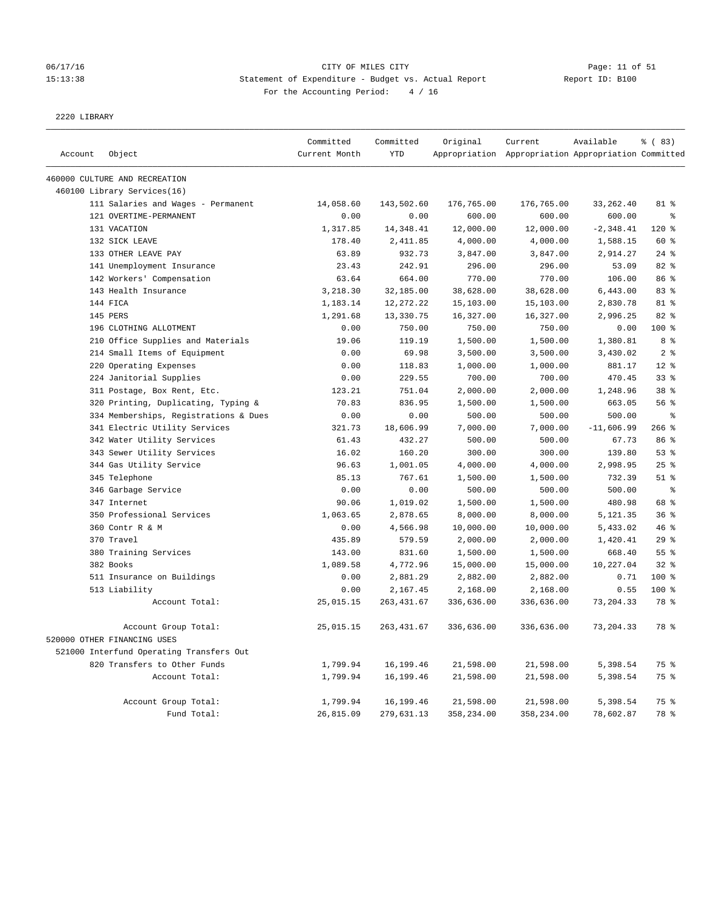# 06/17/16 Page: 11 of 51 15:13:38 Statement of Expenditure - Budget vs. Actual Report Report ID: B100 For the Accounting Period: 4 / 16

2220 LIBRARY

|         |                                          | Committed     | Committed   | Original   | Current                                             | Available    | % (83)          |
|---------|------------------------------------------|---------------|-------------|------------|-----------------------------------------------------|--------------|-----------------|
| Account | Object                                   | Current Month | <b>YTD</b>  |            | Appropriation Appropriation Appropriation Committed |              |                 |
|         | 460000 CULTURE AND RECREATION            |               |             |            |                                                     |              |                 |
|         | 460100 Library Services(16)              |               |             |            |                                                     |              |                 |
|         | 111 Salaries and Wages - Permanent       | 14,058.60     | 143,502.60  | 176,765.00 | 176,765.00                                          | 33, 262.40   | 81 %            |
|         | 121 OVERTIME-PERMANENT                   | 0.00          | 0.00        | 600.00     | 600.00                                              | 600.00       | န့              |
|         | 131 VACATION                             | 1,317.85      | 14, 348.41  | 12,000.00  | 12,000.00                                           | $-2, 348.41$ | 120%            |
|         | 132 SICK LEAVE                           | 178.40        | 2,411.85    | 4,000.00   | 4,000.00                                            | 1,588.15     | 60 %            |
|         | 133 OTHER LEAVE PAY                      | 63.89         | 932.73      | 3,847.00   | 3,847.00                                            | 2,914.27     | $24$ %          |
|         | 141 Unemployment Insurance               | 23.43         | 242.91      | 296.00     | 296.00                                              | 53.09        | 82 %            |
|         | 142 Workers' Compensation                | 63.64         | 664.00      | 770.00     | 770.00                                              | 106.00       | 86 %            |
|         | 143 Health Insurance                     | 3,218.30      | 32,185.00   | 38,628.00  | 38,628.00                                           | 6,443.00     | 83 %            |
|         | 144 FICA                                 | 1,183.14      | 12, 272. 22 | 15,103.00  | 15,103.00                                           | 2,830.78     | 81 %            |
|         | 145 PERS                                 | 1,291.68      | 13,330.75   | 16,327.00  | 16,327.00                                           | 2,996.25     | 82 %            |
|         | 196 CLOTHING ALLOTMENT                   | 0.00          | 750.00      | 750.00     | 750.00                                              | 0.00         | 100 %           |
|         | 210 Office Supplies and Materials        | 19.06         | 119.19      | 1,500.00   | 1,500.00                                            | 1,380.81     | 8 %             |
|         | 214 Small Items of Equipment             | 0.00          | 69.98       | 3,500.00   | 3,500.00                                            | 3,430.02     | 2 <sup>°</sup>  |
|         | 220 Operating Expenses                   | 0.00          | 118.83      | 1,000.00   | 1,000.00                                            | 881.17       | $12*$           |
|         | 224 Janitorial Supplies                  | 0.00          | 229.55      | 700.00     | 700.00                                              | 470.45       | 33%             |
|         | 311 Postage, Box Rent, Etc.              | 123.21        | 751.04      | 2,000.00   | 2,000.00                                            | 1,248.96     | 38 <sup>8</sup> |
|         | 320 Printing, Duplicating, Typing &      | 70.83         | 836.95      | 1,500.00   | 1,500.00                                            | 663.05       | 56 %            |
|         | 334 Memberships, Registrations & Dues    | 0.00          | 0.00        | 500.00     | 500.00                                              | 500.00       | နွ              |
|         | 341 Electric Utility Services            | 321.73        | 18,606.99   | 7,000.00   | 7,000.00                                            | $-11,606.99$ | $266$ %         |
|         | 342 Water Utility Services               | 61.43         | 432.27      | 500.00     | 500.00                                              | 67.73        | 86 %            |
|         | 343 Sewer Utility Services               | 16.02         | 160.20      | 300.00     | 300.00                                              | 139.80       | 53%             |
|         | 344 Gas Utility Service                  | 96.63         | 1,001.05    | 4,000.00   | 4,000.00                                            | 2,998.95     | 25%             |
|         | 345 Telephone                            | 85.13         | 767.61      | 1,500.00   | 1,500.00                                            | 732.39       | $51$ $%$        |
|         | 346 Garbage Service                      | 0.00          | 0.00        | 500.00     | 500.00                                              | 500.00       | $\epsilon$      |
|         | 347 Internet                             | 90.06         | 1,019.02    | 1,500.00   | 1,500.00                                            | 480.98       | 68 %            |
|         | 350 Professional Services                | 1,063.65      | 2,878.65    | 8,000.00   | 8,000.00                                            | 5,121.35     | 36%             |
|         | 360 Contr R & M                          | 0.00          | 4,566.98    | 10,000.00  | 10,000.00                                           | 5,433.02     | 46 %            |
|         | 370 Travel                               | 435.89        | 579.59      | 2,000.00   | 2,000.00                                            | 1,420.41     | $29$ %          |
|         | 380 Training Services                    | 143.00        | 831.60      | 1,500.00   | 1,500.00                                            | 668.40       | 55 %            |
|         | 382 Books                                | 1,089.58      | 4,772.96    | 15,000.00  | 15,000.00                                           | 10,227.04    | $32$ $%$        |
|         | 511 Insurance on Buildings               | 0.00          | 2,881.29    | 2,882.00   | 2,882.00                                            | 0.71         | 100 %           |
|         | 513 Liability                            | 0.00          | 2,167.45    | 2,168.00   | 2,168.00                                            | 0.55         | 100 %           |
|         | Account Total:                           | 25,015.15     | 263, 431.67 | 336,636.00 | 336,636.00                                          | 73, 204.33   | 78 %            |
|         | Account Group Total:                     | 25,015.15     | 263, 431.67 | 336,636.00 | 336,636.00                                          | 73, 204.33   | 78 %            |
|         | 520000 OTHER FINANCING USES              |               |             |            |                                                     |              |                 |
|         | 521000 Interfund Operating Transfers Out |               |             |            |                                                     |              |                 |
|         | 820 Transfers to Other Funds             | 1,799.94      | 16,199.46   | 21,598.00  | 21,598.00                                           | 5,398.54     | 75 %            |
|         | Account Total:                           | 1,799.94      | 16, 199.46  | 21,598.00  | 21,598.00                                           | 5,398.54     | 75 %            |
|         |                                          |               |             |            |                                                     |              |                 |
|         | Account Group Total:                     | 1,799.94      | 16,199.46   | 21,598.00  | 21,598.00                                           | 5,398.54     | 75 %            |
|         | Fund Total:                              | 26,815.09     | 279,631.13  | 358,234.00 | 358,234.00                                          | 78,602.87    | 78 %            |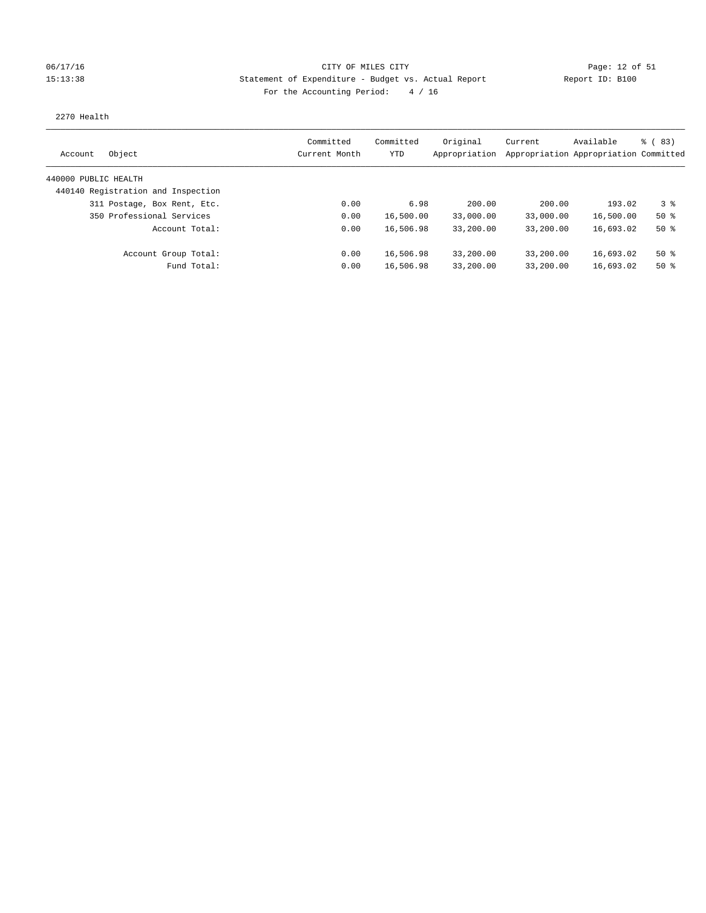### 06/17/16 Page: 12 of 51 Page: 12 of 51 15:13:38 Statement of Expenditure - Budget vs. Actual Report Report ID: B100 For the Accounting Period: 4 / 16

### 2270 Health

| Object<br>Account                  | Committed<br>Current Month | Committed<br>YTD | Original<br>Appropriation | Current   | Available<br>Appropriation Appropriation Committed | $\frac{3}{2}$ (83) |
|------------------------------------|----------------------------|------------------|---------------------------|-----------|----------------------------------------------------|--------------------|
| 440000 PUBLIC HEALTH               |                            |                  |                           |           |                                                    |                    |
| 440140 Registration and Inspection |                            |                  |                           |           |                                                    |                    |
| 311 Postage, Box Rent, Etc.        | 0.00                       | 6.98             | 200.00                    | 200.00    | 193.02                                             | 3 <sup>8</sup>     |
| 350 Professional Services          | 0.00                       | 16,500.00        | 33,000.00                 | 33,000.00 | 16,500.00                                          | $50*$              |
| Account Total:                     | 0.00                       | 16,506.98        | 33,200.00                 | 33,200.00 | 16,693.02                                          | $50*$              |
| Account Group Total:               | 0.00                       | 16,506.98        | 33,200.00                 | 33,200.00 | 16,693.02                                          | $50*$              |
| Fund Total:                        | 0.00                       | 16,506.98        | 33,200.00                 | 33,200.00 | 16,693.02                                          | $50*$              |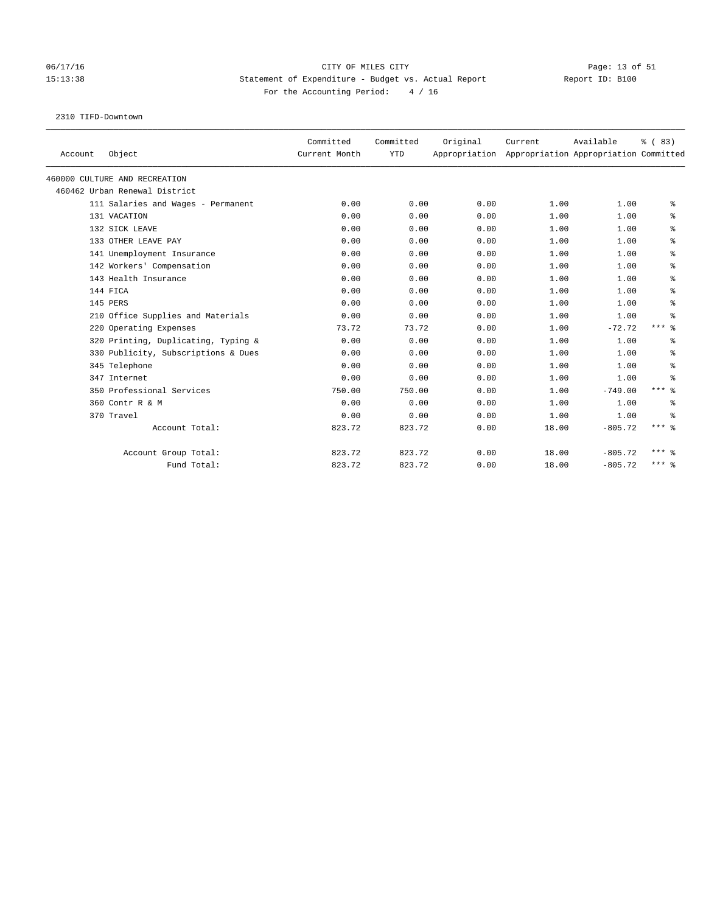# 06/17/16 Page: 13 of 51 15:13:38 Statement of Expenditure - Budget vs. Actual Report Report ID: B100 For the Accounting Period: 4 / 16

2310 TIFD-Downtown

| Account | Object                              | Committed<br>Current Month | Committed<br><b>YTD</b> | Original<br>Appropriation | Current | Available<br>Appropriation Appropriation Committed | % (83)              |
|---------|-------------------------------------|----------------------------|-------------------------|---------------------------|---------|----------------------------------------------------|---------------------|
|         | 460000 CULTURE AND RECREATION       |                            |                         |                           |         |                                                    |                     |
|         | 460462 Urban Renewal District       |                            |                         |                           |         |                                                    |                     |
|         | 111 Salaries and Wages - Permanent  | 0.00                       | 0.00                    | 0.00                      | 1.00    | 1.00                                               | နွ                  |
|         | 131 VACATION                        | 0.00                       | 0.00                    | 0.00                      | 1.00    | 1.00                                               | ి                   |
|         | 132 SICK LEAVE                      | 0.00                       | 0.00                    | 0.00                      | 1.00    | 1.00                                               | ್ಠಿ                 |
|         | 133 OTHER LEAVE PAY                 | 0.00                       | 0.00                    | 0.00                      | 1.00    | 1.00                                               | နွ                  |
|         | 141 Unemployment Insurance          | 0.00                       | 0.00                    | 0.00                      | 1.00    | 1.00                                               | ి                   |
|         | 142 Workers' Compensation           | 0.00                       | 0.00                    | 0.00                      | 1.00    | 1.00                                               | ి                   |
|         | 143 Health Insurance                | 0.00                       | 0.00                    | 0.00                      | 1.00    | 1.00                                               | နွ                  |
|         | 144 FICA                            | 0.00                       | 0.00                    | 0.00                      | 1.00    | 1.00                                               | ి                   |
|         | 145 PERS                            | 0.00                       | 0.00                    | 0.00                      | 1.00    | 1.00                                               | နွ                  |
|         | 210 Office Supplies and Materials   | 0.00                       | 0.00                    | 0.00                      | 1.00    | 1.00                                               | နွ                  |
|         | 220 Operating Expenses              | 73.72                      | 73.72                   | 0.00                      | 1.00    | $-72.72$                                           | $***$ $\frac{6}{6}$ |
|         | 320 Printing, Duplicating, Typing & | 0.00                       | 0.00                    | 0.00                      | 1.00    | 1.00                                               | ႜ                   |
|         | 330 Publicity, Subscriptions & Dues | 0.00                       | 0.00                    | 0.00                      | 1.00    | 1.00                                               | နွ                  |
|         | 345 Telephone                       | 0.00                       | 0.00                    | 0.00                      | 1.00    | 1.00                                               | ి                   |
|         | 347 Internet                        | 0.00                       | 0.00                    | 0.00                      | 1.00    | 1.00                                               | နွ                  |
|         | 350 Professional Services           | 750.00                     | 750.00                  | 0.00                      | 1.00    | $-749.00$                                          | $***$ $\frac{6}{6}$ |
|         | 360 Contr R & M                     | 0.00                       | 0.00                    | 0.00                      | 1.00    | 1.00                                               | နွ                  |
|         | 370 Travel                          | 0.00                       | 0.00                    | 0.00                      | 1.00    | 1.00                                               | ႜ                   |
|         | Account Total:                      | 823.72                     | 823.72                  | 0.00                      | 18.00   | $-805.72$                                          | $***$ $8$           |
|         | Account Group Total:                | 823.72                     | 823.72                  | 0.00                      | 18.00   | $-805.72$                                          | $***$ 2             |
|         | Fund Total:                         | 823.72                     | 823.72                  | 0.00                      | 18.00   | $-805.72$                                          | $***$ $%$           |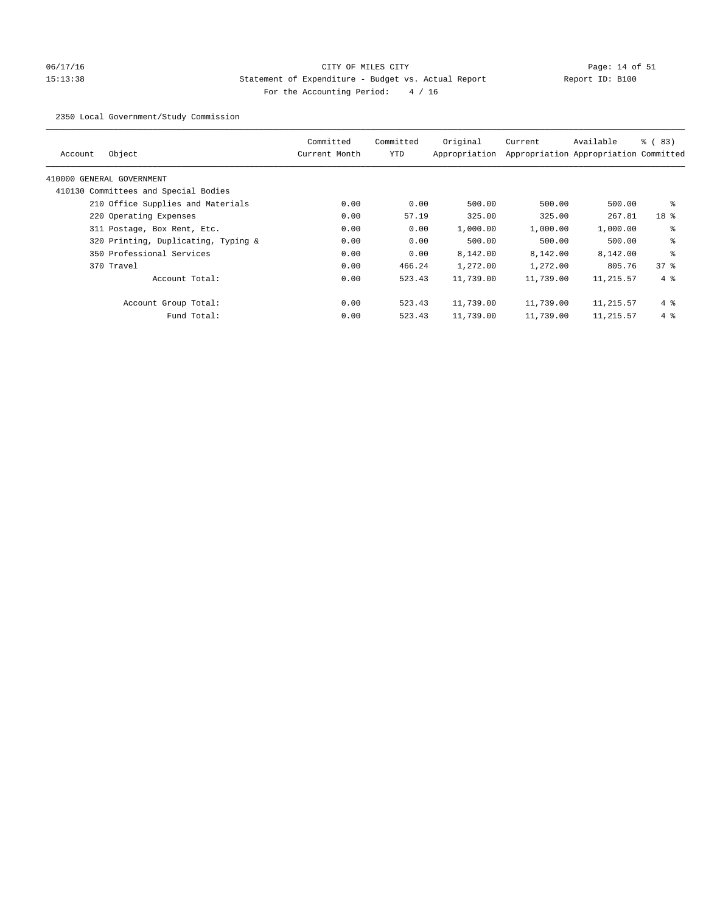# 06/17/16 Page: 14 of 51 15:13:38 Statement of Expenditure - Budget vs. Actual Report Report ID: B100 For the Accounting Period: 4 / 16

2350 Local Government/Study Commission

| Object<br>Account                    | Committed<br>Current Month | Committed<br>YTD | Original<br>Appropriation | Current   | Available<br>Appropriation Appropriation Committed | % (83)          |
|--------------------------------------|----------------------------|------------------|---------------------------|-----------|----------------------------------------------------|-----------------|
| 410000 GENERAL GOVERNMENT            |                            |                  |                           |           |                                                    |                 |
| 410130 Committees and Special Bodies |                            |                  |                           |           |                                                    |                 |
| 210 Office Supplies and Materials    | 0.00                       | 0.00             | 500.00                    | 500.00    | 500.00                                             | ႜ               |
| 220 Operating Expenses               | 0.00                       | 57.19            | 325.00                    | 325.00    | 267.81                                             | 18 <sup>8</sup> |
| 311 Postage, Box Rent, Etc.          | 0.00                       | 0.00             | 1,000.00                  | 1,000.00  | 1,000.00                                           | ႜ               |
| 320 Printing, Duplicating, Typing &  | 0.00                       | 0.00             | 500.00                    | 500.00    | 500.00                                             | နွ              |
| 350 Professional Services            | 0.00                       | 0.00             | 8,142.00                  | 8,142.00  | 8,142.00                                           | ÷.              |
| 370 Travel                           | 0.00                       | 466.24           | 1,272.00                  | 1,272.00  | 805.76                                             | 378             |
| Account Total:                       | 0.00                       | 523.43           | 11,739.00                 | 11,739.00 | 11,215.57                                          | $4\degree$      |
| Account Group Total:                 | 0.00                       | 523.43           | 11,739.00                 | 11,739.00 | 11,215.57                                          | $4\degree$      |
| Fund Total:                          | 0.00                       | 523.43           | 11,739.00                 | 11,739.00 | 11,215.57                                          | $4\degree$      |
|                                      |                            |                  |                           |           |                                                    |                 |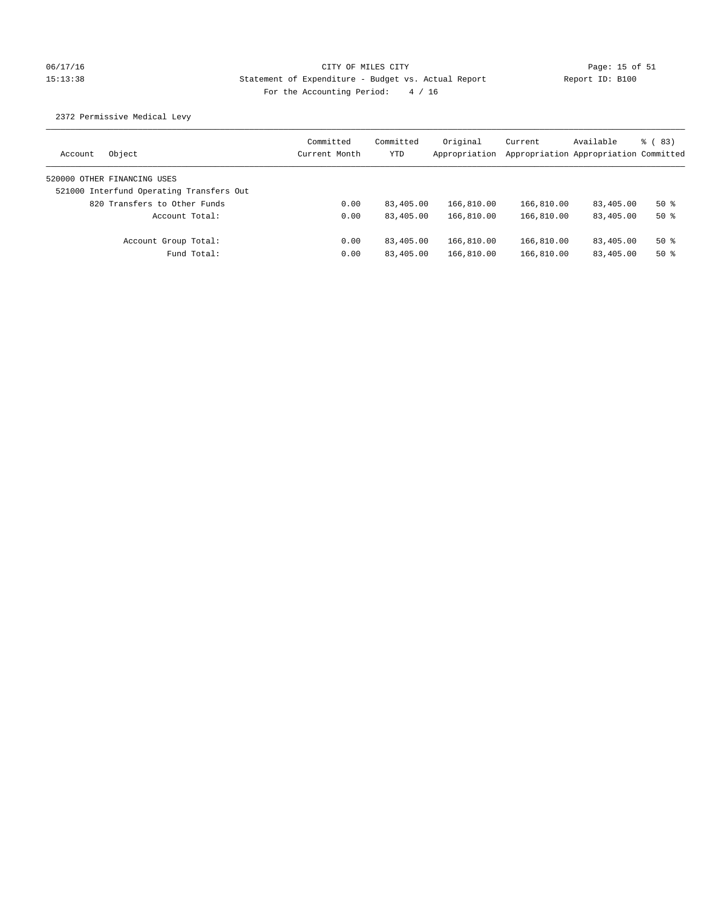# 06/17/16 Page: 15 of 51 Page: 15 of 51 15:13:38 Statement of Expenditure - Budget vs. Actual Report Report ID: B100 For the Accounting Period: 4 / 16

2372 Permissive Medical Levy

| Object<br>Account                        | Committed<br>Current Month | Committed<br>YTD | Original<br>Appropriation | Current    | Available<br>Appropriation Appropriation Committed | $\frac{3}{2}$ (83) |
|------------------------------------------|----------------------------|------------------|---------------------------|------------|----------------------------------------------------|--------------------|
| 520000 OTHER FINANCING USES              |                            |                  |                           |            |                                                    |                    |
| 521000 Interfund Operating Transfers Out |                            |                  |                           |            |                                                    |                    |
| 820 Transfers to Other Funds             | 0.00                       | 83,405.00        | 166,810.00                | 166,810.00 | 83,405.00                                          | 50%                |
| Account Total:                           | 0.00                       | 83,405.00        | 166,810.00                | 166,810.00 | 83,405.00                                          | $50*$              |
| Account Group Total:                     | 0.00                       | 83,405.00        | 166,810.00                | 166,810.00 | 83,405.00                                          | $50*$              |
| Fund Total:                              | 0.00                       | 83,405.00        | 166,810.00                | 166,810.00 | 83,405.00                                          | $50*$              |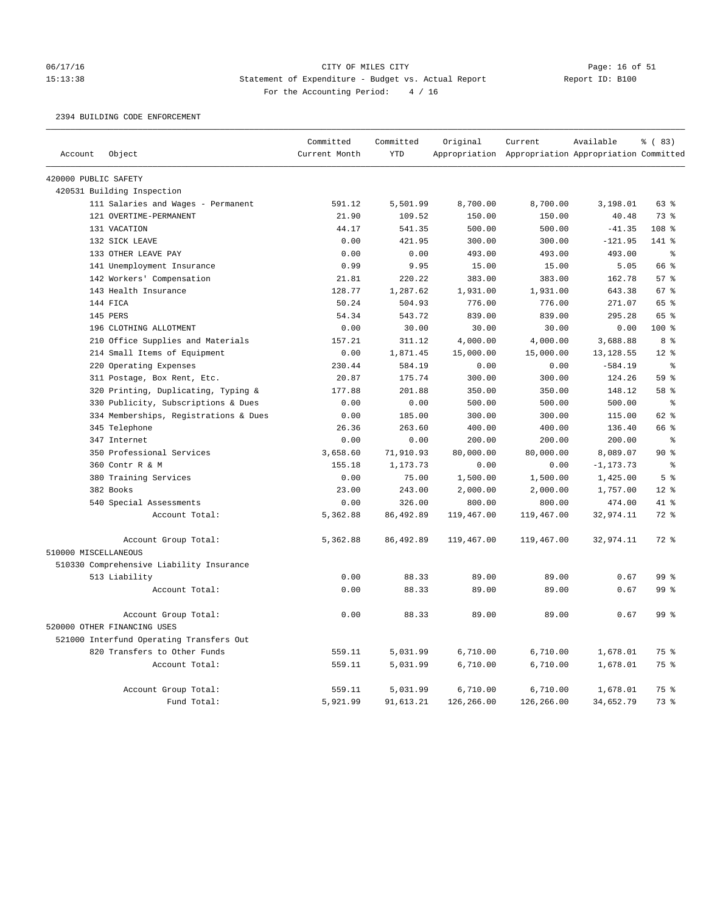#### 06/17/16 CITY OF MILES CITY Page: 16 of 51 15:13:38 Statement of Expenditure - Budget vs. Actual Report Report ID: B100 For the Accounting Period: 4 / 16

2394 BUILDING CODE ENFORCEMENT

|                      |                                          | Committed     | Committed  | Original   | Current                                             | Available    | % (83)          |
|----------------------|------------------------------------------|---------------|------------|------------|-----------------------------------------------------|--------------|-----------------|
| Account              | Object                                   | Current Month | <b>YTD</b> |            | Appropriation Appropriation Appropriation Committed |              |                 |
| 420000 PUBLIC SAFETY |                                          |               |            |            |                                                     |              |                 |
|                      | 420531 Building Inspection               |               |            |            |                                                     |              |                 |
|                      | 111 Salaries and Wages - Permanent       | 591.12        | 5,501.99   | 8,700.00   | 8,700.00                                            | 3,198.01     | 63 %            |
|                      | 121 OVERTIME-PERMANENT                   | 21.90         | 109.52     | 150.00     | 150.00                                              | 40.48        | 73 %            |
|                      | 131 VACATION                             | 44.17         | 541.35     | 500.00     | 500.00                                              | $-41.35$     | 108 %           |
|                      | 132 SICK LEAVE                           | 0.00          | 421.95     | 300.00     | 300.00                                              | $-121.95$    | 141 %           |
|                      | 133 OTHER LEAVE PAY                      | 0.00          | 0.00       | 493.00     | 493.00                                              | 493.00       | $\epsilon$      |
|                      | 141 Unemployment Insurance               | 0.99          | 9.95       | 15.00      | 15.00                                               | 5.05         | 66 %            |
|                      | 142 Workers' Compensation                | 21.81         | 220.22     | 383.00     | 383.00                                              | 162.78       | 57%             |
|                      | 143 Health Insurance                     | 128.77        | 1,287.62   | 1,931.00   | 1,931.00                                            | 643.38       | 67 %            |
|                      | 144 FICA                                 | 50.24         | 504.93     | 776.00     | 776.00                                              | 271.07       | 65 %            |
|                      | 145 PERS                                 | 54.34         | 543.72     | 839.00     | 839.00                                              | 295.28       | 65 %            |
|                      | 196 CLOTHING ALLOTMENT                   | 0.00          | 30.00      | 30.00      | 30.00                                               | 0.00         | 100 %           |
|                      | 210 Office Supplies and Materials        | 157.21        | 311.12     | 4,000.00   | 4,000.00                                            | 3,688.88     | 8 %             |
|                      | 214 Small Items of Equipment             | 0.00          | 1,871.45   | 15,000.00  | 15,000.00                                           | 13, 128.55   | $12*$           |
|                      | 220 Operating Expenses                   | 230.44        | 584.19     | 0.00       | 0.00                                                | $-584.19$    | နွ              |
|                      | 311 Postage, Box Rent, Etc.              | 20.87         | 175.74     | 300.00     | 300.00                                              | 124.26       | 59 %            |
|                      | 320 Printing, Duplicating, Typing &      | 177.88        | 201.88     | 350.00     | 350.00                                              | 148.12       | 58 %            |
|                      | 330 Publicity, Subscriptions & Dues      | 0.00          | 0.00       | 500.00     | 500.00                                              | 500.00       | $\,$ $\,$ $\,$  |
|                      | 334 Memberships, Registrations & Dues    | 0.00          | 185.00     | 300.00     | 300.00                                              | 115.00       | 62 %            |
|                      | 345 Telephone                            | 26.36         | 263.60     | 400.00     | 400.00                                              | 136.40       | 66 %            |
|                      | 347 Internet                             | 0.00          | 0.00       | 200.00     | 200.00                                              | 200.00       | $\rm ^{9}$      |
|                      | 350 Professional Services                | 3,658.60      | 71,910.93  | 80,000.00  | 80,000.00                                           | 8,089.07     | 90%             |
|                      | 360 Contr R & M                          | 155.18        | 1,173.73   | 0.00       | 0.00                                                | $-1, 173.73$ | $\epsilon$      |
|                      | 380 Training Services                    | 0.00          | 75.00      | 1,500.00   | 1,500.00                                            | 1,425.00     | 5 <sup>°</sup>  |
|                      | 382 Books                                | 23.00         | 243.00     | 2,000.00   | 2,000.00                                            | 1,757.00     | $12*$           |
|                      | 540 Special Assessments                  | 0.00          | 326.00     | 800.00     | 800.00                                              | 474.00       | 41 %            |
|                      | Account Total:                           | 5,362.88      | 86, 492.89 | 119,467.00 | 119,467.00                                          | 32,974.11    | 72 %            |
|                      | Account Group Total:                     | 5,362.88      | 86,492.89  | 119,467.00 | 119,467.00                                          | 32,974.11    | $72$ $%$        |
| 510000 MISCELLANEOUS |                                          |               |            |            |                                                     |              |                 |
|                      | 510330 Comprehensive Liability Insurance |               |            |            |                                                     |              |                 |
|                      | 513 Liability                            | 0.00          | 88.33      | 89.00      | 89.00                                               | 0.67         | 99 %            |
|                      | Account Total:                           | 0.00          | 88.33      | 89.00      | 89.00                                               | 0.67         | 99 <sup>8</sup> |
|                      | Account Group Total:                     | 0.00          | 88.33      | 89.00      | 89.00                                               | 0.67         | 99 <sup>8</sup> |
|                      | 520000 OTHER FINANCING USES              |               |            |            |                                                     |              |                 |
|                      | 521000 Interfund Operating Transfers Out |               |            |            |                                                     |              |                 |
|                      | 820 Transfers to Other Funds             | 559.11        | 5,031.99   | 6,710.00   | 6,710.00                                            | 1,678.01     | 75 %            |
|                      | Account Total:                           | 559.11        | 5,031.99   | 6,710.00   | 6,710.00                                            | 1,678.01     | 75 %            |
|                      | Account Group Total:                     | 559.11        | 5,031.99   | 6,710.00   | 6,710.00                                            | 1,678.01     | 75 %            |
|                      | Fund Total:                              | 5,921.99      | 91,613.21  | 126,266.00 | 126,266.00                                          | 34,652.79    | 73 %            |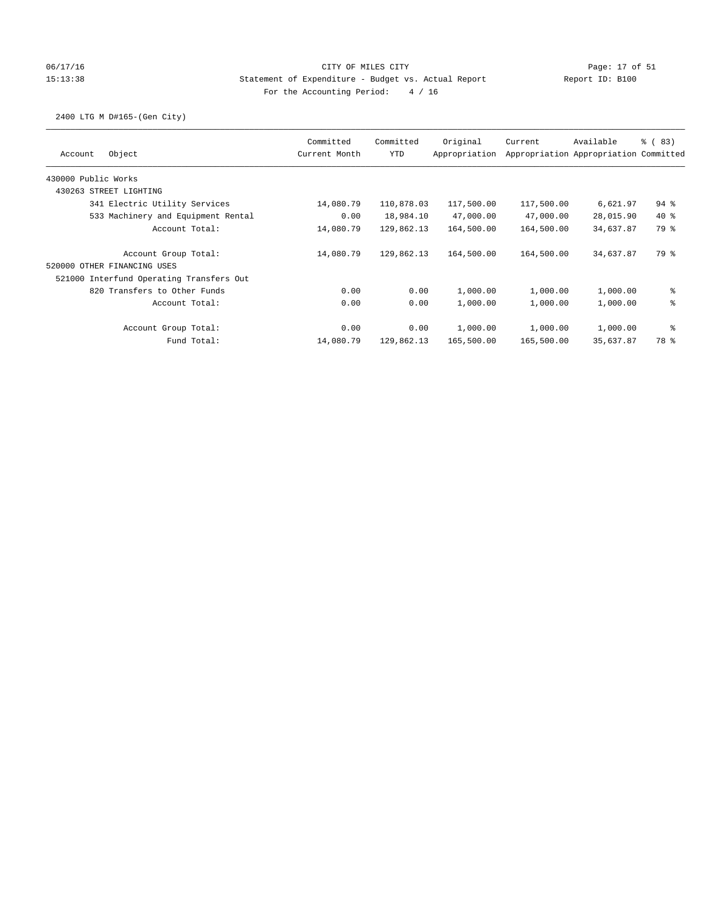### 06/17/16 Page: 17 of 51 Page: 17 of 51 15:13:38 Statement of Expenditure - Budget vs. Actual Report Report ID: B100 For the Accounting Period: 4 / 16

## 2400 LTG M D#165-(Gen City)

| Object<br>Account                        | Committed<br>Current Month | Committed<br><b>YTD</b> | Original<br>Appropriation | Current    | Available<br>Appropriation Appropriation Committed | <sub>ර</sub> ි ( 83 ) |
|------------------------------------------|----------------------------|-------------------------|---------------------------|------------|----------------------------------------------------|-----------------------|
| 430000 Public Works                      |                            |                         |                           |            |                                                    |                       |
| 430263 STREET LIGHTING                   |                            |                         |                           |            |                                                    |                       |
| 341 Electric Utility Services            | 14,080.79                  | 110,878.03              | 117,500.00                | 117,500.00 | 6,621.97                                           | $94$ $%$              |
| 533 Machinery and Equipment Rental       | 0.00                       | 18,984.10               | 47,000.00                 | 47,000.00  | 28,015.90                                          | $40*$                 |
| Account Total:                           | 14,080.79                  | 129,862.13              | 164,500.00                | 164,500.00 | 34,637.87                                          | 79 %                  |
| Account Group Total:                     | 14,080.79                  | 129,862.13              | 164,500.00                | 164,500.00 | 34,637.87                                          | 79 %                  |
| 520000 OTHER FINANCING USES              |                            |                         |                           |            |                                                    |                       |
| 521000 Interfund Operating Transfers Out |                            |                         |                           |            |                                                    |                       |
| 820 Transfers to Other Funds             | 0.00                       | 0.00                    | 1,000.00                  | 1,000.00   | 1,000.00                                           | နွ                    |
| Account Total:                           | 0.00                       | 0.00                    | 1,000.00                  | 1,000.00   | 1,000.00                                           | ి                     |
| Account Group Total:                     | 0.00                       | 0.00                    | 1,000.00                  | 1,000.00   | 1,000.00                                           | နွ                    |
| Fund Total:                              | 14,080.79                  | 129,862.13              | 165,500.00                | 165,500.00 | 35,637.87                                          | 78 %                  |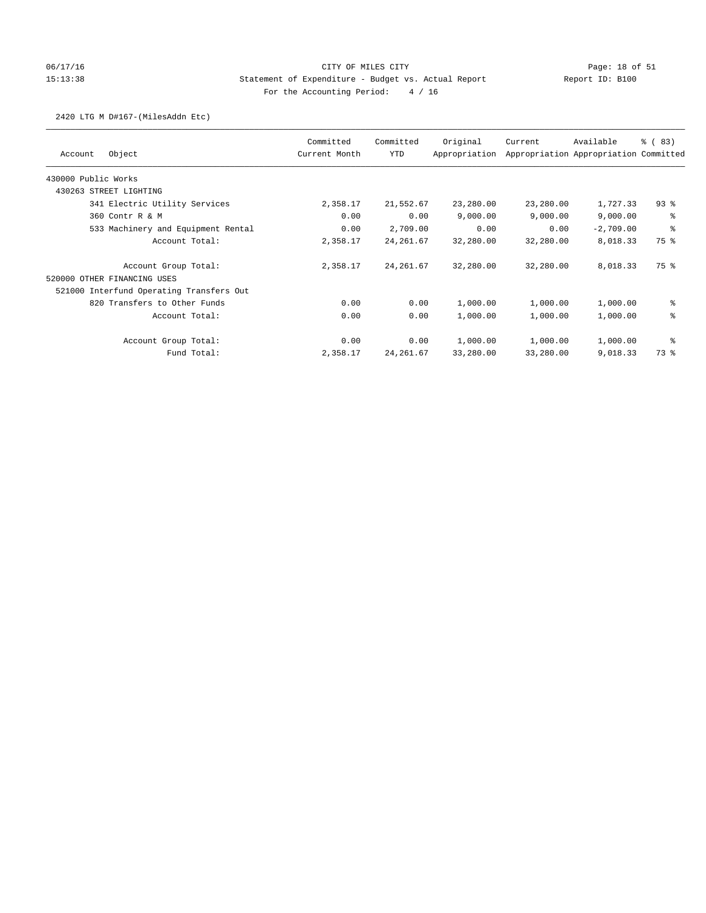### 06/17/16 Page: 18 of 51 Page: 18 of 51 15:13:38 Statement of Expenditure - Budget vs. Actual Report Report ID: B100 For the Accounting Period: 4 / 16

### 2420 LTG M D#167-(MilesAddn Etc)

|                                          | Committed     | Committed  | Original      | Current   | Available                             | % (83)   |
|------------------------------------------|---------------|------------|---------------|-----------|---------------------------------------|----------|
| Object<br>Account                        | Current Month | YTD        | Appropriation |           | Appropriation Appropriation Committed |          |
| 430000 Public Works                      |               |            |               |           |                                       |          |
| 430263 STREET LIGHTING                   |               |            |               |           |                                       |          |
| 341 Electric Utility Services            | 2,358.17      | 21,552.67  | 23,280.00     | 23,280.00 | 1,727.33                              | $93$ $%$ |
| 360 Contr R & M                          | 0.00          | 0.00       | 9,000.00      | 9,000.00  | 9,000.00                              | る        |
| 533 Machinery and Equipment Rental       | 0.00          | 2,709.00   | 0.00          | 0.00      | $-2,709.00$                           | る        |
| Account Total:                           | 2,358.17      | 24, 261.67 | 32,280.00     | 32,280.00 | 8,018.33                              | 75 %     |
| Account Group Total:                     | 2,358.17      | 24, 261.67 | 32,280.00     | 32,280.00 | 8,018.33                              | 75 %     |
| 520000 OTHER FINANCING USES              |               |            |               |           |                                       |          |
| 521000 Interfund Operating Transfers Out |               |            |               |           |                                       |          |
| 820 Transfers to Other Funds             | 0.00          | 0.00       | 1,000.00      | 1,000.00  | 1,000.00                              | ి        |
| Account Total:                           | 0.00          | 0.00       | 1,000.00      | 1,000.00  | 1,000.00                              | 昙        |
| Account Group Total:                     | 0.00          | 0.00       | 1,000.00      | 1,000.00  | 1,000.00                              | နွ       |
| Fund Total:                              | 2,358.17      | 24, 261.67 | 33,280.00     | 33,280.00 | 9,018.33                              | 73 %     |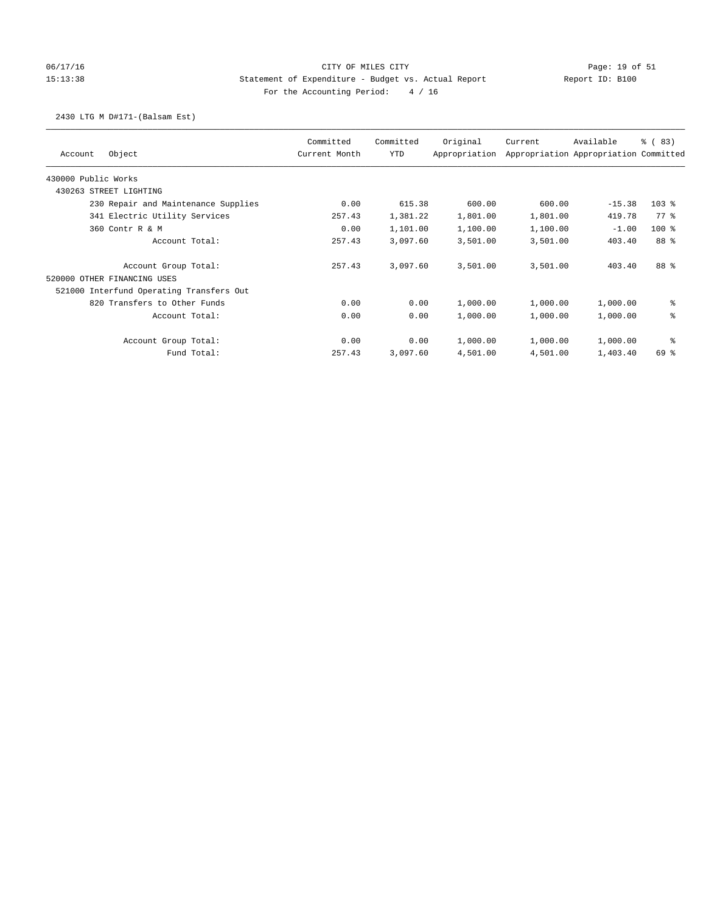# 06/17/16 Page: 19 of 51 Page: 19 of 51 15:13:38 Statement of Expenditure - Budget vs. Actual Report Report ID: B100 For the Accounting Period: 4 / 16

### 2430 LTG M D#171-(Balsam Est)

| Object<br>Account                        | Committed<br>Current Month | Committed<br><b>YTD</b> | Original<br>Appropriation | Current  | Available<br>Appropriation Appropriation Committed | % (83)  |
|------------------------------------------|----------------------------|-------------------------|---------------------------|----------|----------------------------------------------------|---------|
| 430000 Public Works                      |                            |                         |                           |          |                                                    |         |
| 430263 STREET LIGHTING                   |                            |                         |                           |          |                                                    |         |
| 230 Repair and Maintenance Supplies      | 0.00                       | 615.38                  | 600.00                    | 600.00   | $-15.38$                                           | $103$ % |
| 341 Electric Utility Services            | 257.43                     | 1,381.22                | 1,801.00                  | 1,801.00 | 419.78                                             | 77 %    |
| 360 Contr R & M                          | 0.00                       | 1,101.00                | 1,100.00                  | 1,100.00 | $-1.00$                                            | $100*$  |
| Account Total:                           | 257.43                     | 3,097.60                | 3,501.00                  | 3,501.00 | 403.40                                             | 88 %    |
| Account Group Total:                     | 257.43                     | 3,097.60                | 3,501.00                  | 3,501.00 | 403.40                                             | 88 %    |
| 520000 OTHER FINANCING USES              |                            |                         |                           |          |                                                    |         |
| 521000 Interfund Operating Transfers Out |                            |                         |                           |          |                                                    |         |
| 820 Transfers to Other Funds             | 0.00                       | 0.00                    | 1,000.00                  | 1,000.00 | 1,000.00                                           | နွ      |
| Account Total:                           | 0.00                       | 0.00                    | 1,000.00                  | 1,000.00 | 1,000.00                                           | ి       |
| Account Group Total:                     | 0.00                       | 0.00                    | 1,000.00                  | 1,000.00 | 1,000.00                                           | နွ      |
| Fund Total:                              | 257.43                     | 3,097.60                | 4,501.00                  | 4,501.00 | 1,403.40                                           | 69 %    |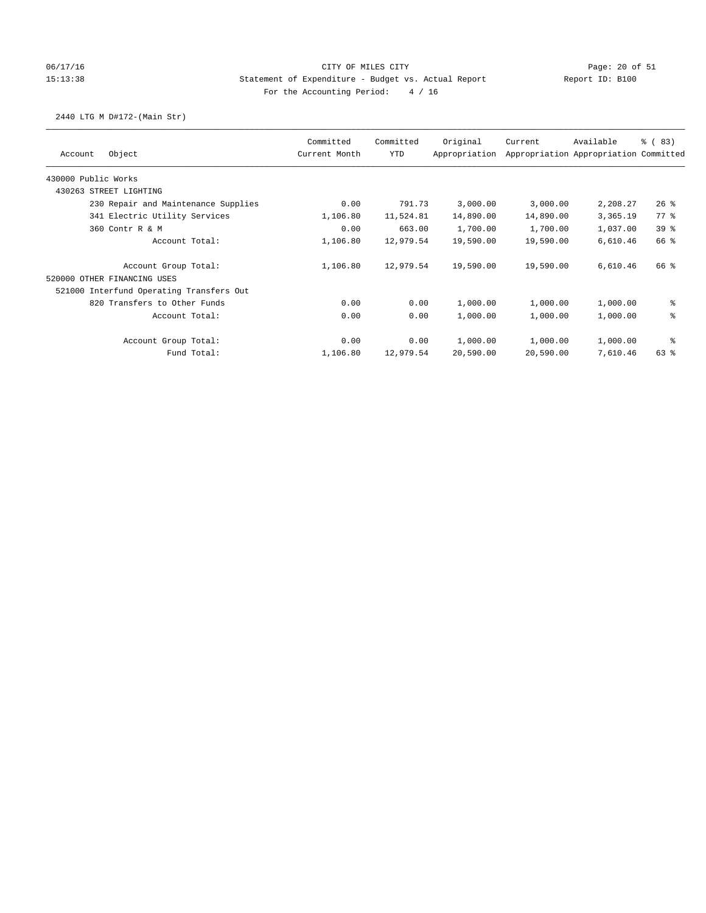## 06/17/16 Page: 20 of 51 Page: 20 of 51 15:13:38 Statement of Expenditure - Budget vs. Actual Report Report ID: B100 For the Accounting Period: 4 / 16

# 2440 LTG M D#172-(Main Str)

|                                          | Committed     | Committed  | Original      | Current   | Available                             | % (83)          |
|------------------------------------------|---------------|------------|---------------|-----------|---------------------------------------|-----------------|
| Object<br>Account                        | Current Month | <b>YTD</b> | Appropriation |           | Appropriation Appropriation Committed |                 |
| 430000 Public Works                      |               |            |               |           |                                       |                 |
| 430263 STREET LIGHTING                   |               |            |               |           |                                       |                 |
| 230 Repair and Maintenance Supplies      | 0.00          | 791.73     | 3,000.00      | 3,000.00  | 2,208.27                              | $26$ %          |
| 341 Electric Utility Services            | 1,106.80      | 11,524.81  | 14,890.00     | 14,890.00 | 3,365.19                              | 77.8            |
| 360 Contr R & M                          | 0.00          | 663.00     | 1,700.00      | 1,700.00  | 1,037.00                              | 39 <sup>8</sup> |
| Account Total:                           | 1,106.80      | 12,979.54  | 19,590.00     | 19,590.00 | 6,610.46                              | 66 %            |
| Account Group Total:                     | 1,106.80      | 12,979.54  | 19,590.00     | 19,590.00 | 6,610.46                              | 66 %            |
| 520000 OTHER FINANCING USES              |               |            |               |           |                                       |                 |
| 521000 Interfund Operating Transfers Out |               |            |               |           |                                       |                 |
| 820 Transfers to Other Funds             | 0.00          | 0.00       | 1,000.00      | 1,000.00  | 1,000.00                              | နွ              |
| Account Total:                           | 0.00          | 0.00       | 1,000.00      | 1,000.00  | 1,000.00                              | ి               |
| Account Group Total:                     | 0.00          | 0.00       | 1,000.00      | 1,000.00  | 1,000.00                              | နွ              |
| Fund Total:                              | 1,106.80      | 12,979.54  | 20,590.00     | 20,590.00 | 7,610.46                              | $63$ $%$        |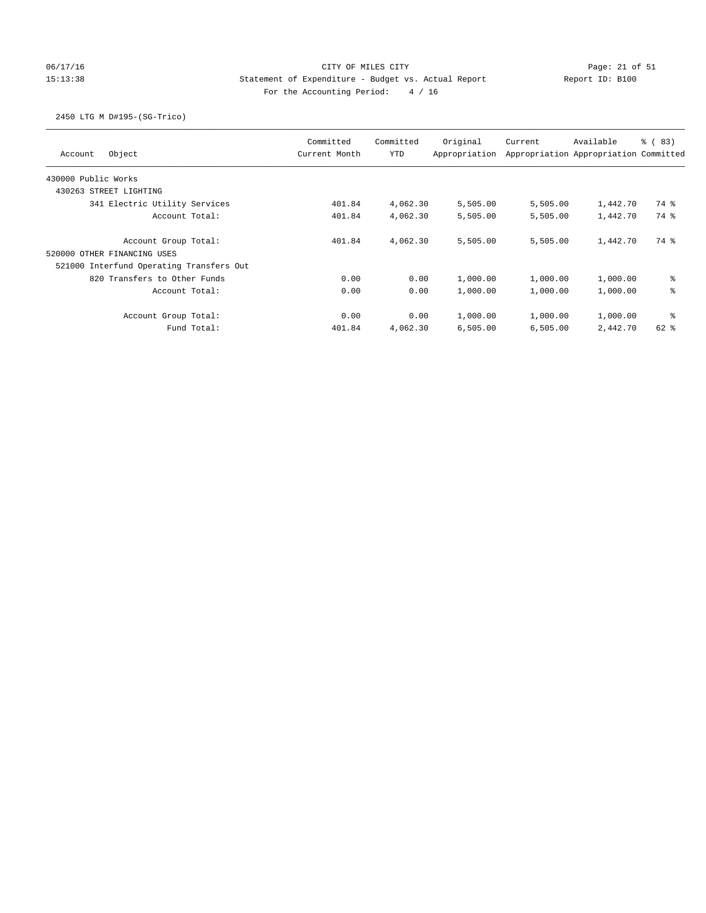# 06/17/16 Page: 21 of 51 Page: 21 of 51 15:13:38 Statement of Expenditure - Budget vs. Actual Report Report ID: B100 For the Accounting Period: 4 / 16

## 2450 LTG M D#195-(SG-Trico)

| Object<br>Account                        | Committed<br>Current Month | Committed<br>YTD | Original<br>Appropriation | Current  | Available<br>Appropriation Appropriation Committed | <sub>ර</sub> ි (83) |
|------------------------------------------|----------------------------|------------------|---------------------------|----------|----------------------------------------------------|---------------------|
| 430000 Public Works                      |                            |                  |                           |          |                                                    |                     |
| 430263 STREET LIGHTING                   |                            |                  |                           |          |                                                    |                     |
| 341 Electric Utility Services            | 401.84                     | 4,062.30         | 5,505.00                  | 5,505.00 | 1,442.70                                           | 74 %                |
| Account Total:                           | 401.84                     | 4,062.30         | 5,505.00                  | 5,505.00 | 1,442.70                                           | 74 %                |
| Account Group Total:                     | 401.84                     | 4,062.30         | 5,505.00                  | 5,505.00 | 1,442.70                                           | 74 %                |
| 520000 OTHER FINANCING USES              |                            |                  |                           |          |                                                    |                     |
| 521000 Interfund Operating Transfers Out |                            |                  |                           |          |                                                    |                     |
| 820 Transfers to Other Funds             | 0.00                       | 0.00             | 1,000.00                  | 1,000.00 | 1,000.00                                           | နွ                  |
| Account Total:                           | 0.00                       | 0.00             | 1,000.00                  | 1,000.00 | 1,000.00                                           | ి                   |
| Account Group Total:                     | 0.00                       | 0.00             | 1,000.00                  | 1,000.00 | 1,000.00                                           | ႜ                   |
| Fund Total:                              | 401.84                     | 4,062.30         | 6,505.00                  | 6,505.00 | 2,442.70                                           | $62$ $%$            |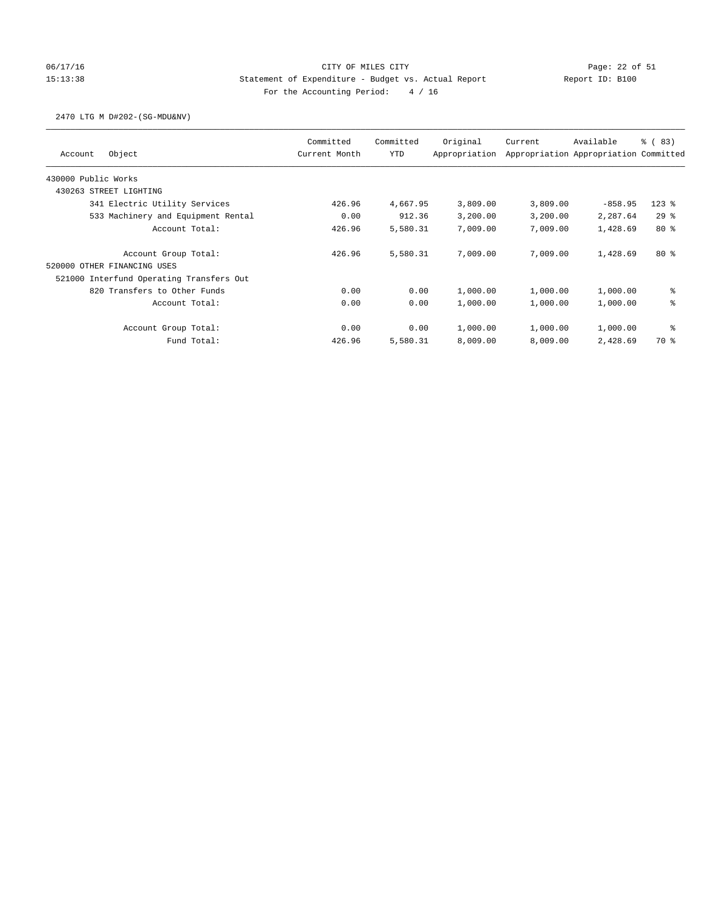# 06/17/16 Page: 22 of 51 15:13:38 Statement of Expenditure - Budget vs. Actual Report Report ID: B100 For the Accounting Period: 4 / 16

### 2470 LTG M D#202-(SG-MDU&NV)

| Object<br>Account                        | Committed<br>Current Month | Committed<br><b>YTD</b> | Original<br>Appropriation | Current  | Available<br>Appropriation Appropriation Committed | <sub>ර</sub> ි ( 83 ) |
|------------------------------------------|----------------------------|-------------------------|---------------------------|----------|----------------------------------------------------|-----------------------|
| 430000 Public Works                      |                            |                         |                           |          |                                                    |                       |
| 430263 STREET LIGHTING                   |                            |                         |                           |          |                                                    |                       |
| 341 Electric Utility Services            | 426.96                     | 4,667.95                | 3,809.00                  | 3,809.00 | $-858.95$                                          | $123$ $%$             |
| 533 Machinery and Equipment Rental       | 0.00                       | 912.36                  | 3,200.00                  | 3,200.00 | 2,287.64                                           | 29%                   |
| Account Total:                           | 426.96                     | 5,580.31                | 7,009.00                  | 7,009.00 | 1,428.69                                           | $80*$                 |
| Account Group Total:                     | 426.96                     | 5,580.31                | 7,009.00                  | 7,009.00 | 1,428.69                                           | $80*$                 |
| 520000<br>OTHER FINANCING USES           |                            |                         |                           |          |                                                    |                       |
| 521000 Interfund Operating Transfers Out |                            |                         |                           |          |                                                    |                       |
| 820 Transfers to Other Funds             | 0.00                       | 0.00                    | 1,000.00                  | 1,000.00 | 1,000.00                                           | နွ                    |
| Account Total:                           | 0.00                       | 0.00                    | 1,000.00                  | 1,000.00 | 1,000.00                                           | ి                     |
| Account Group Total:                     | 0.00                       | 0.00                    | 1,000.00                  | 1,000.00 | 1,000.00                                           | နွ                    |
| Fund Total:                              | 426.96                     | 5,580.31                | 8,009.00                  | 8,009.00 | 2,428.69                                           | 70 %                  |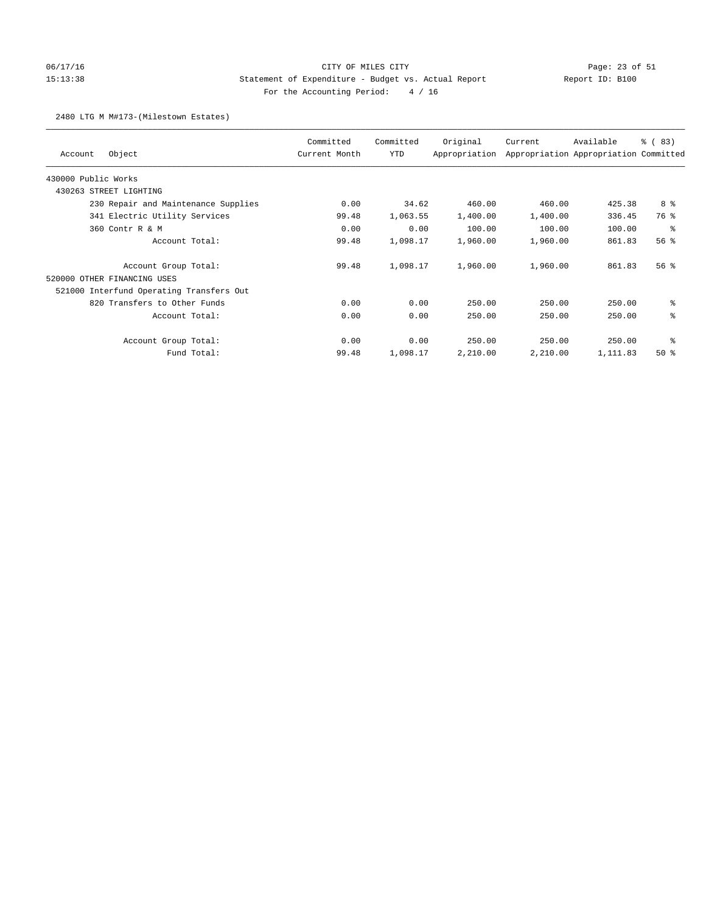# 06/17/16 Page: 23 of 51 15:13:38 Statement of Expenditure - Budget vs. Actual Report Report ID: B100 For the Accounting Period: 4 / 16

### 2480 LTG M M#173-(Milestown Estates)

| Object<br>Account                        | Committed<br>Current Month | Committed<br>YTD | Original<br>Appropriation | Current  | Available<br>Appropriation Appropriation Committed | % (83) |
|------------------------------------------|----------------------------|------------------|---------------------------|----------|----------------------------------------------------|--------|
| 430000 Public Works                      |                            |                  |                           |          |                                                    |        |
| 430263 STREET LIGHTING                   |                            |                  |                           |          |                                                    |        |
| 230 Repair and Maintenance Supplies      | 0.00                       | 34.62            | 460.00                    | 460.00   | 425.38                                             | 8 %    |
| 341 Electric Utility Services            | 99.48                      | 1,063.55         | 1,400.00                  | 1,400.00 | 336.45                                             | 76 %   |
| 360 Contr R & M                          | 0.00                       | 0.00             | 100.00                    | 100.00   | 100.00                                             | 昙      |
| Account Total:                           | 99.48                      | 1,098.17         | 1,960.00                  | 1,960.00 | 861.83                                             | 56%    |
| Account Group Total:                     | 99.48                      | 1,098.17         | 1,960.00                  | 1,960.00 | 861.83                                             | 56%    |
| 520000 OTHER FINANCING USES              |                            |                  |                           |          |                                                    |        |
| 521000 Interfund Operating Transfers Out |                            |                  |                           |          |                                                    |        |
| 820 Transfers to Other Funds             | 0.00                       | 0.00             | 250.00                    | 250.00   | 250.00                                             | ి      |
| Account Total:                           | 0.00                       | 0.00             | 250.00                    | 250.00   | 250.00                                             | ి      |
| Account Group Total:                     | 0.00                       | 0.00             | 250.00                    | 250.00   | 250.00                                             | る      |
| Fund Total:                              | 99.48                      | 1,098.17         | 2,210.00                  | 2,210.00 | 1,111.83                                           | $50*$  |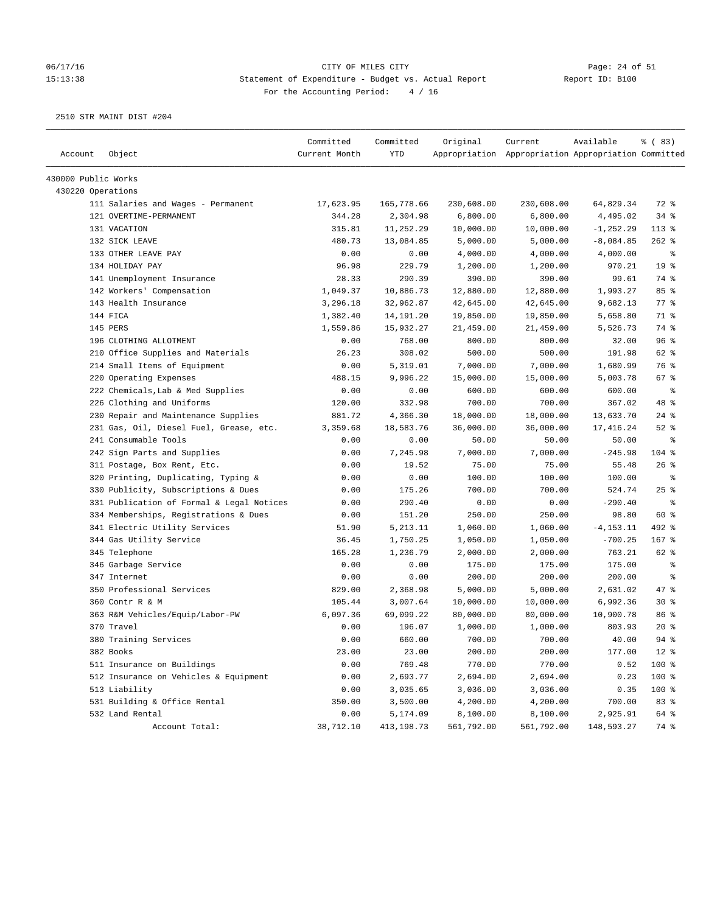# 06/17/16 Page: 24 of 51 15:13:38 Statement of Expenditure - Budget vs. Actual Report Report ID: B100 For the Accounting Period: 4 / 16

| Appropriation Appropriation Appropriation Committed<br>430000 Public Works<br>430220 Operations<br>111 Salaries and Wages - Permanent<br>17,623.95<br>165,778.66<br>230,608.00<br>230,608.00<br>64,829.34<br>72 %<br>34%<br>121 OVERTIME-PERMANENT<br>344.28<br>2,304.98<br>6,800.00<br>6,800.00<br>4,495.02<br>131 VACATION<br>315.81<br>11,252.29<br>10,000.00<br>10,000.00<br>$-1, 252.29$<br>$113*$<br>$262$ %<br>132 SICK LEAVE<br>480.73<br>13,084.85<br>5,000.00<br>5,000.00<br>$-8,084.85$<br>133 OTHER LEAVE PAY<br>0.00<br>4,000.00<br>4,000.00<br>0.00<br>4,000.00<br>ႜ<br>19 <sup>°</sup><br>134 HOLIDAY PAY<br>96.98<br>229.79<br>1,200.00<br>970.21<br>1,200.00<br>141 Unemployment Insurance<br>28.33<br>290.39<br>390.00<br>390.00<br>99.61<br>74 %<br>142 Workers' Compensation<br>1,049.37<br>10,886.73<br>12,880.00<br>12,880.00<br>1,993.27<br>85%<br>77.8<br>32,962.87<br>42,645.00<br>42,645.00<br>9,682.13<br>143 Health Insurance<br>3,296.18<br>144 FICA<br>71 %<br>1,382.40<br>14,191.20<br>19,850.00<br>19,850.00<br>5,658.80<br>145 PERS<br>1,559.86<br>15,932.27<br>21,459.00<br>21,459.00<br>5,526.73<br>74 %<br>96%<br>196 CLOTHING ALLOTMENT<br>0.00<br>768.00<br>800.00<br>800.00<br>32.00<br>62 %<br>210 Office Supplies and Materials<br>26.23<br>308.02<br>500.00<br>500.00<br>191.98<br>76 %<br>214 Small Items of Equipment<br>0.00<br>5,319.01<br>7,000.00<br>7,000.00<br>1,680.99<br>220 Operating Expenses<br>488.15<br>9,996.22<br>15,000.00<br>67%<br>15,000.00<br>5,003.78<br>222 Chemicals, Lab & Med Supplies<br>0.00<br>0.00<br>600.00<br>600.00<br>600.00<br>ႜ<br>48 %<br>226 Clothing and Uniforms<br>120.00<br>332.98<br>700.00<br>700.00<br>367.02<br>230 Repair and Maintenance Supplies<br>881.72<br>4,366.30<br>18,000.00<br>18,000.00<br>$24$ %<br>13,633.70<br>$52$ $%$<br>231 Gas, Oil, Diesel Fuel, Grease, etc.<br>3,359.68<br>18,583.76<br>36,000.00<br>36,000.00<br>17,416.24<br>241 Consumable Tools<br>0.00<br>0.00<br>50.00<br>50.00<br>50.00<br>ႜ<br>104 %<br>242 Sign Parts and Supplies<br>0.00<br>7,245.98<br>7,000.00<br>7,000.00<br>$-245.98$<br>26%<br>311 Postage, Box Rent, Etc.<br>0.00<br>19.52<br>75.00<br>75.00<br>55.48<br>320 Printing, Duplicating, Typing &<br>0.00<br>0.00<br>100.00<br>100.00<br>100.00<br>್ಠಿ<br>25%<br>330 Publicity, Subscriptions & Dues<br>0.00<br>175.26<br>700.00<br>700.00<br>524.74<br>331 Publication of Formal & Legal Notices<br>0.00<br>290.40<br>0.00<br>0.00<br>$-290.40$<br>နွ<br>60 %<br>334 Memberships, Registrations & Dues<br>0.00<br>151.20<br>250.00<br>250.00<br>98.80<br>341 Electric Utility Services<br>5,213.11<br>1,060.00<br>1,060.00<br>$-4, 153.11$<br>492 %<br>51.90<br>344 Gas Utility Service<br>$-700.25$<br>$167$ %<br>36.45<br>1,750.25<br>1,050.00<br>1,050.00<br>62 %<br>345 Telephone<br>165.28<br>1,236.79<br>2,000.00<br>2,000.00<br>763.21<br>346 Garbage Service<br>0.00<br>0.00<br>175.00<br>175.00<br>175.00<br>ႜ<br>347 Internet<br>0.00<br>0.00<br>200.00<br>200.00<br>200.00<br>နွ<br>5,000.00<br>47 %<br>350 Professional Services<br>829.00<br>2,368.98<br>5,000.00<br>2,631.02<br>360 Contr R & M<br>105.44<br>3,007.64<br>10,000.00<br>$30*$<br>10,000.00<br>6,992.36<br>86%<br>363 R&M Vehicles/Equip/Labor-PW<br>6,097.36<br>69,099.22<br>80,000.00<br>80,000.00<br>10,900.78<br>$20*$<br>370 Travel<br>0.00<br>196.07<br>1,000.00<br>803.93<br>1,000.00<br>380 Training Services<br>0.00<br>660.00<br>700.00<br>700.00<br>40.00<br>$94$ $%$<br>$12$ %<br>382 Books<br>23.00<br>23.00<br>200.00<br>200.00<br>177.00<br>511 Insurance on Buildings<br>100 %<br>0.00<br>769.48<br>770.00<br>770.00<br>0.52<br>100 %<br>512 Insurance on Vehicles & Equipment<br>0.00<br>2,693.77<br>2,694.00<br>2,694.00<br>0.23<br>513 Liability<br>0.00<br>0.35<br>100 %<br>3,035.65<br>3,036.00<br>3,036.00<br>531 Building & Office Rental<br>350.00<br>3,500.00<br>4,200.00<br>700.00<br>83 %<br>4,200.00<br>532 Land Rental<br>0.00<br>5,174.09<br>8,100.00<br>2,925.91<br>64 %<br>8,100.00<br>Account Total:<br>38,712.10<br>413,198.73<br>561,792.00<br>561,792.00<br>148,593.27<br>74 % | Account | Object | Committed<br>Current Month | Committed<br>YTD | Original | Current | Available | 8 ( 83) |
|-------------------------------------------------------------------------------------------------------------------------------------------------------------------------------------------------------------------------------------------------------------------------------------------------------------------------------------------------------------------------------------------------------------------------------------------------------------------------------------------------------------------------------------------------------------------------------------------------------------------------------------------------------------------------------------------------------------------------------------------------------------------------------------------------------------------------------------------------------------------------------------------------------------------------------------------------------------------------------------------------------------------------------------------------------------------------------------------------------------------------------------------------------------------------------------------------------------------------------------------------------------------------------------------------------------------------------------------------------------------------------------------------------------------------------------------------------------------------------------------------------------------------------------------------------------------------------------------------------------------------------------------------------------------------------------------------------------------------------------------------------------------------------------------------------------------------------------------------------------------------------------------------------------------------------------------------------------------------------------------------------------------------------------------------------------------------------------------------------------------------------------------------------------------------------------------------------------------------------------------------------------------------------------------------------------------------------------------------------------------------------------------------------------------------------------------------------------------------------------------------------------------------------------------------------------------------------------------------------------------------------------------------------------------------------------------------------------------------------------------------------------------------------------------------------------------------------------------------------------------------------------------------------------------------------------------------------------------------------------------------------------------------------------------------------------------------------------------------------------------------------------------------------------------------------------------------------------------------------------------------------------------------------------------------------------------------------------------------------------------------------------------------------------------------------------------------------------------------------------------------------------------------------------------------------------------------------------------------------------------------------------------------------------------------------------------------------------------------------------------------------------------------------------------------------------------------------------------------------------------------------------------------------------------------------------------------------------------------------------------------------------------------------------------------------------------------------------------------------------------------------------------|---------|--------|----------------------------|------------------|----------|---------|-----------|---------|
|                                                                                                                                                                                                                                                                                                                                                                                                                                                                                                                                                                                                                                                                                                                                                                                                                                                                                                                                                                                                                                                                                                                                                                                                                                                                                                                                                                                                                                                                                                                                                                                                                                                                                                                                                                                                                                                                                                                                                                                                                                                                                                                                                                                                                                                                                                                                                                                                                                                                                                                                                                                                                                                                                                                                                                                                                                                                                                                                                                                                                                                                                                                                                                                                                                                                                                                                                                                                                                                                                                                                                                                                                                                                                                                                                                                                                                                                                                                                                                                                                                                                                                                                           |         |        |                            |                  |          |         |           |         |
|                                                                                                                                                                                                                                                                                                                                                                                                                                                                                                                                                                                                                                                                                                                                                                                                                                                                                                                                                                                                                                                                                                                                                                                                                                                                                                                                                                                                                                                                                                                                                                                                                                                                                                                                                                                                                                                                                                                                                                                                                                                                                                                                                                                                                                                                                                                                                                                                                                                                                                                                                                                                                                                                                                                                                                                                                                                                                                                                                                                                                                                                                                                                                                                                                                                                                                                                                                                                                                                                                                                                                                                                                                                                                                                                                                                                                                                                                                                                                                                                                                                                                                                                           |         |        |                            |                  |          |         |           |         |
|                                                                                                                                                                                                                                                                                                                                                                                                                                                                                                                                                                                                                                                                                                                                                                                                                                                                                                                                                                                                                                                                                                                                                                                                                                                                                                                                                                                                                                                                                                                                                                                                                                                                                                                                                                                                                                                                                                                                                                                                                                                                                                                                                                                                                                                                                                                                                                                                                                                                                                                                                                                                                                                                                                                                                                                                                                                                                                                                                                                                                                                                                                                                                                                                                                                                                                                                                                                                                                                                                                                                                                                                                                                                                                                                                                                                                                                                                                                                                                                                                                                                                                                                           |         |        |                            |                  |          |         |           |         |
|                                                                                                                                                                                                                                                                                                                                                                                                                                                                                                                                                                                                                                                                                                                                                                                                                                                                                                                                                                                                                                                                                                                                                                                                                                                                                                                                                                                                                                                                                                                                                                                                                                                                                                                                                                                                                                                                                                                                                                                                                                                                                                                                                                                                                                                                                                                                                                                                                                                                                                                                                                                                                                                                                                                                                                                                                                                                                                                                                                                                                                                                                                                                                                                                                                                                                                                                                                                                                                                                                                                                                                                                                                                                                                                                                                                                                                                                                                                                                                                                                                                                                                                                           |         |        |                            |                  |          |         |           |         |
|                                                                                                                                                                                                                                                                                                                                                                                                                                                                                                                                                                                                                                                                                                                                                                                                                                                                                                                                                                                                                                                                                                                                                                                                                                                                                                                                                                                                                                                                                                                                                                                                                                                                                                                                                                                                                                                                                                                                                                                                                                                                                                                                                                                                                                                                                                                                                                                                                                                                                                                                                                                                                                                                                                                                                                                                                                                                                                                                                                                                                                                                                                                                                                                                                                                                                                                                                                                                                                                                                                                                                                                                                                                                                                                                                                                                                                                                                                                                                                                                                                                                                                                                           |         |        |                            |                  |          |         |           |         |
|                                                                                                                                                                                                                                                                                                                                                                                                                                                                                                                                                                                                                                                                                                                                                                                                                                                                                                                                                                                                                                                                                                                                                                                                                                                                                                                                                                                                                                                                                                                                                                                                                                                                                                                                                                                                                                                                                                                                                                                                                                                                                                                                                                                                                                                                                                                                                                                                                                                                                                                                                                                                                                                                                                                                                                                                                                                                                                                                                                                                                                                                                                                                                                                                                                                                                                                                                                                                                                                                                                                                                                                                                                                                                                                                                                                                                                                                                                                                                                                                                                                                                                                                           |         |        |                            |                  |          |         |           |         |
|                                                                                                                                                                                                                                                                                                                                                                                                                                                                                                                                                                                                                                                                                                                                                                                                                                                                                                                                                                                                                                                                                                                                                                                                                                                                                                                                                                                                                                                                                                                                                                                                                                                                                                                                                                                                                                                                                                                                                                                                                                                                                                                                                                                                                                                                                                                                                                                                                                                                                                                                                                                                                                                                                                                                                                                                                                                                                                                                                                                                                                                                                                                                                                                                                                                                                                                                                                                                                                                                                                                                                                                                                                                                                                                                                                                                                                                                                                                                                                                                                                                                                                                                           |         |        |                            |                  |          |         |           |         |
|                                                                                                                                                                                                                                                                                                                                                                                                                                                                                                                                                                                                                                                                                                                                                                                                                                                                                                                                                                                                                                                                                                                                                                                                                                                                                                                                                                                                                                                                                                                                                                                                                                                                                                                                                                                                                                                                                                                                                                                                                                                                                                                                                                                                                                                                                                                                                                                                                                                                                                                                                                                                                                                                                                                                                                                                                                                                                                                                                                                                                                                                                                                                                                                                                                                                                                                                                                                                                                                                                                                                                                                                                                                                                                                                                                                                                                                                                                                                                                                                                                                                                                                                           |         |        |                            |                  |          |         |           |         |
|                                                                                                                                                                                                                                                                                                                                                                                                                                                                                                                                                                                                                                                                                                                                                                                                                                                                                                                                                                                                                                                                                                                                                                                                                                                                                                                                                                                                                                                                                                                                                                                                                                                                                                                                                                                                                                                                                                                                                                                                                                                                                                                                                                                                                                                                                                                                                                                                                                                                                                                                                                                                                                                                                                                                                                                                                                                                                                                                                                                                                                                                                                                                                                                                                                                                                                                                                                                                                                                                                                                                                                                                                                                                                                                                                                                                                                                                                                                                                                                                                                                                                                                                           |         |        |                            |                  |          |         |           |         |
|                                                                                                                                                                                                                                                                                                                                                                                                                                                                                                                                                                                                                                                                                                                                                                                                                                                                                                                                                                                                                                                                                                                                                                                                                                                                                                                                                                                                                                                                                                                                                                                                                                                                                                                                                                                                                                                                                                                                                                                                                                                                                                                                                                                                                                                                                                                                                                                                                                                                                                                                                                                                                                                                                                                                                                                                                                                                                                                                                                                                                                                                                                                                                                                                                                                                                                                                                                                                                                                                                                                                                                                                                                                                                                                                                                                                                                                                                                                                                                                                                                                                                                                                           |         |        |                            |                  |          |         |           |         |
|                                                                                                                                                                                                                                                                                                                                                                                                                                                                                                                                                                                                                                                                                                                                                                                                                                                                                                                                                                                                                                                                                                                                                                                                                                                                                                                                                                                                                                                                                                                                                                                                                                                                                                                                                                                                                                                                                                                                                                                                                                                                                                                                                                                                                                                                                                                                                                                                                                                                                                                                                                                                                                                                                                                                                                                                                                                                                                                                                                                                                                                                                                                                                                                                                                                                                                                                                                                                                                                                                                                                                                                                                                                                                                                                                                                                                                                                                                                                                                                                                                                                                                                                           |         |        |                            |                  |          |         |           |         |
|                                                                                                                                                                                                                                                                                                                                                                                                                                                                                                                                                                                                                                                                                                                                                                                                                                                                                                                                                                                                                                                                                                                                                                                                                                                                                                                                                                                                                                                                                                                                                                                                                                                                                                                                                                                                                                                                                                                                                                                                                                                                                                                                                                                                                                                                                                                                                                                                                                                                                                                                                                                                                                                                                                                                                                                                                                                                                                                                                                                                                                                                                                                                                                                                                                                                                                                                                                                                                                                                                                                                                                                                                                                                                                                                                                                                                                                                                                                                                                                                                                                                                                                                           |         |        |                            |                  |          |         |           |         |
|                                                                                                                                                                                                                                                                                                                                                                                                                                                                                                                                                                                                                                                                                                                                                                                                                                                                                                                                                                                                                                                                                                                                                                                                                                                                                                                                                                                                                                                                                                                                                                                                                                                                                                                                                                                                                                                                                                                                                                                                                                                                                                                                                                                                                                                                                                                                                                                                                                                                                                                                                                                                                                                                                                                                                                                                                                                                                                                                                                                                                                                                                                                                                                                                                                                                                                                                                                                                                                                                                                                                                                                                                                                                                                                                                                                                                                                                                                                                                                                                                                                                                                                                           |         |        |                            |                  |          |         |           |         |
|                                                                                                                                                                                                                                                                                                                                                                                                                                                                                                                                                                                                                                                                                                                                                                                                                                                                                                                                                                                                                                                                                                                                                                                                                                                                                                                                                                                                                                                                                                                                                                                                                                                                                                                                                                                                                                                                                                                                                                                                                                                                                                                                                                                                                                                                                                                                                                                                                                                                                                                                                                                                                                                                                                                                                                                                                                                                                                                                                                                                                                                                                                                                                                                                                                                                                                                                                                                                                                                                                                                                                                                                                                                                                                                                                                                                                                                                                                                                                                                                                                                                                                                                           |         |        |                            |                  |          |         |           |         |
|                                                                                                                                                                                                                                                                                                                                                                                                                                                                                                                                                                                                                                                                                                                                                                                                                                                                                                                                                                                                                                                                                                                                                                                                                                                                                                                                                                                                                                                                                                                                                                                                                                                                                                                                                                                                                                                                                                                                                                                                                                                                                                                                                                                                                                                                                                                                                                                                                                                                                                                                                                                                                                                                                                                                                                                                                                                                                                                                                                                                                                                                                                                                                                                                                                                                                                                                                                                                                                                                                                                                                                                                                                                                                                                                                                                                                                                                                                                                                                                                                                                                                                                                           |         |        |                            |                  |          |         |           |         |
|                                                                                                                                                                                                                                                                                                                                                                                                                                                                                                                                                                                                                                                                                                                                                                                                                                                                                                                                                                                                                                                                                                                                                                                                                                                                                                                                                                                                                                                                                                                                                                                                                                                                                                                                                                                                                                                                                                                                                                                                                                                                                                                                                                                                                                                                                                                                                                                                                                                                                                                                                                                                                                                                                                                                                                                                                                                                                                                                                                                                                                                                                                                                                                                                                                                                                                                                                                                                                                                                                                                                                                                                                                                                                                                                                                                                                                                                                                                                                                                                                                                                                                                                           |         |        |                            |                  |          |         |           |         |
|                                                                                                                                                                                                                                                                                                                                                                                                                                                                                                                                                                                                                                                                                                                                                                                                                                                                                                                                                                                                                                                                                                                                                                                                                                                                                                                                                                                                                                                                                                                                                                                                                                                                                                                                                                                                                                                                                                                                                                                                                                                                                                                                                                                                                                                                                                                                                                                                                                                                                                                                                                                                                                                                                                                                                                                                                                                                                                                                                                                                                                                                                                                                                                                                                                                                                                                                                                                                                                                                                                                                                                                                                                                                                                                                                                                                                                                                                                                                                                                                                                                                                                                                           |         |        |                            |                  |          |         |           |         |
|                                                                                                                                                                                                                                                                                                                                                                                                                                                                                                                                                                                                                                                                                                                                                                                                                                                                                                                                                                                                                                                                                                                                                                                                                                                                                                                                                                                                                                                                                                                                                                                                                                                                                                                                                                                                                                                                                                                                                                                                                                                                                                                                                                                                                                                                                                                                                                                                                                                                                                                                                                                                                                                                                                                                                                                                                                                                                                                                                                                                                                                                                                                                                                                                                                                                                                                                                                                                                                                                                                                                                                                                                                                                                                                                                                                                                                                                                                                                                                                                                                                                                                                                           |         |        |                            |                  |          |         |           |         |
|                                                                                                                                                                                                                                                                                                                                                                                                                                                                                                                                                                                                                                                                                                                                                                                                                                                                                                                                                                                                                                                                                                                                                                                                                                                                                                                                                                                                                                                                                                                                                                                                                                                                                                                                                                                                                                                                                                                                                                                                                                                                                                                                                                                                                                                                                                                                                                                                                                                                                                                                                                                                                                                                                                                                                                                                                                                                                                                                                                                                                                                                                                                                                                                                                                                                                                                                                                                                                                                                                                                                                                                                                                                                                                                                                                                                                                                                                                                                                                                                                                                                                                                                           |         |        |                            |                  |          |         |           |         |
|                                                                                                                                                                                                                                                                                                                                                                                                                                                                                                                                                                                                                                                                                                                                                                                                                                                                                                                                                                                                                                                                                                                                                                                                                                                                                                                                                                                                                                                                                                                                                                                                                                                                                                                                                                                                                                                                                                                                                                                                                                                                                                                                                                                                                                                                                                                                                                                                                                                                                                                                                                                                                                                                                                                                                                                                                                                                                                                                                                                                                                                                                                                                                                                                                                                                                                                                                                                                                                                                                                                                                                                                                                                                                                                                                                                                                                                                                                                                                                                                                                                                                                                                           |         |        |                            |                  |          |         |           |         |
|                                                                                                                                                                                                                                                                                                                                                                                                                                                                                                                                                                                                                                                                                                                                                                                                                                                                                                                                                                                                                                                                                                                                                                                                                                                                                                                                                                                                                                                                                                                                                                                                                                                                                                                                                                                                                                                                                                                                                                                                                                                                                                                                                                                                                                                                                                                                                                                                                                                                                                                                                                                                                                                                                                                                                                                                                                                                                                                                                                                                                                                                                                                                                                                                                                                                                                                                                                                                                                                                                                                                                                                                                                                                                                                                                                                                                                                                                                                                                                                                                                                                                                                                           |         |        |                            |                  |          |         |           |         |
|                                                                                                                                                                                                                                                                                                                                                                                                                                                                                                                                                                                                                                                                                                                                                                                                                                                                                                                                                                                                                                                                                                                                                                                                                                                                                                                                                                                                                                                                                                                                                                                                                                                                                                                                                                                                                                                                                                                                                                                                                                                                                                                                                                                                                                                                                                                                                                                                                                                                                                                                                                                                                                                                                                                                                                                                                                                                                                                                                                                                                                                                                                                                                                                                                                                                                                                                                                                                                                                                                                                                                                                                                                                                                                                                                                                                                                                                                                                                                                                                                                                                                                                                           |         |        |                            |                  |          |         |           |         |
|                                                                                                                                                                                                                                                                                                                                                                                                                                                                                                                                                                                                                                                                                                                                                                                                                                                                                                                                                                                                                                                                                                                                                                                                                                                                                                                                                                                                                                                                                                                                                                                                                                                                                                                                                                                                                                                                                                                                                                                                                                                                                                                                                                                                                                                                                                                                                                                                                                                                                                                                                                                                                                                                                                                                                                                                                                                                                                                                                                                                                                                                                                                                                                                                                                                                                                                                                                                                                                                                                                                                                                                                                                                                                                                                                                                                                                                                                                                                                                                                                                                                                                                                           |         |        |                            |                  |          |         |           |         |
|                                                                                                                                                                                                                                                                                                                                                                                                                                                                                                                                                                                                                                                                                                                                                                                                                                                                                                                                                                                                                                                                                                                                                                                                                                                                                                                                                                                                                                                                                                                                                                                                                                                                                                                                                                                                                                                                                                                                                                                                                                                                                                                                                                                                                                                                                                                                                                                                                                                                                                                                                                                                                                                                                                                                                                                                                                                                                                                                                                                                                                                                                                                                                                                                                                                                                                                                                                                                                                                                                                                                                                                                                                                                                                                                                                                                                                                                                                                                                                                                                                                                                                                                           |         |        |                            |                  |          |         |           |         |
|                                                                                                                                                                                                                                                                                                                                                                                                                                                                                                                                                                                                                                                                                                                                                                                                                                                                                                                                                                                                                                                                                                                                                                                                                                                                                                                                                                                                                                                                                                                                                                                                                                                                                                                                                                                                                                                                                                                                                                                                                                                                                                                                                                                                                                                                                                                                                                                                                                                                                                                                                                                                                                                                                                                                                                                                                                                                                                                                                                                                                                                                                                                                                                                                                                                                                                                                                                                                                                                                                                                                                                                                                                                                                                                                                                                                                                                                                                                                                                                                                                                                                                                                           |         |        |                            |                  |          |         |           |         |
|                                                                                                                                                                                                                                                                                                                                                                                                                                                                                                                                                                                                                                                                                                                                                                                                                                                                                                                                                                                                                                                                                                                                                                                                                                                                                                                                                                                                                                                                                                                                                                                                                                                                                                                                                                                                                                                                                                                                                                                                                                                                                                                                                                                                                                                                                                                                                                                                                                                                                                                                                                                                                                                                                                                                                                                                                                                                                                                                                                                                                                                                                                                                                                                                                                                                                                                                                                                                                                                                                                                                                                                                                                                                                                                                                                                                                                                                                                                                                                                                                                                                                                                                           |         |        |                            |                  |          |         |           |         |
|                                                                                                                                                                                                                                                                                                                                                                                                                                                                                                                                                                                                                                                                                                                                                                                                                                                                                                                                                                                                                                                                                                                                                                                                                                                                                                                                                                                                                                                                                                                                                                                                                                                                                                                                                                                                                                                                                                                                                                                                                                                                                                                                                                                                                                                                                                                                                                                                                                                                                                                                                                                                                                                                                                                                                                                                                                                                                                                                                                                                                                                                                                                                                                                                                                                                                                                                                                                                                                                                                                                                                                                                                                                                                                                                                                                                                                                                                                                                                                                                                                                                                                                                           |         |        |                            |                  |          |         |           |         |
|                                                                                                                                                                                                                                                                                                                                                                                                                                                                                                                                                                                                                                                                                                                                                                                                                                                                                                                                                                                                                                                                                                                                                                                                                                                                                                                                                                                                                                                                                                                                                                                                                                                                                                                                                                                                                                                                                                                                                                                                                                                                                                                                                                                                                                                                                                                                                                                                                                                                                                                                                                                                                                                                                                                                                                                                                                                                                                                                                                                                                                                                                                                                                                                                                                                                                                                                                                                                                                                                                                                                                                                                                                                                                                                                                                                                                                                                                                                                                                                                                                                                                                                                           |         |        |                            |                  |          |         |           |         |
|                                                                                                                                                                                                                                                                                                                                                                                                                                                                                                                                                                                                                                                                                                                                                                                                                                                                                                                                                                                                                                                                                                                                                                                                                                                                                                                                                                                                                                                                                                                                                                                                                                                                                                                                                                                                                                                                                                                                                                                                                                                                                                                                                                                                                                                                                                                                                                                                                                                                                                                                                                                                                                                                                                                                                                                                                                                                                                                                                                                                                                                                                                                                                                                                                                                                                                                                                                                                                                                                                                                                                                                                                                                                                                                                                                                                                                                                                                                                                                                                                                                                                                                                           |         |        |                            |                  |          |         |           |         |
|                                                                                                                                                                                                                                                                                                                                                                                                                                                                                                                                                                                                                                                                                                                                                                                                                                                                                                                                                                                                                                                                                                                                                                                                                                                                                                                                                                                                                                                                                                                                                                                                                                                                                                                                                                                                                                                                                                                                                                                                                                                                                                                                                                                                                                                                                                                                                                                                                                                                                                                                                                                                                                                                                                                                                                                                                                                                                                                                                                                                                                                                                                                                                                                                                                                                                                                                                                                                                                                                                                                                                                                                                                                                                                                                                                                                                                                                                                                                                                                                                                                                                                                                           |         |        |                            |                  |          |         |           |         |
|                                                                                                                                                                                                                                                                                                                                                                                                                                                                                                                                                                                                                                                                                                                                                                                                                                                                                                                                                                                                                                                                                                                                                                                                                                                                                                                                                                                                                                                                                                                                                                                                                                                                                                                                                                                                                                                                                                                                                                                                                                                                                                                                                                                                                                                                                                                                                                                                                                                                                                                                                                                                                                                                                                                                                                                                                                                                                                                                                                                                                                                                                                                                                                                                                                                                                                                                                                                                                                                                                                                                                                                                                                                                                                                                                                                                                                                                                                                                                                                                                                                                                                                                           |         |        |                            |                  |          |         |           |         |
|                                                                                                                                                                                                                                                                                                                                                                                                                                                                                                                                                                                                                                                                                                                                                                                                                                                                                                                                                                                                                                                                                                                                                                                                                                                                                                                                                                                                                                                                                                                                                                                                                                                                                                                                                                                                                                                                                                                                                                                                                                                                                                                                                                                                                                                                                                                                                                                                                                                                                                                                                                                                                                                                                                                                                                                                                                                                                                                                                                                                                                                                                                                                                                                                                                                                                                                                                                                                                                                                                                                                                                                                                                                                                                                                                                                                                                                                                                                                                                                                                                                                                                                                           |         |        |                            |                  |          |         |           |         |
|                                                                                                                                                                                                                                                                                                                                                                                                                                                                                                                                                                                                                                                                                                                                                                                                                                                                                                                                                                                                                                                                                                                                                                                                                                                                                                                                                                                                                                                                                                                                                                                                                                                                                                                                                                                                                                                                                                                                                                                                                                                                                                                                                                                                                                                                                                                                                                                                                                                                                                                                                                                                                                                                                                                                                                                                                                                                                                                                                                                                                                                                                                                                                                                                                                                                                                                                                                                                                                                                                                                                                                                                                                                                                                                                                                                                                                                                                                                                                                                                                                                                                                                                           |         |        |                            |                  |          |         |           |         |
|                                                                                                                                                                                                                                                                                                                                                                                                                                                                                                                                                                                                                                                                                                                                                                                                                                                                                                                                                                                                                                                                                                                                                                                                                                                                                                                                                                                                                                                                                                                                                                                                                                                                                                                                                                                                                                                                                                                                                                                                                                                                                                                                                                                                                                                                                                                                                                                                                                                                                                                                                                                                                                                                                                                                                                                                                                                                                                                                                                                                                                                                                                                                                                                                                                                                                                                                                                                                                                                                                                                                                                                                                                                                                                                                                                                                                                                                                                                                                                                                                                                                                                                                           |         |        |                            |                  |          |         |           |         |
|                                                                                                                                                                                                                                                                                                                                                                                                                                                                                                                                                                                                                                                                                                                                                                                                                                                                                                                                                                                                                                                                                                                                                                                                                                                                                                                                                                                                                                                                                                                                                                                                                                                                                                                                                                                                                                                                                                                                                                                                                                                                                                                                                                                                                                                                                                                                                                                                                                                                                                                                                                                                                                                                                                                                                                                                                                                                                                                                                                                                                                                                                                                                                                                                                                                                                                                                                                                                                                                                                                                                                                                                                                                                                                                                                                                                                                                                                                                                                                                                                                                                                                                                           |         |        |                            |                  |          |         |           |         |
|                                                                                                                                                                                                                                                                                                                                                                                                                                                                                                                                                                                                                                                                                                                                                                                                                                                                                                                                                                                                                                                                                                                                                                                                                                                                                                                                                                                                                                                                                                                                                                                                                                                                                                                                                                                                                                                                                                                                                                                                                                                                                                                                                                                                                                                                                                                                                                                                                                                                                                                                                                                                                                                                                                                                                                                                                                                                                                                                                                                                                                                                                                                                                                                                                                                                                                                                                                                                                                                                                                                                                                                                                                                                                                                                                                                                                                                                                                                                                                                                                                                                                                                                           |         |        |                            |                  |          |         |           |         |
|                                                                                                                                                                                                                                                                                                                                                                                                                                                                                                                                                                                                                                                                                                                                                                                                                                                                                                                                                                                                                                                                                                                                                                                                                                                                                                                                                                                                                                                                                                                                                                                                                                                                                                                                                                                                                                                                                                                                                                                                                                                                                                                                                                                                                                                                                                                                                                                                                                                                                                                                                                                                                                                                                                                                                                                                                                                                                                                                                                                                                                                                                                                                                                                                                                                                                                                                                                                                                                                                                                                                                                                                                                                                                                                                                                                                                                                                                                                                                                                                                                                                                                                                           |         |        |                            |                  |          |         |           |         |
|                                                                                                                                                                                                                                                                                                                                                                                                                                                                                                                                                                                                                                                                                                                                                                                                                                                                                                                                                                                                                                                                                                                                                                                                                                                                                                                                                                                                                                                                                                                                                                                                                                                                                                                                                                                                                                                                                                                                                                                                                                                                                                                                                                                                                                                                                                                                                                                                                                                                                                                                                                                                                                                                                                                                                                                                                                                                                                                                                                                                                                                                                                                                                                                                                                                                                                                                                                                                                                                                                                                                                                                                                                                                                                                                                                                                                                                                                                                                                                                                                                                                                                                                           |         |        |                            |                  |          |         |           |         |
|                                                                                                                                                                                                                                                                                                                                                                                                                                                                                                                                                                                                                                                                                                                                                                                                                                                                                                                                                                                                                                                                                                                                                                                                                                                                                                                                                                                                                                                                                                                                                                                                                                                                                                                                                                                                                                                                                                                                                                                                                                                                                                                                                                                                                                                                                                                                                                                                                                                                                                                                                                                                                                                                                                                                                                                                                                                                                                                                                                                                                                                                                                                                                                                                                                                                                                                                                                                                                                                                                                                                                                                                                                                                                                                                                                                                                                                                                                                                                                                                                                                                                                                                           |         |        |                            |                  |          |         |           |         |
|                                                                                                                                                                                                                                                                                                                                                                                                                                                                                                                                                                                                                                                                                                                                                                                                                                                                                                                                                                                                                                                                                                                                                                                                                                                                                                                                                                                                                                                                                                                                                                                                                                                                                                                                                                                                                                                                                                                                                                                                                                                                                                                                                                                                                                                                                                                                                                                                                                                                                                                                                                                                                                                                                                                                                                                                                                                                                                                                                                                                                                                                                                                                                                                                                                                                                                                                                                                                                                                                                                                                                                                                                                                                                                                                                                                                                                                                                                                                                                                                                                                                                                                                           |         |        |                            |                  |          |         |           |         |
|                                                                                                                                                                                                                                                                                                                                                                                                                                                                                                                                                                                                                                                                                                                                                                                                                                                                                                                                                                                                                                                                                                                                                                                                                                                                                                                                                                                                                                                                                                                                                                                                                                                                                                                                                                                                                                                                                                                                                                                                                                                                                                                                                                                                                                                                                                                                                                                                                                                                                                                                                                                                                                                                                                                                                                                                                                                                                                                                                                                                                                                                                                                                                                                                                                                                                                                                                                                                                                                                                                                                                                                                                                                                                                                                                                                                                                                                                                                                                                                                                                                                                                                                           |         |        |                            |                  |          |         |           |         |
|                                                                                                                                                                                                                                                                                                                                                                                                                                                                                                                                                                                                                                                                                                                                                                                                                                                                                                                                                                                                                                                                                                                                                                                                                                                                                                                                                                                                                                                                                                                                                                                                                                                                                                                                                                                                                                                                                                                                                                                                                                                                                                                                                                                                                                                                                                                                                                                                                                                                                                                                                                                                                                                                                                                                                                                                                                                                                                                                                                                                                                                                                                                                                                                                                                                                                                                                                                                                                                                                                                                                                                                                                                                                                                                                                                                                                                                                                                                                                                                                                                                                                                                                           |         |        |                            |                  |          |         |           |         |
|                                                                                                                                                                                                                                                                                                                                                                                                                                                                                                                                                                                                                                                                                                                                                                                                                                                                                                                                                                                                                                                                                                                                                                                                                                                                                                                                                                                                                                                                                                                                                                                                                                                                                                                                                                                                                                                                                                                                                                                                                                                                                                                                                                                                                                                                                                                                                                                                                                                                                                                                                                                                                                                                                                                                                                                                                                                                                                                                                                                                                                                                                                                                                                                                                                                                                                                                                                                                                                                                                                                                                                                                                                                                                                                                                                                                                                                                                                                                                                                                                                                                                                                                           |         |        |                            |                  |          |         |           |         |
|                                                                                                                                                                                                                                                                                                                                                                                                                                                                                                                                                                                                                                                                                                                                                                                                                                                                                                                                                                                                                                                                                                                                                                                                                                                                                                                                                                                                                                                                                                                                                                                                                                                                                                                                                                                                                                                                                                                                                                                                                                                                                                                                                                                                                                                                                                                                                                                                                                                                                                                                                                                                                                                                                                                                                                                                                                                                                                                                                                                                                                                                                                                                                                                                                                                                                                                                                                                                                                                                                                                                                                                                                                                                                                                                                                                                                                                                                                                                                                                                                                                                                                                                           |         |        |                            |                  |          |         |           |         |
|                                                                                                                                                                                                                                                                                                                                                                                                                                                                                                                                                                                                                                                                                                                                                                                                                                                                                                                                                                                                                                                                                                                                                                                                                                                                                                                                                                                                                                                                                                                                                                                                                                                                                                                                                                                                                                                                                                                                                                                                                                                                                                                                                                                                                                                                                                                                                                                                                                                                                                                                                                                                                                                                                                                                                                                                                                                                                                                                                                                                                                                                                                                                                                                                                                                                                                                                                                                                                                                                                                                                                                                                                                                                                                                                                                                                                                                                                                                                                                                                                                                                                                                                           |         |        |                            |                  |          |         |           |         |
|                                                                                                                                                                                                                                                                                                                                                                                                                                                                                                                                                                                                                                                                                                                                                                                                                                                                                                                                                                                                                                                                                                                                                                                                                                                                                                                                                                                                                                                                                                                                                                                                                                                                                                                                                                                                                                                                                                                                                                                                                                                                                                                                                                                                                                                                                                                                                                                                                                                                                                                                                                                                                                                                                                                                                                                                                                                                                                                                                                                                                                                                                                                                                                                                                                                                                                                                                                                                                                                                                                                                                                                                                                                                                                                                                                                                                                                                                                                                                                                                                                                                                                                                           |         |        |                            |                  |          |         |           |         |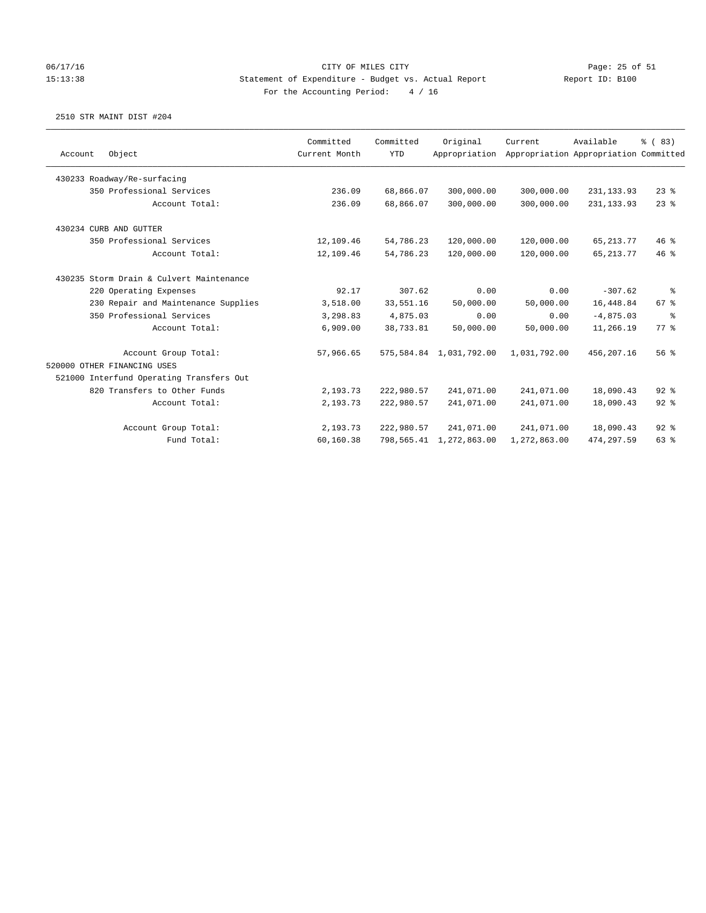#### 06/17/16 Page: 25 of 51 15:13:38 Statement of Expenditure - Budget vs. Actual Report Report ID: B100 For the Accounting Period: 4 / 16

|         |                                          | Committed     | Committed  | Original                | Current      | Available                             | % (83)     |
|---------|------------------------------------------|---------------|------------|-------------------------|--------------|---------------------------------------|------------|
| Account | Object                                   | Current Month | <b>YTD</b> | Appropriation           |              | Appropriation Appropriation Committed |            |
|         | 430233 Roadway/Re-surfacing              |               |            |                         |              |                                       |            |
|         | 350 Professional Services                | 236.09        | 68,866.07  | 300,000.00              | 300,000.00   | 231, 133.93                           | $23$ %     |
|         | Account Total:                           | 236.09        | 68,866.07  | 300,000.00              | 300,000.00   | 231, 133.93                           | 23%        |
|         | 430234 CURB AND GUTTER                   |               |            |                         |              |                                       |            |
|         | 350 Professional Services                | 12,109.46     | 54,786.23  | 120,000.00              | 120,000.00   | 65, 213.77                            | 46%        |
|         | Account Total:                           | 12,109.46     | 54,786.23  | 120,000.00              | 120,000.00   | 65, 213.77                            | 46 %       |
|         | 430235 Storm Drain & Culvert Maintenance |               |            |                         |              |                                       |            |
|         | 220 Operating Expenses                   | 92.17         | 307.62     | 0.00                    | 0.00         | $-307.62$                             | နွ         |
|         | 230 Repair and Maintenance Supplies      | 3,518.00      | 33,551.16  | 50,000.00               | 50,000.00    | 16,448.84                             | 67%        |
|         | 350 Professional Services                | 3,298.83      | 4,875.03   | 0.00                    | 0.00         | $-4,875.03$                           | $\epsilon$ |
|         | Account Total:                           | 6,909.00      | 38,733.81  | 50,000.00               | 50,000.00    | 11,266.19                             | $77$ $%$   |
|         | Account Group Total:                     | 57,966.65     |            | 575,584.84 1,031,792.00 | 1,031,792.00 | 456,207.16                            | 56%        |
|         | 520000 OTHER FINANCING USES              |               |            |                         |              |                                       |            |
|         | 521000 Interfund Operating Transfers Out |               |            |                         |              |                                       |            |
|         | 820 Transfers to Other Funds             | 2,193.73      | 222,980.57 | 241,071.00              | 241,071.00   | 18,090.43                             | 92%        |
|         | Account Total:                           | 2,193.73      | 222,980.57 | 241,071.00              | 241,071.00   | 18,090.43                             | 92%        |
|         | Account Group Total:                     | 2,193.73      | 222,980.57 | 241,071.00              | 241,071.00   | 18,090.43                             | $92$ $%$   |
|         | Fund Total:                              | 60,160.38     |            | 798,565.41 1,272,863.00 | 1,272,863.00 | 474,297.59                            | 63 %       |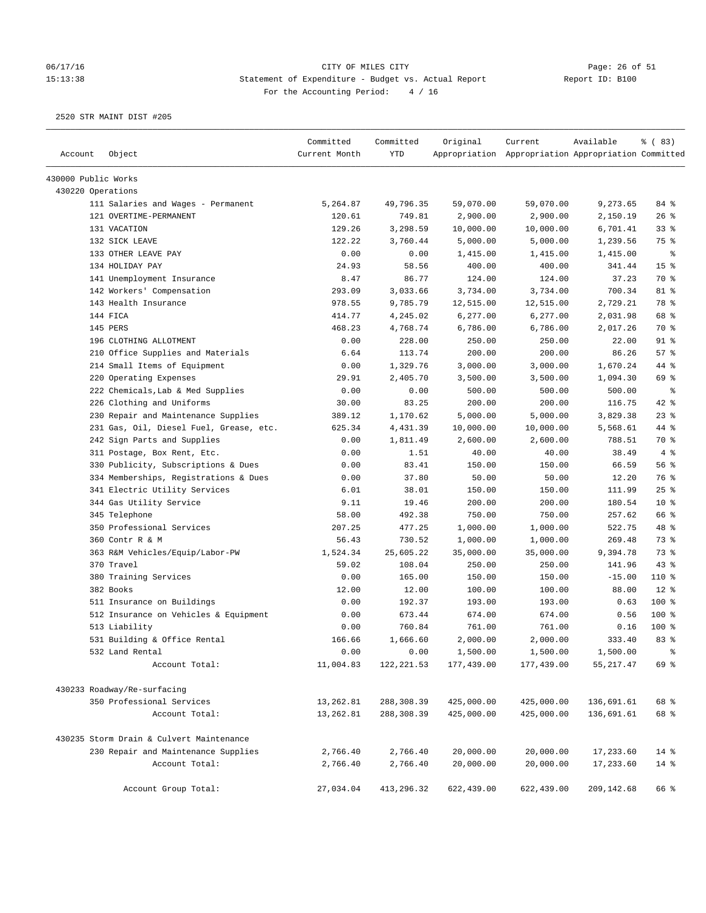# 06/17/16 Page: 26 of 51 15:13:38 Statement of Expenditure - Budget vs. Actual Report Changer Report ID: B100 For the Accounting Period: 4 / 16

| Account             | Object                                   | Committed<br>Current Month | Committed<br><b>YTD</b> | Original   | Current<br>Appropriation Appropriation Appropriation Committed | Available  | % (83)          |
|---------------------|------------------------------------------|----------------------------|-------------------------|------------|----------------------------------------------------------------|------------|-----------------|
|                     |                                          |                            |                         |            |                                                                |            |                 |
| 430000 Public Works |                                          |                            |                         |            |                                                                |            |                 |
| 430220 Operations   |                                          |                            |                         |            |                                                                |            |                 |
|                     | 111 Salaries and Wages - Permanent       | 5,264.87                   | 49,796.35               | 59,070.00  | 59,070.00                                                      | 9,273.65   | 84 %            |
|                     | 121 OVERTIME-PERMANENT                   | 120.61                     | 749.81                  | 2,900.00   | 2,900.00                                                       | 2,150.19   | 26%             |
|                     | 131 VACATION                             | 129.26                     | 3,298.59                | 10,000.00  | 10,000.00                                                      | 6,701.41   | $33$ %          |
|                     | 132 SICK LEAVE                           | 122.22                     | 3,760.44                | 5,000.00   | 5,000.00                                                       | 1,239.56   | 75 %            |
|                     | 133 OTHER LEAVE PAY                      | 0.00                       | 0.00                    | 1,415.00   | 1,415.00                                                       | 1,415.00   | ႜ               |
|                     | 134 HOLIDAY PAY                          | 24.93                      | 58.56                   | 400.00     | 400.00                                                         | 341.44     | 15 <sup>°</sup> |
|                     | 141 Unemployment Insurance               | 8.47                       | 86.77                   | 124.00     | 124.00                                                         | 37.23      | 70 %            |
|                     | 142 Workers' Compensation                | 293.09                     | 3,033.66                | 3,734.00   | 3,734.00                                                       | 700.34     | 81 %            |
|                     | 143 Health Insurance                     | 978.55                     | 9,785.79                | 12,515.00  | 12,515.00                                                      | 2,729.21   | 78 %            |
|                     | 144 FICA                                 | 414.77                     | 4,245.02                | 6,277.00   | 6,277.00                                                       | 2,031.98   | 68 %            |
|                     | 145 PERS                                 | 468.23                     | 4,768.74                | 6,786.00   | 6,786.00                                                       | 2,017.26   | 70 %            |
|                     | 196 CLOTHING ALLOTMENT                   | 0.00                       | 228.00                  | 250.00     | 250.00                                                         | 22.00      | $91$ %          |
|                     | 210 Office Supplies and Materials        | 6.64                       | 113.74                  | 200.00     | 200.00                                                         | 86.26      | 57%             |
|                     | 214 Small Items of Equipment             | 0.00                       | 1,329.76                | 3,000.00   | 3,000.00                                                       | 1,670.24   | 44 %            |
|                     | 220 Operating Expenses                   | 29.91                      | 2,405.70                | 3,500.00   | 3,500.00                                                       | 1,094.30   | 69 %            |
|                     | 222 Chemicals, Lab & Med Supplies        | 0.00                       | 0.00                    | 500.00     | 500.00                                                         | 500.00     | နွ              |
|                     | 226 Clothing and Uniforms                | 30.00                      | 83.25                   | 200.00     | 200.00                                                         | 116.75     | 42 %            |
|                     | 230 Repair and Maintenance Supplies      | 389.12                     | 1,170.62                | 5,000.00   | 5,000.00                                                       | 3,829.38   | 23%             |
|                     | 231 Gas, Oil, Diesel Fuel, Grease, etc.  | 625.34                     | 4,431.39                | 10,000.00  | 10,000.00                                                      | 5,568.61   | 44 %            |
|                     | 242 Sign Parts and Supplies              | 0.00                       | 1,811.49                | 2,600.00   | 2,600.00                                                       | 788.51     | 70 %            |
|                     | 311 Postage, Box Rent, Etc.              | 0.00                       | 1.51                    | 40.00      | 40.00                                                          | 38.49      | 4%              |
|                     | 330 Publicity, Subscriptions & Dues      | 0.00                       | 83.41                   | 150.00     | 150.00                                                         | 66.59      | 56 %            |
|                     | 334 Memberships, Registrations & Dues    | 0.00                       | 37.80                   | 50.00      | 50.00                                                          | 12.20      | 76 %            |
|                     | 341 Electric Utility Services            | 6.01                       | 38.01                   | 150.00     | 150.00                                                         | 111.99     | 25%             |
|                     | 344 Gas Utility Service                  | 9.11                       | 19.46                   | 200.00     | 200.00                                                         | 180.54     | $10*$           |
|                     | 345 Telephone                            | 58.00                      | 492.38                  | 750.00     | 750.00                                                         | 257.62     | 66 %            |
|                     | 350 Professional Services                | 207.25                     | 477.25                  | 1,000.00   | 1,000.00                                                       | 522.75     | 48 %            |
|                     | 360 Contr R & M                          | 56.43                      | 730.52                  | 1,000.00   | 1,000.00                                                       | 269.48     | 73 %            |
|                     | 363 R&M Vehicles/Equip/Labor-PW          | 1,524.34                   | 25,605.22               | 35,000.00  | 35,000.00                                                      | 9,394.78   | 73 %            |
|                     | 370 Travel                               | 59.02                      | 108.04                  | 250.00     | 250.00                                                         | 141.96     | 43%             |
|                     | 380 Training Services                    | 0.00                       | 165.00                  | 150.00     | 150.00                                                         | $-15.00$   | 110 %           |
|                     | 382 Books                                | 12.00                      | 12.00                   | 100.00     | 100.00                                                         | 88.00      | $12*$           |
|                     | 511 Insurance on Buildings               | 0.00                       | 192.37                  | 193.00     | 193.00                                                         | 0.63       | 100 %           |
|                     | 512 Insurance on Vehicles & Equipment    | 0.00                       | 673.44                  | 674.00     | 674.00                                                         | 0.56       | 100 %           |
|                     | 513 Liability                            | 0.00                       | 760.84                  | 761.00     | 761.00                                                         | 0.16       | $100$ %         |
|                     | 531 Building & Office Rental             | 166.66                     | 1,666.60                | 2,000.00   | 2,000.00                                                       | 333.40     | 83%             |
|                     | 532 Land Rental                          | 0.00                       | 0.00                    | 1,500.00   | 1,500.00                                                       | 1,500.00   | $\,$ $\,$ $\,$  |
|                     | Account Total:                           | 11,004.83                  | 122, 221.53             | 177,439.00 | 177,439.00                                                     | 55, 217.47 | 69 %            |
|                     | 430233 Roadway/Re-surfacing              |                            |                         |            |                                                                |            |                 |
|                     | 350 Professional Services                | 13,262.81                  | 288,308.39              | 425,000.00 | 425,000.00                                                     | 136,691.61 | 68 %            |
|                     | Account Total:                           | 13,262.81                  | 288,308.39              | 425,000.00 | 425,000.00                                                     | 136,691.61 | 68 %            |
|                     | 430235 Storm Drain & Culvert Maintenance |                            |                         |            |                                                                |            |                 |
|                     | 230 Repair and Maintenance Supplies      | 2,766.40                   | 2,766.40                | 20,000.00  | 20,000.00                                                      | 17,233.60  | $14*$           |
|                     | Account Total:                           | 2,766.40                   | 2,766.40                | 20,000.00  | 20,000.00                                                      | 17,233.60  | $14*$           |
|                     |                                          |                            |                         |            |                                                                |            |                 |
|                     | Account Group Total:                     | 27,034.04                  | 413,296.32              | 622,439.00 | 622,439.00                                                     | 209,142.68 | 66 %            |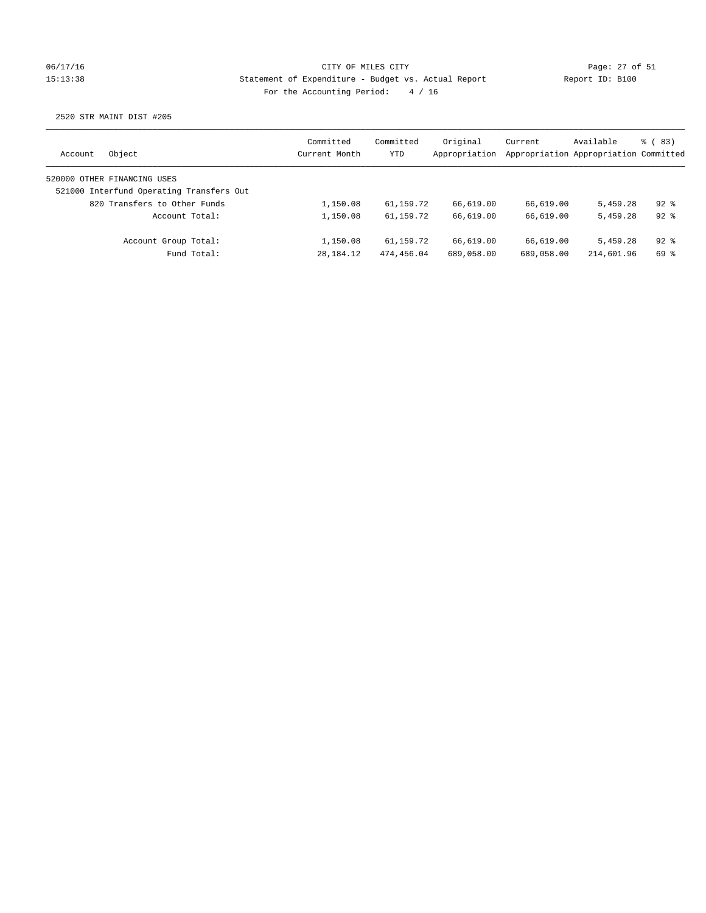### 06/17/16 Page: 27 of 51 15:13:38 Statement of Expenditure - Budget vs. Actual Report Report ID: B100 For the Accounting Period: 4 / 16

| Account | Object                                   | Committed<br>Current Month | Committed<br>YTD | Original<br>Appropriation | Current    | Available<br>Appropriation Appropriation Committed | % (83)   |
|---------|------------------------------------------|----------------------------|------------------|---------------------------|------------|----------------------------------------------------|----------|
|         | 520000 OTHER FINANCING USES              |                            |                  |                           |            |                                                    |          |
|         | 521000 Interfund Operating Transfers Out |                            |                  |                           |            |                                                    |          |
|         | 820 Transfers to Other Funds             | 1,150.08                   | 61,159.72        | 66,619.00                 | 66,619.00  | 5,459.28                                           | $92*$    |
|         | Account Total:                           | 1,150.08                   | 61,159.72        | 66,619.00                 | 66,619.00  | 5,459.28                                           | $92*$    |
|         | Account Group Total:                     | 1,150.08                   | 61,159.72        | 66,619.00                 | 66,619.00  | 5,459.28                                           | $92$ $%$ |
|         | Fund Total:                              | 28, 184. 12                | 474,456.04       | 689,058.00                | 689,058.00 | 214,601.96                                         | 69 %     |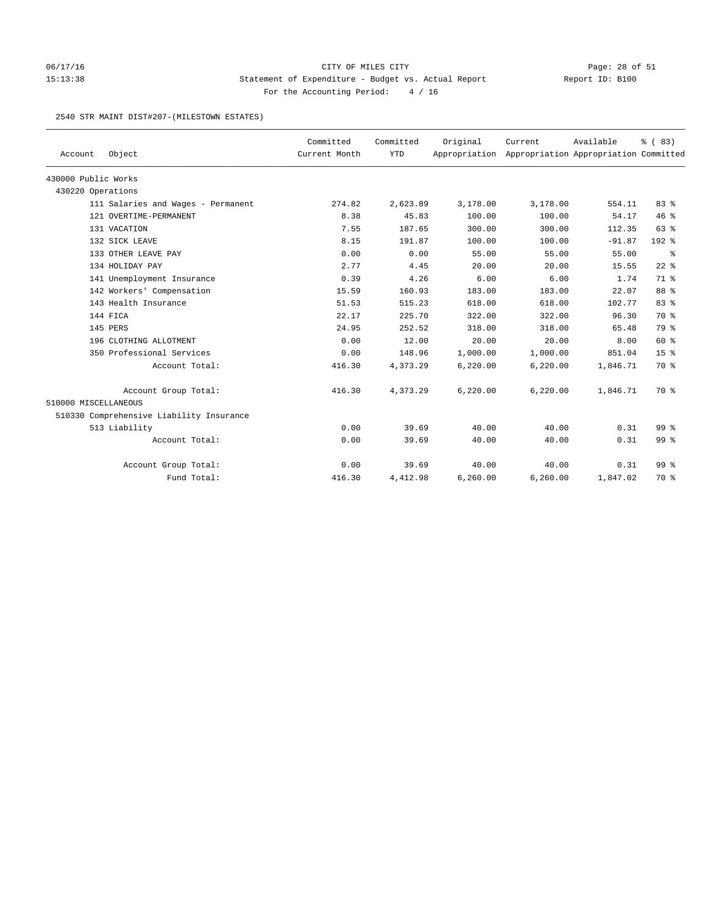# 06/17/16 Page: 28 of 51 15:13:38 Statement of Expenditure - Budget vs. Actual Report Report ID: B100 For the Accounting Period: 4 / 16

#### 2540 STR MAINT DIST#207-(MILESTOWN ESTATES)

| Account              | Object                                   | Committed<br>Current Month | Committed<br><b>YTD</b> | Original | Current<br>Appropriation Appropriation Appropriation Committed | Available | % (83)          |
|----------------------|------------------------------------------|----------------------------|-------------------------|----------|----------------------------------------------------------------|-----------|-----------------|
|                      |                                          |                            |                         |          |                                                                |           |                 |
| 430000 Public Works  |                                          |                            |                         |          |                                                                |           |                 |
| 430220 Operations    |                                          |                            |                         |          |                                                                |           |                 |
|                      | 111 Salaries and Wages - Permanent       | 274.82                     | 2,623.89                | 3,178.00 | 3,178.00                                                       | 554.11    | 83%             |
|                      | 121 OVERTIME-PERMANENT                   | 8.38                       | 45.83                   | 100.00   | 100.00                                                         | 54.17     | 46%             |
|                      | 131 VACATION                             | 7.55                       | 187.65                  | 300.00   | 300.00                                                         | 112.35    | 63%             |
|                      | 132 SICK LEAVE                           | 8.15                       | 191.87                  | 100.00   | 100.00                                                         | $-91.87$  | $192$ %         |
|                      | 133 OTHER LEAVE PAY                      | 0.00                       | 0.00                    | 55.00    | 55.00                                                          | 55.00     | နွ              |
|                      | 134 HOLIDAY PAY                          | 2.77                       | 4.45                    | 20.00    | 20.00                                                          | 15.55     | $22$ %          |
|                      | 141 Unemployment Insurance               | 0.39                       | 4.26                    | 6.00     | 6.00                                                           | 1.74      | 71.8            |
|                      | 142 Workers' Compensation                | 15.59                      | 160.93                  | 183.00   | 183.00                                                         | 22.07     | 88 %            |
|                      | 143 Health Insurance                     | 51.53                      | 515.23                  | 618.00   | 618.00                                                         | 102.77    | 83 %            |
|                      | 144 FICA                                 | 22.17                      | 225.70                  | 322.00   | 322.00                                                         | 96.30     | 70 %            |
|                      | 145 PERS                                 | 24.95                      | 252.52                  | 318.00   | 318.00                                                         | 65.48     | 79 %            |
|                      | 196 CLOTHING ALLOTMENT                   | 0.00                       | 12.00                   | 20.00    | 20.00                                                          | 8.00      | 60 %            |
|                      | 350 Professional Services                | 0.00                       | 148.96                  | 1,000.00 | 1,000.00                                                       | 851.04    | 15 <sup>°</sup> |
|                      | Account Total:                           | 416.30                     | 4,373.29                | 6,220.00 | 6,220.00                                                       | 1,846.71  | 70 %            |
|                      | Account Group Total:                     | 416.30                     | 4,373.29                | 6,220.00 | 6,220.00                                                       | 1,846.71  | 70 %            |
| 510000 MISCELLANEOUS |                                          |                            |                         |          |                                                                |           |                 |
|                      | 510330 Comprehensive Liability Insurance |                            |                         |          |                                                                |           |                 |
|                      | 513 Liability                            | 0.00                       | 39.69                   | 40.00    | 40.00                                                          | 0.31      | 99 %            |
|                      | Account Total:                           | 0.00                       | 39.69                   | 40.00    | 40.00                                                          | 0.31      | 99 %            |
|                      | Account Group Total:                     | 0.00                       | 39.69                   | 40.00    | 40.00                                                          | 0.31      | 99 <sup>8</sup> |
|                      | Fund Total:                              | 416.30                     | 4,412.98                | 6,260.00 | 6,260.00                                                       | 1,847.02  | 70 %            |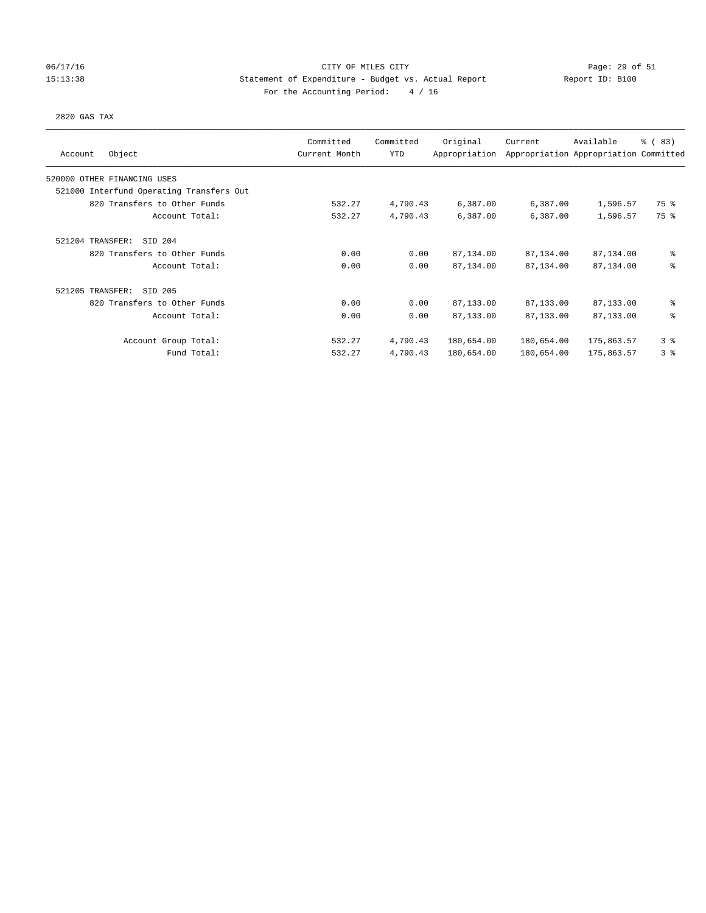### 06/17/16 Page: 29 of 51 15:13:38 Statement of Expenditure - Budget vs. Actual Report Report ID: B100 For the Accounting Period: 4 / 16

#### 2820 GAS TAX

| Object<br>Account                        | Committed<br>Current Month | Committed<br>YTD | Original<br>Appropriation | Current    | Available<br>Appropriation Appropriation Committed | % (83) |
|------------------------------------------|----------------------------|------------------|---------------------------|------------|----------------------------------------------------|--------|
| 520000 OTHER FINANCING USES              |                            |                  |                           |            |                                                    |        |
| 521000 Interfund Operating Transfers Out |                            |                  |                           |            |                                                    |        |
| 820 Transfers to Other Funds             | 532.27                     | 4,790.43         | 6,387.00                  | 6,387.00   | 1,596.57                                           | 75 %   |
| Account Total:                           | 532.27                     | 4,790.43         | 6,387.00                  | 6,387.00   | 1,596.57                                           | 75 %   |
| 521204 TRANSFER:<br>SID 204              |                            |                  |                           |            |                                                    |        |
| 820 Transfers to Other Funds             | 0.00                       | 0.00             | 87,134.00                 | 87,134.00  | 87,134.00                                          | ి      |
| Account Total:                           | 0.00                       | 0.00             | 87,134.00                 | 87,134.00  | 87,134.00                                          | る      |
| 521205 TRANSFER:<br>SID 205              |                            |                  |                           |            |                                                    |        |
| 820 Transfers to Other Funds             | 0.00                       | 0.00             | 87,133.00                 | 87,133.00  | 87,133.00                                          | ి      |
| Account Total:                           | 0.00                       | 0.00             | 87,133.00                 | 87,133.00  | 87,133.00                                          | る      |
| Account Group Total:                     | 532.27                     | 4,790.43         | 180,654.00                | 180,654.00 | 175,863.57                                         | 3%     |
| Fund Total:                              | 532.27                     | 4,790.43         | 180,654.00                | 180,654.00 | 175,863.57                                         | 3%     |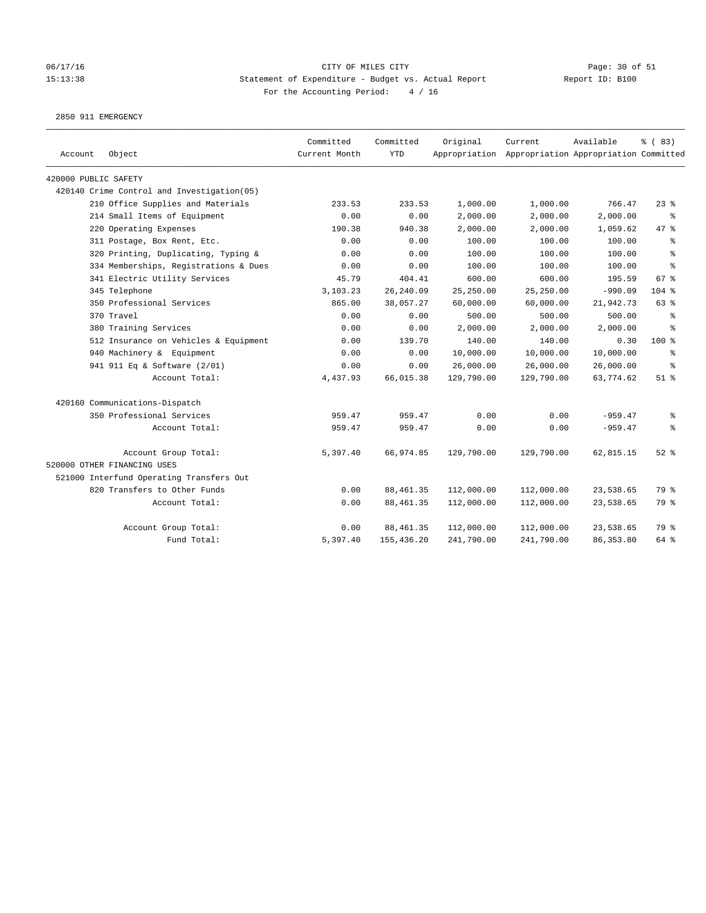#### 06/17/16 Page: 30 of 51 Page: 30 of 51 15:13:38 Statement of Expenditure - Budget vs. Actual Report Report ID: B100 For the Accounting Period: 4 / 16

2850 911 EMERGENCY

| Account              | Object                                     | Committed<br>Current Month | Committed<br><b>YTD</b> | Original   | Current<br>Appropriation Appropriation Appropriation Committed | Available  | % (83)    |
|----------------------|--------------------------------------------|----------------------------|-------------------------|------------|----------------------------------------------------------------|------------|-----------|
| 420000 PUBLIC SAFETY |                                            |                            |                         |            |                                                                |            |           |
|                      | 420140 Crime Control and Investigation(05) |                            |                         |            |                                                                |            |           |
|                      | 210 Office Supplies and Materials          | 233.53                     | 233.53                  | 1,000.00   | 1,000.00                                                       | 766.47     | 23%       |
|                      | 214 Small Items of Equipment               | 0.00                       | 0.00                    | 2,000.00   | 2,000.00                                                       | 2,000.00   | နွ        |
|                      | 220 Operating Expenses                     | 190.38                     | 940.38                  | 2,000.00   | 2,000.00                                                       | 1,059.62   | 47.8      |
|                      | 311 Postage, Box Rent, Etc.                | 0.00                       | 0.00                    | 100.00     | 100.00                                                         | 100.00     | $\approx$ |
|                      | 320 Printing, Duplicating, Typing &        | 0.00                       | 0.00                    | 100.00     | 100.00                                                         | 100.00     | နွ        |
|                      | 334 Memberships, Registrations & Dues      | 0.00                       | 0.00                    | 100.00     | 100.00                                                         | 100.00     | နွ        |
|                      | 341 Electric Utility Services              | 45.79                      | 404.41                  | 600.00     | 600.00                                                         | 195.59     | 67%       |
|                      | 345 Telephone                              | 3,103.23                   | 26,240.09               | 25,250.00  | 25,250.00                                                      | $-990.09$  | $104$ %   |
|                      | 350 Professional Services                  | 865.00                     | 38,057.27               | 60,000.00  | 60,000.00                                                      | 21,942.73  | 63 %      |
|                      | 370 Travel                                 | 0.00                       | 0.00                    | 500.00     | 500.00                                                         | 500.00     | နွ        |
|                      | 380 Training Services                      | 0.00                       | 0.00                    | 2,000.00   | 2,000.00                                                       | 2,000.00   | $\approx$ |
|                      | 512 Insurance on Vehicles & Equipment      | 0.00                       | 139.70                  | 140.00     | 140.00                                                         | 0.30       | 100 %     |
|                      | 940 Machinery & Equipment                  | 0.00                       | 0.00                    | 10,000.00  | 10,000.00                                                      | 10,000.00  | နွ        |
|                      | 941 911 Eq & Software (2/01)               | 0.00                       | 0.00                    | 26,000.00  | 26,000.00                                                      | 26,000.00  | ి         |
|                      | Account Total:                             | 4,437.93                   | 66,015.38               | 129,790.00 | 129,790.00                                                     | 63,774.62  | $51$ %    |
|                      | 420160 Communications-Dispatch             |                            |                         |            |                                                                |            |           |
|                      | 350 Professional Services                  | 959.47                     | 959.47                  | 0.00       | 0.00                                                           | $-959.47$  | နွ        |
|                      | Account Total:                             | 959.47                     | 959.47                  | 0.00       | 0.00                                                           | $-959.47$  | နွ        |
|                      | Account Group Total:                       | 5,397.40                   | 66,974.85               | 129,790.00 | 129,790.00                                                     | 62,815.15  | $52$ $%$  |
|                      | 520000 OTHER FINANCING USES                |                            |                         |            |                                                                |            |           |
|                      | 521000 Interfund Operating Transfers Out   |                            |                         |            |                                                                |            |           |
|                      | 820 Transfers to Other Funds               | 0.00                       | 88, 461.35              | 112,000.00 | 112,000.00                                                     | 23,538.65  | 79 %      |
|                      | Account Total:                             | 0.00                       | 88, 461.35              | 112,000.00 | 112,000.00                                                     | 23,538.65  | 79 %      |
|                      | Account Group Total:                       | 0.00                       | 88, 461.35              | 112,000.00 | 112,000.00                                                     | 23,538.65  | 79 %      |
|                      | Fund Total:                                | 5,397.40                   | 155,436.20              | 241,790.00 | 241,790.00                                                     | 86, 353.80 | 64 %      |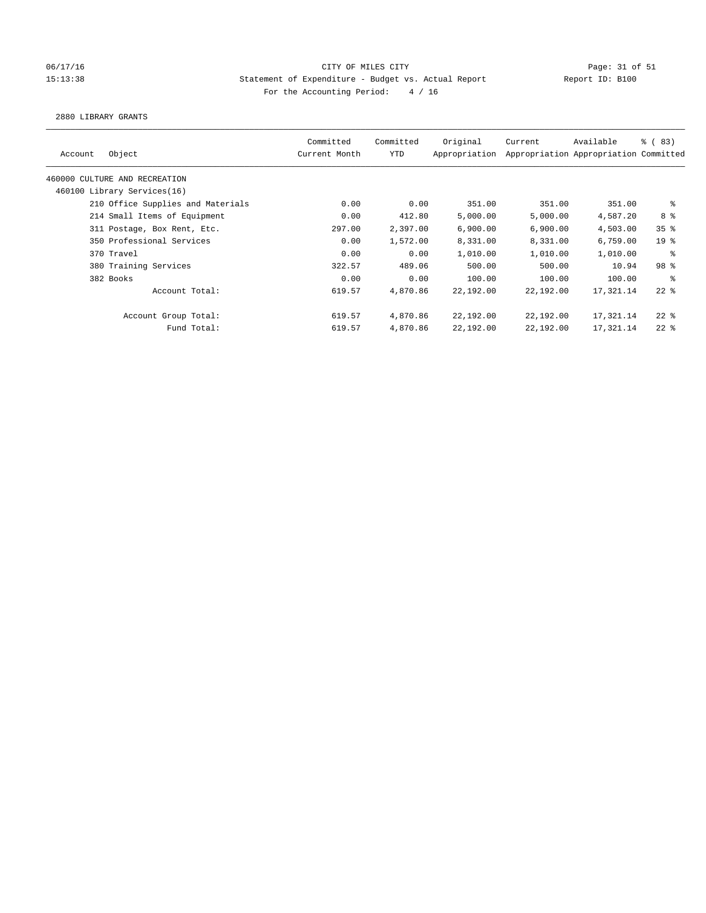#### 06/17/16 Page: 31 of 51 Page: 31 of 51 15:13:38 Statement of Expenditure - Budget vs. Actual Report Report ID: B100 For the Accounting Period: 4 / 16

#### 2880 LIBRARY GRANTS

| Object<br>Account                 | Committed<br>Current Month | Committed<br><b>YTD</b> | Original<br>Appropriation | Current   | Available<br>Appropriation Appropriation Committed | <sub>ර</sub> ි (83) |
|-----------------------------------|----------------------------|-------------------------|---------------------------|-----------|----------------------------------------------------|---------------------|
| 460000 CULTURE AND RECREATION     |                            |                         |                           |           |                                                    |                     |
| 460100 Library Services(16)       |                            |                         |                           |           |                                                    |                     |
| 210 Office Supplies and Materials | 0.00                       | 0.00                    | 351.00                    | 351.00    | 351.00                                             | ႜ                   |
| 214 Small Items of Equipment      | 0.00                       | 412.80                  | 5,000.00                  | 5,000.00  | 4,587.20                                           | 8 %                 |
| 311 Postage, Box Rent, Etc.       | 297.00                     | 2,397.00                | 6,900.00                  | 6,900.00  | 4,503.00                                           | 35 <sup>8</sup>     |
| 350 Professional Services         | 0.00                       | 1,572.00                | 8,331.00                  | 8,331.00  | 6,759.00                                           | 19 <sup>°</sup>     |
| 370 Travel                        | 0.00                       | 0.00                    | 1,010.00                  | 1,010.00  | 1,010.00                                           | နွ                  |
| 380 Training Services             | 322.57                     | 489.06                  | 500.00                    | 500.00    | 10.94                                              | 98 <sup>8</sup>     |
| 382 Books                         | 0.00                       | 0.00                    | 100.00                    | 100.00    | 100.00                                             | ႜ                   |
| Account Total:                    | 619.57                     | 4,870.86                | 22,192.00                 | 22,192.00 | 17,321.14                                          | $22$ $%$            |
| Account Group Total:              | 619.57                     | 4,870.86                | 22,192.00                 | 22,192.00 | 17,321.14                                          | $22$ %              |
| Fund Total:                       | 619.57                     | 4,870.86                | 22,192.00                 | 22,192.00 | 17,321.14                                          | $22$ %              |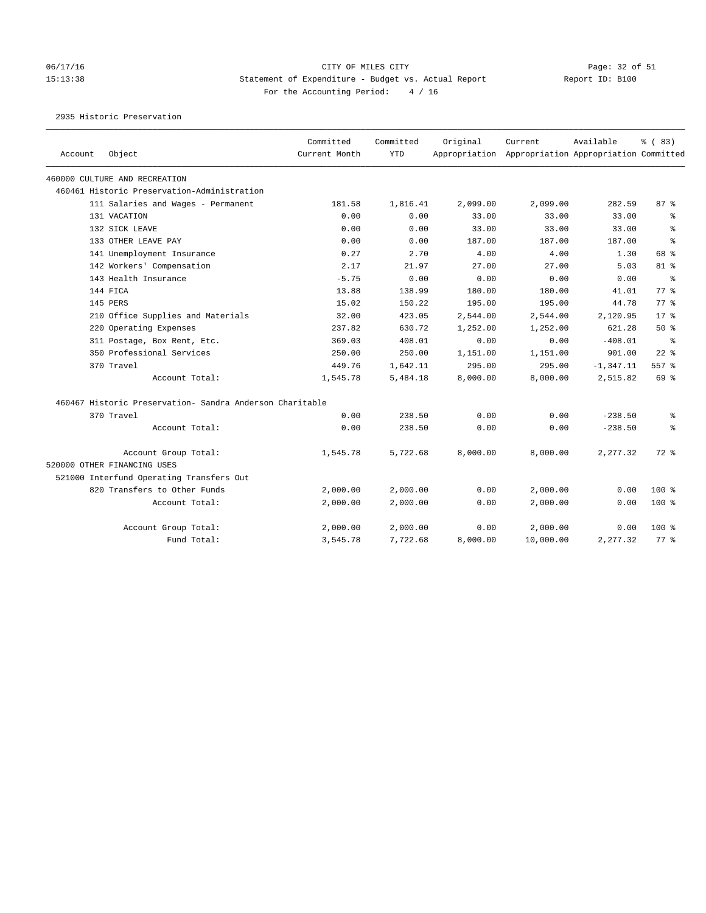#### 06/17/16 Page: 32 of 51 Page: 32 of 51 15:13:38 Statement of Expenditure - Budget vs. Actual Report Report ID: B100 For the Accounting Period: 4 / 16

2935 Historic Preservation

| Account | Object                                                   | Committed<br>Current Month | Committed<br><b>YTD</b> | Original | Current<br>Appropriation Appropriation Appropriation Committed | Available    | % (83)    |
|---------|----------------------------------------------------------|----------------------------|-------------------------|----------|----------------------------------------------------------------|--------------|-----------|
|         | 460000 CULTURE AND RECREATION                            |                            |                         |          |                                                                |              |           |
|         | 460461 Historic Preservation-Administration              |                            |                         |          |                                                                |              |           |
|         | 111 Salaries and Wages - Permanent                       | 181.58                     | 1,816.41                | 2,099.00 | 2,099.00                                                       | 282.59       | 87%       |
|         | 131 VACATION                                             | 0.00                       | 0.00                    | 33.00    | 33.00                                                          | 33.00        | ႜ         |
|         | 132 SICK LEAVE                                           | 0.00                       | 0.00                    | 33.00    | 33.00                                                          | 33.00        | ి         |
|         | 133 OTHER LEAVE PAY                                      | 0.00                       | 0.00                    | 187.00   | 187.00                                                         | 187.00       | $\approx$ |
|         | 141 Unemployment Insurance                               | 0.27                       | 2.70                    | 4.00     | 4.00                                                           | 1.30         | 68 %      |
|         | 142 Workers' Compensation                                | 2.17                       | 21.97                   | 27.00    | 27.00                                                          | 5.03         | 81 %      |
|         | 143 Health Insurance                                     | $-5.75$                    | 0.00                    | 0.00     | 0.00                                                           | 0.00         | ႜ         |
|         | 144 FTCA                                                 | 13.88                      | 138.99                  | 180.00   | 180.00                                                         | 41.01        | $77*$     |
|         | 145 PERS                                                 | 15.02                      | 150.22                  | 195.00   | 195.00                                                         | 44.78        | 77.8      |
|         | 210 Office Supplies and Materials                        | 32.00                      | 423.05                  | 2,544.00 | 2,544.00                                                       | 2,120.95     | $17*$     |
|         | 220 Operating Expenses                                   | 237.82                     | 630.72                  | 1,252.00 | 1,252.00                                                       | 621.28       | 50%       |
|         | 311 Postage, Box Rent, Etc.                              | 369.03                     | 408.01                  | 0.00     | 0.00                                                           | $-408.01$    | ႜ         |
|         | 350 Professional Services                                | 250.00                     | 250.00                  | 1,151.00 | 1,151.00                                                       | 901.00       | $22$ $%$  |
|         | 370 Travel                                               | 449.76                     | 1,642.11                | 295.00   | 295.00                                                         | $-1, 347.11$ | 557 %     |
|         | Account Total:                                           | 1,545.78                   | 5,484.18                | 8,000.00 | 8,000.00                                                       | 2,515.82     | 69 %      |
|         | 460467 Historic Preservation- Sandra Anderson Charitable |                            |                         |          |                                                                |              |           |
|         | 370 Travel                                               | 0.00                       | 238.50                  | 0.00     | 0.00                                                           | $-238.50$    | နွ        |
|         | Account Total:                                           | 0.00                       | 238.50                  | 0.00     | 0.00                                                           | $-238.50$    | ి         |
|         | Account Group Total:                                     | 1,545.78                   | 5,722.68                | 8,000.00 | 8,000.00                                                       | 2,277.32     | $72$ $%$  |
|         | 520000 OTHER FINANCING USES                              |                            |                         |          |                                                                |              |           |
|         | 521000 Interfund Operating Transfers Out                 |                            |                         |          |                                                                |              |           |
|         | 820 Transfers to Other Funds                             | 2,000.00                   | 2,000.00                | 0.00     | 2,000.00                                                       | 0.00         | $100$ %   |
|         | Account Total:                                           | 2,000.00                   | 2,000.00                | 0.00     | 2,000.00                                                       | 0.00         | $100$ %   |
|         | Account Group Total:                                     | 2,000.00                   | 2,000.00                | 0.00     | 2,000.00                                                       | 0.00         | $100$ %   |
|         | Fund Total:                                              | 3,545.78                   | 7,722.68                | 8,000.00 | 10,000.00                                                      | 2,277.32     | $77$ $%$  |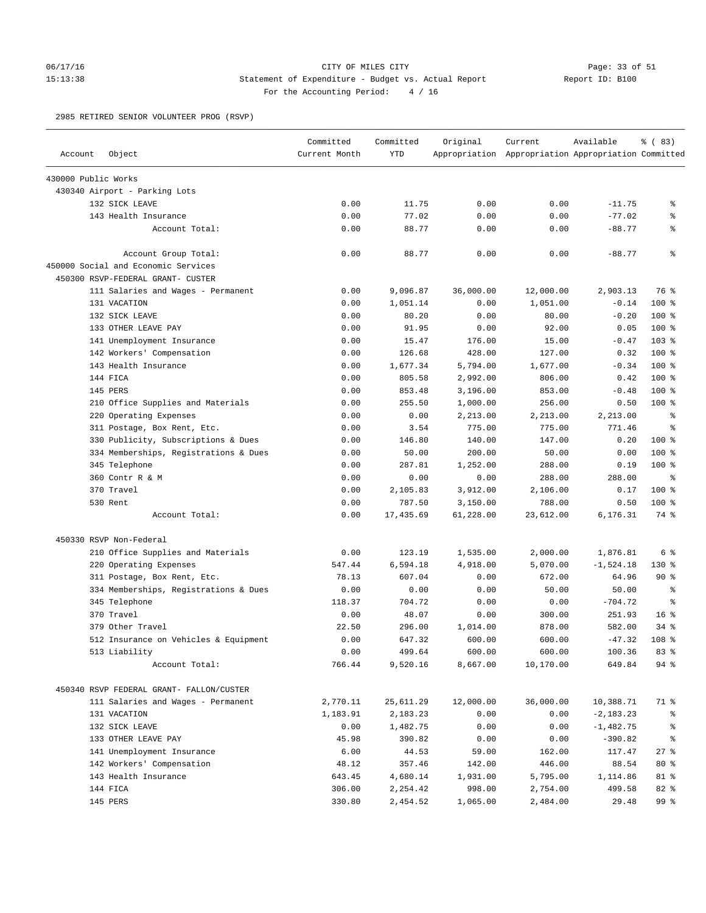## 06/17/16 Page: 33 of 51 15:13:38 Statement of Expenditure - Budget vs. Actual Report Report ID: B100 For the Accounting Period: 4 / 16

2985 RETIRED SENIOR VOLUNTEER PROG (RSVP)

| Account             | Object                                   | Committed<br>Current Month | Committed<br><b>YTD</b> | Original  | Current<br>Appropriation Appropriation Appropriation Committed | Available    | % (83)           |
|---------------------|------------------------------------------|----------------------------|-------------------------|-----------|----------------------------------------------------------------|--------------|------------------|
| 430000 Public Works |                                          |                            |                         |           |                                                                |              |                  |
|                     | 430340 Airport - Parking Lots            |                            |                         |           |                                                                |              |                  |
|                     | 132 SICK LEAVE                           | 0.00                       | 11.75                   | 0.00      | 0.00                                                           | $-11.75$     | ႜ                |
|                     | 143 Health Insurance                     | 0.00                       | 77.02                   | 0.00      | 0.00                                                           | $-77.02$     | နွ               |
|                     | Account Total:                           | 0.00                       | 88.77                   | 0.00      | 0.00                                                           | $-88.77$     | နွ               |
|                     | Account Group Total:                     | 0.00                       | 88.77                   | 0.00      | 0.00                                                           | $-88.77$     | $\epsilon$       |
|                     | 450000 Social and Economic Services      |                            |                         |           |                                                                |              |                  |
|                     | 450300 RSVP-FEDERAL GRANT- CUSTER        |                            |                         |           |                                                                |              |                  |
|                     | 111 Salaries and Wages - Permanent       | 0.00                       | 9,096.87                | 36,000.00 | 12,000.00                                                      | 2,903.13     | 76 %             |
|                     | 131 VACATION                             | 0.00                       | 1,051.14                | 0.00      | 1,051.00                                                       | $-0.14$      | 100 %            |
|                     | 132 SICK LEAVE                           | 0.00                       | 80.20                   | 0.00      | 80.00                                                          | $-0.20$      | $100*$           |
|                     | 133 OTHER LEAVE PAY                      | 0.00                       | 91.95                   | 0.00      | 92.00                                                          | 0.05         | $100*$           |
|                     | 141 Unemployment Insurance               | 0.00                       | 15.47                   | 176.00    | 15.00                                                          | $-0.47$      | 103 %            |
|                     | 142 Workers' Compensation                | 0.00                       | 126.68                  | 428.00    | 127.00                                                         | 0.32         | $100*$           |
|                     | 143 Health Insurance                     | 0.00                       | 1,677.34                | 5,794.00  | 1,677.00                                                       | $-0.34$      | 100 %            |
|                     | 144 FICA                                 | 0.00                       | 805.58                  | 2,992.00  | 806.00                                                         | 0.42         | $100*$           |
|                     | 145 PERS                                 | 0.00                       | 853.48                  | 3,196.00  | 853.00                                                         | $-0.48$      | $100*$           |
|                     | 210 Office Supplies and Materials        | 0.00                       | 255.50                  | 1,000.00  | 256.00                                                         | 0.50         | $100*$           |
|                     | 220 Operating Expenses                   | 0.00                       | 0.00                    | 2,213.00  | 2,213.00                                                       | 2,213.00     | $\epsilon$       |
|                     | 311 Postage, Box Rent, Etc.              | 0.00                       | 3.54                    | 775.00    | 775.00                                                         | 771.46       | နွ               |
|                     | 330 Publicity, Subscriptions & Dues      | 0.00                       | 146.80                  | 140.00    | 147.00                                                         | 0.20         | $100*$           |
|                     | 334 Memberships, Registrations & Dues    | 0.00                       | 50.00                   | 200.00    | 50.00                                                          | 0.00         | $100*$           |
|                     | 345 Telephone                            | 0.00                       | 287.81                  | 1,252.00  | 288.00                                                         | 0.19         | 100 %            |
|                     | 360 Contr R & M                          | 0.00                       | 0.00                    | 0.00      | 288.00                                                         | 288.00       | နွ               |
|                     | 370 Travel                               | 0.00                       | 2,105.83                | 3,912.00  | 2,106.00                                                       | 0.17         | 100 %            |
|                     | 530 Rent                                 | 0.00                       | 787.50                  | 3,150.00  | 788.00                                                         | 0.50         | $100*$           |
|                     | Account Total:                           | 0.00                       | 17,435.69               | 61,228.00 | 23,612.00                                                      | 6,176.31     | 74 %             |
|                     | 450330 RSVP Non-Federal                  |                            |                         |           |                                                                |              |                  |
|                     | 210 Office Supplies and Materials        | 0.00                       | 123.19                  | 1,535.00  | 2,000.00                                                       | 1,876.81     | 6 %              |
|                     | 220 Operating Expenses                   | 547.44                     | 6,594.18                | 4,918.00  | 5,070.00                                                       | $-1,524.18$  | $130*$           |
|                     | 311 Postage, Box Rent, Etc.              | 78.13                      | 607.04                  | 0.00      | 672.00                                                         | 64.96        | 90%              |
|                     | 334 Memberships, Registrations & Dues    | 0.00                       | 0.00                    | 0.00      | 50.00                                                          | 50.00        | $\epsilon$       |
|                     | 345 Telephone                            | 118.37                     | 704.72                  | 0.00      | 0.00                                                           | $-704.72$    | နွ               |
|                     | 370 Travel                               | 0.00                       | 48.07                   | 0.00      | 300.00                                                         | 251.93       | 16 <sup>8</sup>  |
|                     | 379 Other Travel                         | 22.50                      | 296.00                  | 1,014.00  | 878.00                                                         | 582.00       | $34$ $%$         |
|                     | 512 Insurance on Vehicles & Equipment    | 0.00                       | 647.32                  | 600.00    | 600.00                                                         | $-47.32$     | 108 <sub>8</sub> |
|                     | 513 Liability                            | 0.00                       | 499.64                  | 600.00    | 600.00                                                         | 100.36       | 83 %             |
|                     | Account Total:                           | 766.44                     | 9,520.16                | 8,667.00  | 10,170.00                                                      | 649.84       | 94 %             |
|                     | 450340 RSVP FEDERAL GRANT- FALLON/CUSTER |                            |                         |           |                                                                |              |                  |
|                     | 111 Salaries and Wages - Permanent       | 2,770.11                   | 25,611.29               | 12,000.00 | 36,000.00                                                      | 10,388.71    | 71 %             |
|                     | 131 VACATION                             | 1,183.91                   | 2,183.23                | 0.00      | 0.00                                                           | $-2, 183.23$ | ိစ               |
|                     | 132 SICK LEAVE                           | 0.00                       | 1,482.75                | 0.00      | 0.00                                                           | $-1,482.75$  |                  |
|                     | 133 OTHER LEAVE PAY                      | 45.98                      | 390.82                  | 0.00      | 0.00                                                           | $-390.82$    | ိစ               |
|                     | 141 Unemployment Insurance               | 6.00                       | 44.53                   | 59.00     | 162.00                                                         | 117.47       | $27$ %           |
|                     | 142 Workers' Compensation                | 48.12                      | 357.46                  | 142.00    | 446.00                                                         | 88.54        | $80*$            |
|                     | 143 Health Insurance                     | 643.45                     | 4,680.14                | 1,931.00  | 5,795.00                                                       | 1,114.86     | 81 %             |
|                     | 144 FICA                                 | 306.00                     | 2,254.42                | 998.00    | 2,754.00                                                       | 499.58       | 82 %             |
|                     | 145 PERS                                 | 330.80                     | 2,454.52                | 1,065.00  | 2,484.00                                                       | 29.48        | 99 %             |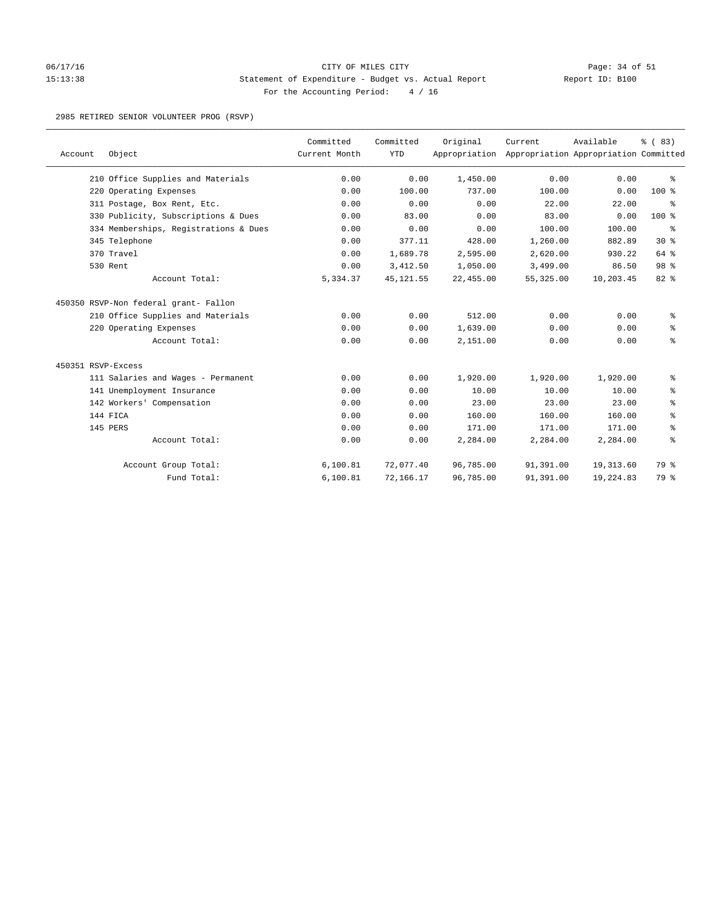### 06/17/16 Page: 34 of 51 Page: 34 OF MILES CITY PARTIES CITY 15:13:38 Statement of Expenditure - Budget vs. Actual Report Report ID: B100 For the Accounting Period: 4 / 16

2985 RETIRED SENIOR VOLUNTEER PROG (RSVP)

| Account            | Object                                | Committed<br>Current Month | Committed<br><b>YTD</b> | Original  | Current<br>Appropriation Appropriation Appropriation Committed | Available | % (83)  |
|--------------------|---------------------------------------|----------------------------|-------------------------|-----------|----------------------------------------------------------------|-----------|---------|
|                    | 210 Office Supplies and Materials     | 0.00                       | 0.00                    | 1,450.00  | 0.00                                                           | 0.00      | ి       |
|                    | 220 Operating Expenses                | 0.00                       | 100.00                  | 737.00    | 100.00                                                         | 0.00      | 100 %   |
|                    | 311 Postage, Box Rent, Etc.           | 0.00                       | 0.00                    | 0.00      | 22.00                                                          | 22.00     | နွ      |
|                    | 330 Publicity, Subscriptions & Dues   | 0.00                       | 83.00                   | 0.00      | 83.00                                                          | 0.00      | $100$ % |
|                    | 334 Memberships, Registrations & Dues | 0.00                       | 0.00                    | 0.00      | 100.00                                                         | 100.00    | နွ      |
|                    | 345 Telephone                         | 0.00                       | 377.11                  | 428.00    | 1,260.00                                                       | 882.89    | $30*$   |
|                    | 370 Travel                            | 0.00                       | 1,689.78                | 2,595.00  | 2,620.00                                                       | 930.22    | 64 %    |
|                    | 530 Rent                              | 0.00                       | 3,412.50                | 1,050.00  | 3,499.00                                                       | 86.50     | 98 %    |
|                    | Account Total:                        | 5,334.37                   | 45, 121.55              | 22,455.00 | 55, 325.00                                                     | 10,203.45 | 82 %    |
|                    | 450350 RSVP-Non federal grant- Fallon |                            |                         |           |                                                                |           |         |
|                    | 210 Office Supplies and Materials     | 0.00                       | 0.00                    | 512.00    | 0.00                                                           | 0.00      | နွ      |
|                    | 220 Operating Expenses                | 0.00                       | 0.00                    | 1,639.00  | 0.00                                                           | 0.00      | နွ      |
|                    | Account Total:                        | 0.00                       | 0.00                    | 2,151.00  | 0.00                                                           | 0.00      | ి       |
| 450351 RSVP-Excess |                                       |                            |                         |           |                                                                |           |         |
|                    | 111 Salaries and Wages - Permanent    | 0.00                       | 0.00                    | 1,920.00  | 1,920.00                                                       | 1,920.00  | နွ      |
|                    | 141 Unemployment Insurance            | 0.00                       | 0.00                    | 10.00     | 10.00                                                          | 10.00     | နွ      |
|                    | 142 Workers' Compensation             | 0.00                       | 0.00                    | 23.00     | 23.00                                                          | 23.00     | ್ಠಿ     |
|                    | 144 FICA                              | 0.00                       | 0.00                    | 160.00    | 160.00                                                         | 160.00    | ి       |
|                    | 145 PERS                              | 0.00                       | 0.00                    | 171.00    | 171.00                                                         | 171.00    | နွ      |
|                    | Account Total:                        | 0.00                       | 0.00                    | 2,284.00  | 2,284.00                                                       | 2,284.00  | ి       |
|                    | Account Group Total:                  | 6, 100.81                  | 72,077.40               | 96,785.00 | 91,391.00                                                      | 19,313.60 | 79 %    |
|                    | Fund Total:                           | 6,100.81                   | 72,166.17               | 96,785.00 | 91,391.00                                                      | 19,224.83 | 79 %    |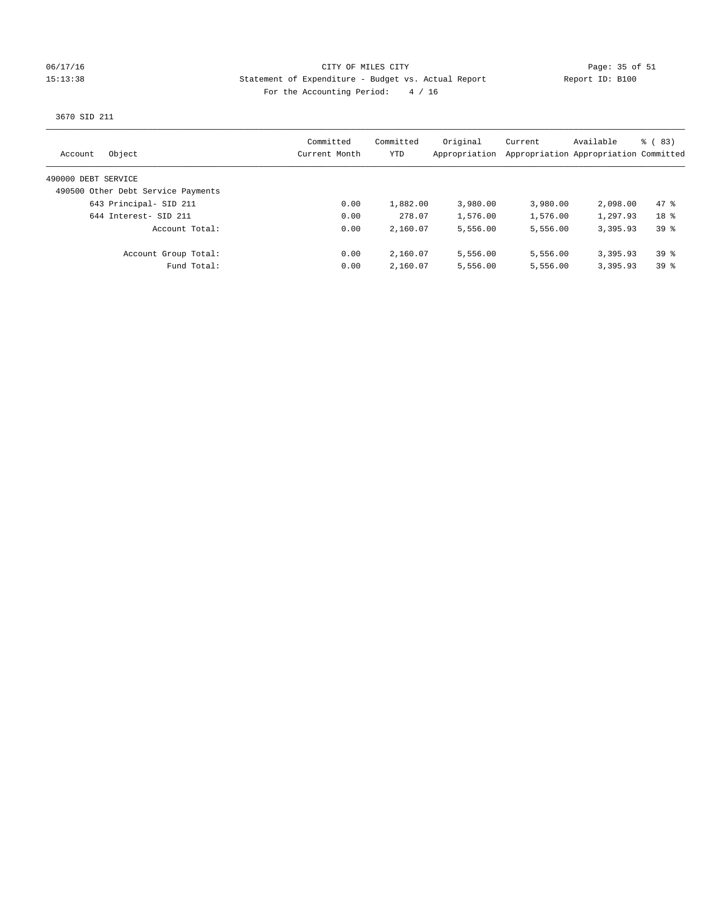#### 06/17/16 Page: 35 of 51 15:13:38 Statement of Expenditure - Budget vs. Actual Report Report ID: B100 For the Accounting Period: 4 / 16

3670 SID 211

| Object<br>Account                  | Committed<br>Current Month | Committed<br>YTD | Original<br>Appropriation | Current  | Available<br>Appropriation Appropriation Committed | $\frac{6}{6}$ (83) |
|------------------------------------|----------------------------|------------------|---------------------------|----------|----------------------------------------------------|--------------------|
| 490000 DEBT SERVICE                |                            |                  |                           |          |                                                    |                    |
| 490500 Other Debt Service Payments |                            |                  |                           |          |                                                    |                    |
| 643 Principal- SID 211             | 0.00                       | 1,882.00         | 3,980.00                  | 3,980.00 | 2,098.00                                           | 47.8               |
| 644 Interest- SID 211              | 0.00                       | 278.07           | 1,576.00                  | 1,576.00 | 1,297.93                                           | 18 <sup>8</sup>    |
| Account Total:                     | 0.00                       | 2,160.07         | 5,556.00                  | 5,556.00 | 3,395.93                                           | 398                |
| Account Group Total:               | 0.00                       | 2,160.07         | 5,556.00                  | 5,556.00 | 3,395.93                                           | 398                |
| Fund Total:                        | 0.00                       | 2,160.07         | 5,556.00                  | 5,556.00 | 3,395.93                                           | 398                |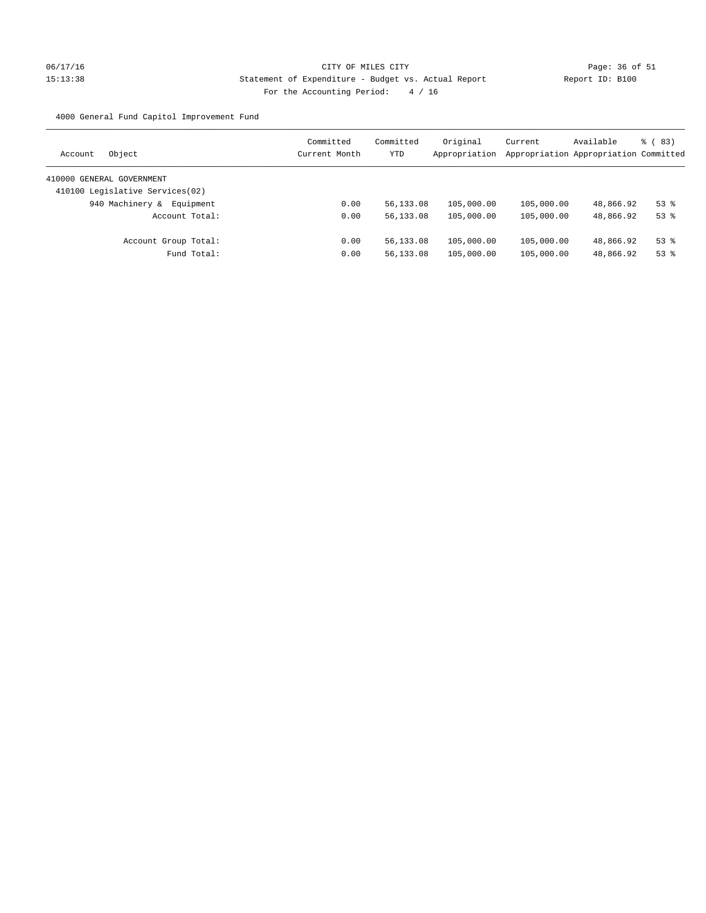# 06/17/16 Page: 36 of 51 15:13:38 Statement of Expenditure - Budget vs. Actual Report Changer Report ID: B100 For the Accounting Period: 4 / 16

4000 General Fund Capitol Improvement Fund

| Object<br>Account               | Committed<br>Current Month | Committed<br>YTD | Original<br>Appropriation | Current    | Available<br>Appropriation Appropriation Committed | <sub>ර</sub> ( 83 ) |
|---------------------------------|----------------------------|------------------|---------------------------|------------|----------------------------------------------------|---------------------|
| 410000 GENERAL GOVERNMENT       |                            |                  |                           |            |                                                    |                     |
| 410100 Legislative Services(02) |                            |                  |                           |            |                                                    |                     |
| 940 Machinery &<br>Equipment    | 0.00                       | 56,133.08        | 105,000.00                | 105,000.00 | 48,866.92                                          | $53$ $%$            |
| Account Total:                  | 0.00                       | 56,133.08        | 105,000.00                | 105,000.00 | 48,866.92                                          | $53$ $%$            |
| Account Group Total:            | 0.00                       | 56,133.08        | 105,000.00                | 105,000.00 | 48,866.92                                          | $53$ $%$            |
| Fund Total:                     | 0.00                       | 56,133.08        | 105,000.00                | 105,000.00 | 48,866.92                                          | $53$ $%$            |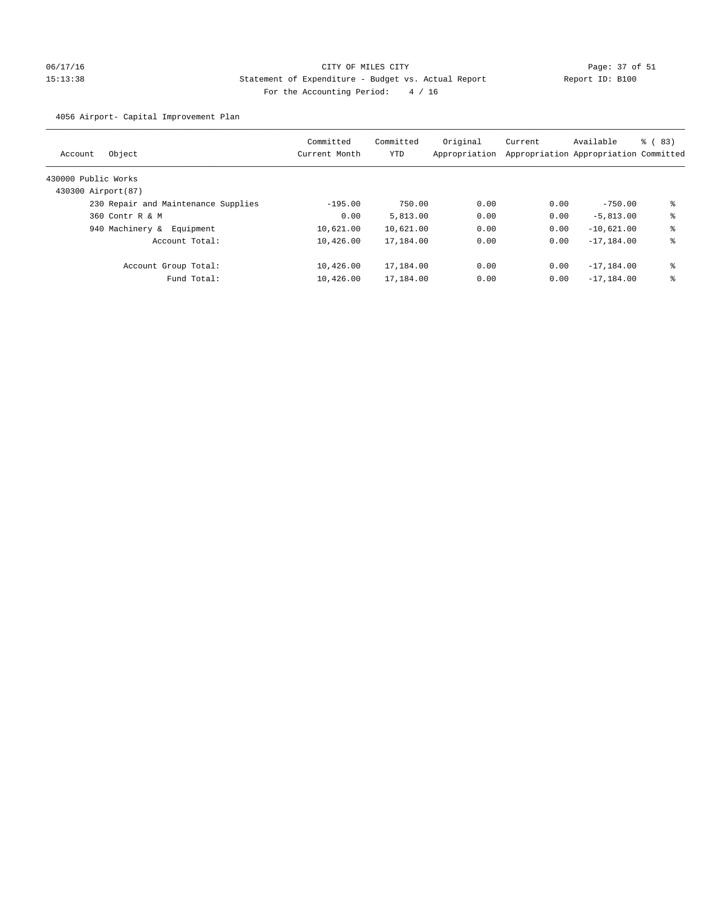# 06/17/16 Page: 37 of 51 15:13:38 Statement of Expenditure - Budget vs. Actual Report Report ID: B100 For the Accounting Period: 4 / 16

4056 Airport- Capital Improvement Plan

| Object<br>Account                   | Committed<br>Current Month | Committed<br>YTD | Original<br>Appropriation | Current | Available<br>Appropriation Appropriation Committed | % (83) |
|-------------------------------------|----------------------------|------------------|---------------------------|---------|----------------------------------------------------|--------|
| 430000 Public Works                 |                            |                  |                           |         |                                                    |        |
| 430300 Airport (87)                 |                            |                  |                           |         |                                                    |        |
| 230 Repair and Maintenance Supplies | $-195.00$                  | 750.00           | 0.00                      | 0.00    | $-750.00$                                          | နွ     |
| 360 Contr R & M                     | 0.00                       | 5,813.00         | 0.00                      | 0.00    | $-5.813.00$                                        | နွ     |
| 940 Machinery &<br>Equipment        | 10,621.00                  | 10,621.00        | 0.00                      | 0.00    | $-10.621.00$                                       | နွ     |
| Account Total:                      | 10,426.00                  | 17,184.00        | 0.00                      | 0.00    | $-17, 184, 00$                                     | နွ     |
| Account Group Total:                | 10,426.00                  | 17,184.00        | 0.00                      | 0.00    | $-17, 184, 00$                                     | နွ     |
| Fund Total:                         | 10,426.00                  | 17,184.00        | 0.00                      | 0.00    | $-17, 184.00$                                      | နွ     |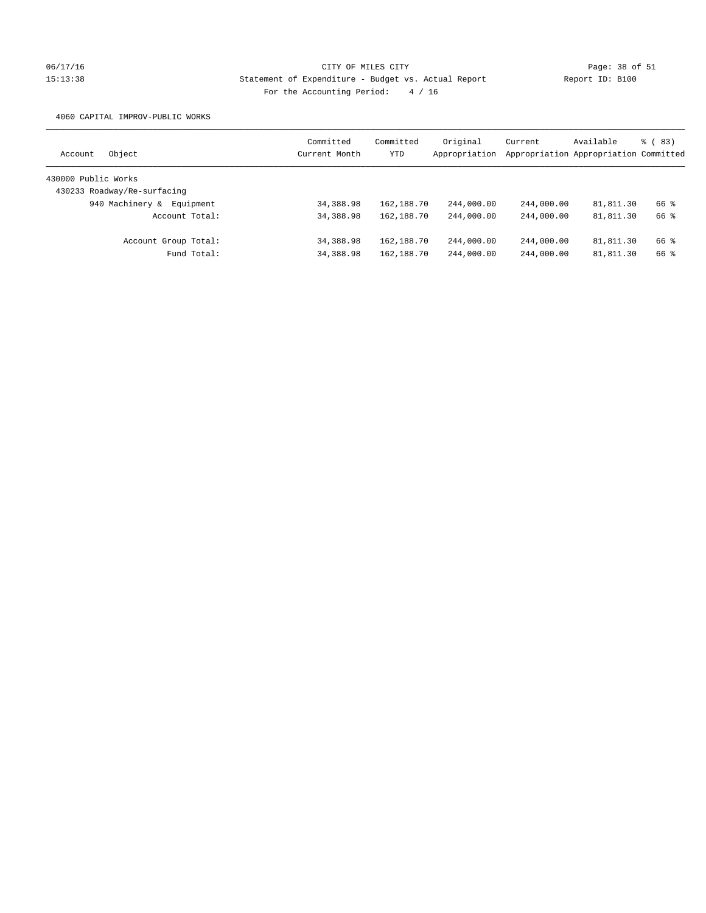# 06/17/16 Page: 38 of 51 15:13:38 Statement of Expenditure - Budget vs. Actual Report Report ID: B100 For the Accounting Period: 4 / 16

4060 CAPITAL IMPROV-PUBLIC WORKS

| Object<br>Account            | Committed<br>Current Month | Committed<br><b>YTD</b> | Original<br>Appropriation | Current    | Available<br>Appropriation Appropriation Committed | $\frac{6}{6}$ (83) |
|------------------------------|----------------------------|-------------------------|---------------------------|------------|----------------------------------------------------|--------------------|
| 430000 Public Works          |                            |                         |                           |            |                                                    |                    |
| 430233 Roadway/Re-surfacing  |                            |                         |                           |            |                                                    |                    |
| 940 Machinery &<br>Equipment | 34,388.98                  | 162,188.70              | 244,000.00                | 244,000.00 | 81,811.30                                          | 66 %               |
| Account Total:               | 34, 388, 98                | 162,188.70              | 244,000.00                | 244,000.00 | 81,811.30                                          | 66 %               |
| Account Group Total:         | 34,388.98                  | 162,188.70              | 244,000.00                | 244,000.00 | 81,811.30                                          | 66 %               |
| Fund Total:                  | 34,388.98                  | 162,188.70              | 244,000.00                | 244,000.00 | 81,811.30                                          | 66 %               |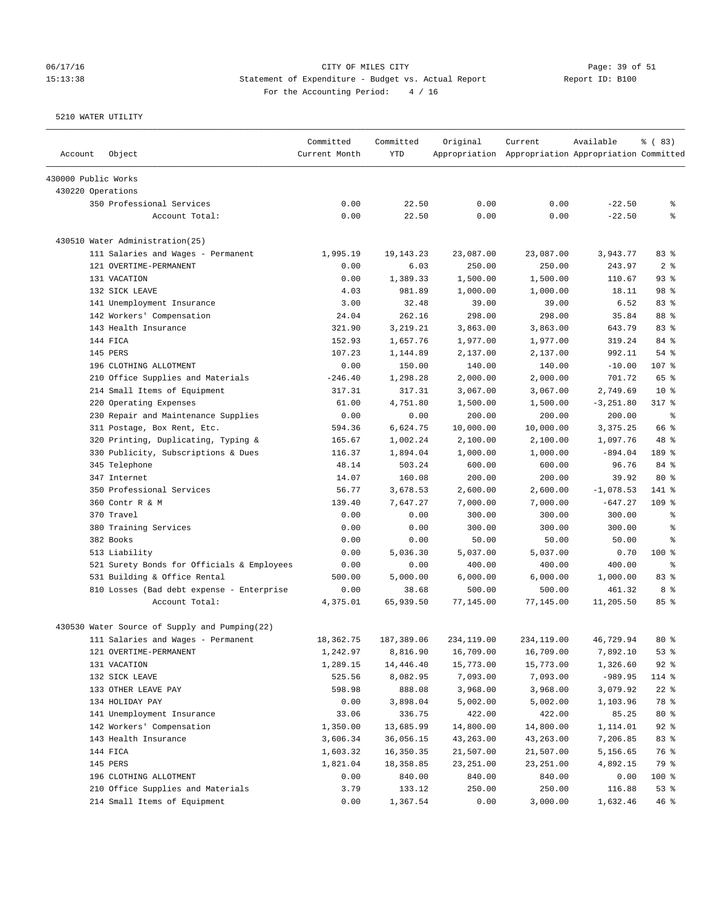# 06/17/16 Page: 39 of 51 15:13:38 Statement of Expenditure - Budget vs. Actual Report Changer Report ID: B100 For the Accounting Period: 4 / 16

| Account             | Object                                        | Committed<br>Current Month | Committed<br><b>YTD</b> | Original   | Current<br>Appropriation Appropriation Appropriation Committed | Available    | % (83)         |
|---------------------|-----------------------------------------------|----------------------------|-------------------------|------------|----------------------------------------------------------------|--------------|----------------|
| 430000 Public Works |                                               |                            |                         |            |                                                                |              |                |
| 430220 Operations   |                                               |                            |                         |            |                                                                |              |                |
|                     | 350 Professional Services                     | 0.00                       | 22.50                   | 0.00       | 0.00                                                           | $-22.50$     | နွ             |
|                     | Account Total:                                | 0.00                       | 22.50                   | 0.00       | 0.00                                                           | $-22.50$     | နွ             |
|                     | 430510 Water Administration(25)               |                            |                         |            |                                                                |              |                |
|                     | 111 Salaries and Wages - Permanent            | 1,995.19                   | 19,143.23               | 23,087.00  | 23,087.00                                                      | 3,943.77     | 83%            |
|                     | 121 OVERTIME-PERMANENT                        | 0.00                       | 6.03                    | 250.00     | 250.00                                                         | 243.97       | 2 <sup>8</sup> |
|                     | 131 VACATION                                  | 0.00                       | 1,389.33                | 1,500.00   | 1,500.00                                                       | 110.67       | 93%            |
|                     | 132 SICK LEAVE                                | 4.03                       | 981.89                  | 1,000.00   | 1,000.00                                                       | 18.11        | 98 %           |
|                     | 141 Unemployment Insurance                    | 3.00                       | 32.48                   | 39.00      | 39.00                                                          | 6.52         | 83%            |
|                     | 142 Workers' Compensation                     | 24.04                      | 262.16                  | 298.00     | 298.00                                                         | 35.84        | 88 %           |
|                     | 143 Health Insurance                          | 321.90                     | 3,219.21                | 3,863.00   | 3,863.00                                                       | 643.79       | 83%            |
|                     | 144 FICA                                      | 152.93                     | 1,657.76                | 1,977.00   | 1,977.00                                                       | 319.24       | 84 %           |
|                     | 145 PERS                                      | 107.23                     | 1,144.89                | 2,137.00   | 2,137.00                                                       | 992.11       | $54$ %         |
|                     | 196 CLOTHING ALLOTMENT                        | 0.00                       | 150.00                  | 140.00     | 140.00                                                         | $-10.00$     | 107 %          |
|                     | 210 Office Supplies and Materials             | $-246.40$                  | 1,298.28                | 2,000.00   | 2,000.00                                                       | 701.72       | 65 %           |
|                     | 214 Small Items of Equipment                  | 317.31                     | 317.31                  | 3,067.00   | 3,067.00                                                       | 2,749.69     | $10*$          |
|                     | 220 Operating Expenses                        | 61.00                      | 4,751.80                | 1,500.00   | 1,500.00                                                       | $-3, 251.80$ | $317$ %        |
|                     | 230 Repair and Maintenance Supplies           | 0.00                       | 0.00                    | 200.00     | 200.00                                                         | 200.00       | နွ             |
|                     | 311 Postage, Box Rent, Etc.                   | 594.36                     | 6,624.75                | 10,000.00  | 10,000.00                                                      | 3,375.25     | 66 %           |
|                     | 320 Printing, Duplicating, Typing &           | 165.67                     | 1,002.24                | 2,100.00   | 2,100.00                                                       | 1,097.76     | 48 %           |
|                     | 330 Publicity, Subscriptions & Dues           | 116.37                     | 1,894.04                | 1,000.00   | 1,000.00                                                       | $-894.04$    | 189 %          |
|                     | 345 Telephone                                 | 48.14                      | 503.24                  | 600.00     | 600.00                                                         | 96.76        | 84 %           |
|                     | 347 Internet                                  | 14.07                      | 160.08                  | 200.00     | 200.00                                                         | 39.92        | $80*$          |
|                     | 350 Professional Services                     | 56.77                      | 3,678.53                | 2,600.00   | 2,600.00                                                       | $-1,078.53$  | 141 %          |
|                     | 360 Contr R & M                               | 139.40                     | 7,647.27                | 7,000.00   | 7,000.00                                                       | $-647.27$    | $109$ %        |
|                     | 370 Travel                                    | 0.00                       | 0.00                    | 300.00     | 300.00                                                         | 300.00       | နွ             |
|                     | 380 Training Services                         | 0.00                       | 0.00                    | 300.00     | 300.00                                                         | 300.00       | န့             |
|                     | 382 Books                                     | 0.00                       | 0.00                    | 50.00      | 50.00                                                          | 50.00        | န့             |
|                     | 513 Liability                                 | 0.00                       | 5,036.30                | 5,037.00   | 5,037.00                                                       | 0.70         | $100*$         |
|                     | 521 Surety Bonds for Officials & Employees    | 0.00                       | 0.00                    | 400.00     | 400.00                                                         | 400.00       | နွ             |
|                     | 531 Building & Office Rental                  | 500.00                     | 5,000.00                | 6,000.00   | 6,000.00                                                       | 1,000.00     | 83%            |
|                     | 810 Losses (Bad debt expense - Enterprise     | 0.00                       | 38.68                   | 500.00     | 500.00                                                         | 461.32       | 8 %            |
|                     | Account Total:                                | 4,375.01                   | 65,939.50               | 77,145.00  | 77,145.00                                                      | 11,205.50    | 85%            |
|                     | 430530 Water Source of Supply and Pumping(22) |                            |                         |            |                                                                |              |                |
|                     | 111 Salaries and Wages - Permanent            | 18,362.75                  | 187,389.06              | 234,119.00 | 234,119.00                                                     | 46,729.94    | $80*$          |
|                     | 121 OVERTIME-PERMANENT                        | 1,242.97                   | 8,816.90                | 16,709.00  | 16,709.00                                                      | 7,892.10     | 53%            |
|                     | 131 VACATION                                  | 1,289.15                   | 14,446.40               | 15,773.00  | 15,773.00                                                      | 1,326.60     | $92$ $%$       |
|                     | 132 SICK LEAVE                                | 525.56                     | 8,082.95                | 7,093.00   | 7,093.00                                                       | $-989.95$    | 114 %          |
|                     | 133 OTHER LEAVE PAY                           | 598.98                     | 888.08                  | 3,968.00   | 3,968.00                                                       | 3,079.92     | $22$ %         |
|                     | 134 HOLIDAY PAY                               | 0.00                       | 3,898.04                | 5,002.00   | 5,002.00                                                       | 1,103.96     | 78 %           |
|                     | 141 Unemployment Insurance                    | 33.06                      | 336.75                  | 422.00     | 422.00                                                         | 85.25        | $80*$          |
|                     | 142 Workers' Compensation                     | 1,350.00                   | 13,685.99               | 14,800.00  | 14,800.00                                                      | 1,114.01     | $92$ $%$       |
|                     | 143 Health Insurance                          | 3,606.34                   | 36,056.15               | 43,263.00  | 43,263.00                                                      | 7,206.85     | 83 %           |
|                     | 144 FICA                                      | 1,603.32                   | 16,350.35               | 21,507.00  | 21,507.00                                                      | 5,156.65     | 76 %           |
|                     | 145 PERS                                      | 1,821.04                   | 18,358.85               | 23, 251.00 | 23, 251.00                                                     | 4,892.15     | 79 %           |
|                     | 196 CLOTHING ALLOTMENT                        | 0.00                       | 840.00                  | 840.00     | 840.00                                                         | 0.00         | 100 %          |
|                     | 210 Office Supplies and Materials             | 3.79                       | 133.12                  | 250.00     | 250.00                                                         | 116.88       | 53%            |
|                     | 214 Small Items of Equipment                  | 0.00                       | 1,367.54                | 0.00       | 3,000.00                                                       | 1,632.46     | 46%            |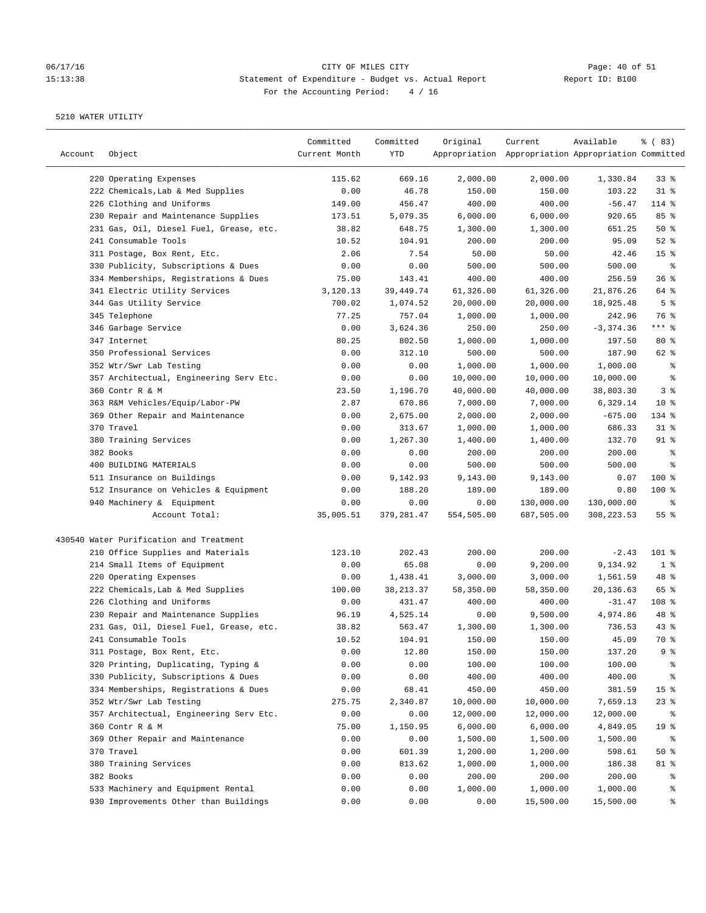# 06/17/16 CITY OF MILES CITY Page: 40 of 51 15:13:38 Statement of Expenditure - Budget vs. Actual Report For the Accounting Period: 4 / 16

| Account | Object                                  | Committed<br>Current Month | Committed<br>YTD | Original   | Current<br>Appropriation Appropriation Appropriation Committed | Available   | % (83)          |
|---------|-----------------------------------------|----------------------------|------------------|------------|----------------------------------------------------------------|-------------|-----------------|
|         | 220 Operating Expenses                  | 115.62                     | 669.16           | 2,000.00   | 2,000.00                                                       | 1,330.84    | 33%             |
|         | 222 Chemicals, Lab & Med Supplies       | 0.00                       | 46.78            | 150.00     | 150.00                                                         | 103.22      | $31$ %          |
|         | 226 Clothing and Uniforms               | 149.00                     | 456.47           | 400.00     | 400.00                                                         | $-56.47$    | 114 %           |
|         | 230 Repair and Maintenance Supplies     | 173.51                     | 5,079.35         | 6,000.00   | 6,000.00                                                       | 920.65      | 85 %            |
|         | 231 Gas, Oil, Diesel Fuel, Grease, etc. | 38.82                      | 648.75           | 1,300.00   | 1,300.00                                                       | 651.25      | 50%             |
|         | 241 Consumable Tools                    | 10.52                      | 104.91           | 200.00     | 200.00                                                         | 95.09       | $52$ %          |
|         | 311 Postage, Box Rent, Etc.             | 2.06                       | 7.54             | 50.00      | 50.00                                                          | 42.46       | 15 <sup>°</sup> |
|         | 330 Publicity, Subscriptions & Dues     | 0.00                       | 0.00             | 500.00     | 500.00                                                         | 500.00      | နွ              |
|         | 334 Memberships, Registrations & Dues   | 75.00                      | 143.41           | 400.00     | 400.00                                                         | 256.59      | 36%             |
|         | 341 Electric Utility Services           | 3,120.13                   | 39, 449. 74      | 61,326.00  | 61,326.00                                                      | 21,876.26   | 64 %            |
|         | 344 Gas Utility Service                 | 700.02                     | 1,074.52         | 20,000.00  | 20,000.00                                                      | 18,925.48   | 5 <sup>8</sup>  |
|         | 345 Telephone                           | 77.25                      | 757.04           | 1,000.00   | 1,000.00                                                       | 242.96      | 76 %            |
|         | 346 Garbage Service                     | 0.00                       | 3,624.36         | 250.00     | 250.00                                                         | $-3,374.36$ | $***$ $%$       |
|         | 347 Internet                            | 80.25                      | 802.50           | 1,000.00   | 1,000.00                                                       | 197.50      | $80*$           |
|         | 350 Professional Services               | 0.00                       | 312.10           | 500.00     | 500.00                                                         | 187.90      | 62 %            |
|         | 352 Wtr/Swr Lab Testing                 | 0.00                       | 0.00             | 1,000.00   | 1,000.00                                                       | 1,000.00    | ್ಠಿ             |
|         | 357 Architectual, Engineering Serv Etc. | 0.00                       | 0.00             | 10,000.00  | 10,000.00                                                      | 10,000.00   | ್ಠಿ             |
|         | 360 Contr R & M                         | 23.50                      | 1,196.70         | 40,000.00  | 40,000.00                                                      | 38,803.30   | 3 <sup>°</sup>  |
|         | 363 R&M Vehicles/Equip/Labor-PW         | 2.87                       | 670.86           | 7,000.00   | 7,000.00                                                       | 6,329.14    | $10*$           |
|         | 369 Other Repair and Maintenance        | 0.00                       | 2,675.00         | 2,000.00   | 2,000.00                                                       | $-675.00$   | 134 %           |
|         | 370 Travel                              | 0.00                       | 313.67           | 1,000.00   | 1,000.00                                                       | 686.33      | $31$ %          |
|         | 380 Training Services                   | 0.00                       | 1,267.30         | 1,400.00   | 1,400.00                                                       | 132.70      | $91$ %          |
|         | 382 Books                               | 0.00                       | 0.00             | 200.00     | 200.00                                                         | 200.00      | နွ              |
|         | 400 BUILDING MATERIALS                  | 0.00                       | 0.00             | 500.00     | 500.00                                                         | 500.00      | ి               |
|         | 511 Insurance on Buildings              | 0.00                       | 9,142.93         | 9,143.00   | 9,143.00                                                       | 0.07        | 100 %           |
|         | 512 Insurance on Vehicles & Equipment   | 0.00                       | 188.20           | 189.00     | 189.00                                                         | 0.80        | 100 %           |
|         | 940 Machinery & Equipment               | 0.00                       | 0.00             | 0.00       | 130,000.00                                                     | 130,000.00  | နွ              |
|         | Account Total:                          | 35,005.51                  | 379,281.47       | 554,505.00 | 687,505.00                                                     | 308, 223.53 | 55%             |
|         | 430540 Water Purification and Treatment |                            |                  |            |                                                                |             |                 |
|         | 210 Office Supplies and Materials       | 123.10                     | 202.43           | 200.00     | 200.00                                                         | $-2.43$     | 101 %           |
|         | 214 Small Items of Equipment            | 0.00                       | 65.08            | 0.00       | 9,200.00                                                       | 9,134.92    | 1 <sup>8</sup>  |
|         | 220 Operating Expenses                  | 0.00                       | 1,438.41         | 3,000.00   | 3,000.00                                                       | 1,561.59    | 48 %            |
|         | 222 Chemicals, Lab & Med Supplies       | 100.00                     | 38, 213.37       | 58,350.00  | 58,350.00                                                      | 20,136.63   | 65 %            |
|         | 226 Clothing and Uniforms               | 0.00                       | 431.47           | 400.00     | 400.00                                                         | $-31.47$    | 108 %           |
|         | 230 Repair and Maintenance Supplies     | 96.19                      | 4,525.14         | 0.00       | 9,500.00                                                       | 4,974.86    | 48 %            |
|         | 231 Gas, Oil, Diesel Fuel, Grease, etc. | 38.82                      | 563.47           | 1,300.00   | 1,300.00                                                       | 736.53      | 43%             |
|         | 241 Consumable Tools                    | 10.52                      | 104.91           | 150.00     | 150.00                                                         | 45.09       | 70 %            |
|         | 311 Postage, Box Rent, Etc.             | 0.00                       | 12.80            | 150.00     | 150.00                                                         | 137.20      | 9 %             |
|         | 320 Printing, Duplicating, Typing &     | 0.00                       | 0.00             | 100.00     | 100.00                                                         | 100.00      | ွေ              |
|         | 330 Publicity, Subscriptions & Dues     | 0.00                       | 0.00             | 400.00     | 400.00                                                         | 400.00      | ိစ              |
|         | 334 Memberships, Registrations & Dues   | 0.00                       | 68.41            | 450.00     | 450.00                                                         | 381.59      | 15 <sup>8</sup> |
|         | 352 Wtr/Swr Lab Testing                 | 275.75                     | 2,340.87         | 10,000.00  | 10,000.00                                                      | 7,659.13    | $23$ $%$        |
|         | 357 Architectual, Engineering Serv Etc. | 0.00                       | 0.00             | 12,000.00  | 12,000.00                                                      | 12,000.00   | ိစ              |
|         | 360 Contr R & M                         | 75.00                      | 1,150.95         | 6,000.00   | 6,000.00                                                       | 4,849.05    | 19 <sup>°</sup> |
|         | 369 Other Repair and Maintenance        | 0.00                       | 0.00             | 1,500.00   | 1,500.00                                                       | 1,500.00    | ႜ               |
|         | 370 Travel                              | 0.00                       | 601.39           | 1,200.00   | 1,200.00                                                       | 598.61      | $50*$           |
|         | 380 Training Services                   | 0.00                       | 813.62           | 1,000.00   | 1,000.00                                                       | 186.38      | 81 %            |
|         | 382 Books                               | 0.00                       | 0.00             | 200.00     | 200.00                                                         | 200.00      | ွေ              |
|         | 533 Machinery and Equipment Rental      | 0.00                       | 0.00             | 1,000.00   | 1,000.00                                                       | 1,000.00    | ွေ              |
|         | 930 Improvements Other than Buildings   | 0.00                       | 0.00             | 0.00       | 15,500.00                                                      | 15,500.00   | နွ              |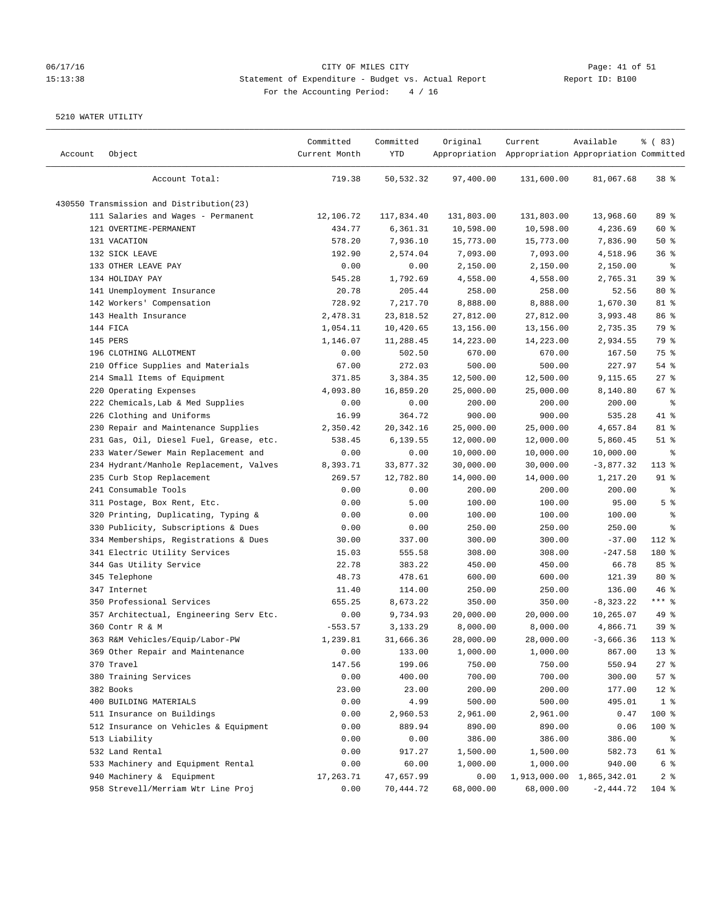# 06/17/16 Page: 41 of 51 15:13:38 Statement of Expenditure - Budget vs. Actual Report Changer Report ID: B100 For the Accounting Period: 4 / 16

| Account | Object                                   | Committed<br>Current Month | Committed<br>YTD | Original   | Current<br>Appropriation Appropriation Appropriation Committed | Available    | % (83)          |
|---------|------------------------------------------|----------------------------|------------------|------------|----------------------------------------------------------------|--------------|-----------------|
|         | Account Total:                           | 719.38                     | 50,532.32        | 97,400.00  | 131,600.00                                                     | 81,067.68    | 38 <sup>8</sup> |
|         | 430550 Transmission and Distribution(23) |                            |                  |            |                                                                |              |                 |
|         | 111 Salaries and Wages - Permanent       | 12,106.72                  | 117,834.40       | 131,803.00 | 131,803.00                                                     | 13,968.60    | 89 %            |
|         | 121 OVERTIME-PERMANENT                   | 434.77                     | 6,361.31         | 10,598.00  | 10,598.00                                                      | 4,236.69     | 60 %            |
|         | 131 VACATION                             | 578.20                     | 7,936.10         | 15,773.00  | 15,773.00                                                      | 7,836.90     | 50%             |
|         | 132 SICK LEAVE                           | 192.90                     | 2,574.04         | 7,093.00   | 7,093.00                                                       | 4,518.96     | 36%             |
|         | 133 OTHER LEAVE PAY                      | 0.00                       | 0.00             | 2,150.00   | 2,150.00                                                       | 2,150.00     | နွ              |
|         | 134 HOLIDAY PAY                          | 545.28                     | 1,792.69         | 4,558.00   | 4,558.00                                                       | 2,765.31     | 39 %            |
|         | 141 Unemployment Insurance               | 20.78                      | 205.44           | 258.00     | 258.00                                                         | 52.56        | $80*$           |
|         | 142 Workers' Compensation                | 728.92                     | 7,217.70         | 8,888.00   | 8,888.00                                                       | 1,670.30     | 81 %            |
|         | 143 Health Insurance                     | 2,478.31                   | 23,818.52        | 27,812.00  | 27,812.00                                                      | 3,993.48     | 86 <sup>8</sup> |
|         | 144 FICA                                 | 1,054.11                   | 10,420.65        | 13,156.00  | 13,156.00                                                      | 2,735.35     | 79 %            |
|         | 145 PERS                                 | 1,146.07                   | 11,288.45        | 14,223.00  | 14,223.00                                                      | 2,934.55     | 79 %            |
|         | 196 CLOTHING ALLOTMENT                   | 0.00                       | 502.50           | 670.00     | 670.00                                                         | 167.50       | 75 %            |
|         | 210 Office Supplies and Materials        | 67.00                      | 272.03           | 500.00     | 500.00                                                         | 227.97       | 54 %            |
|         | 214 Small Items of Equipment             | 371.85                     | 3,384.35         | 12,500.00  | 12,500.00                                                      | 9,115.65     | $27$ %          |
|         | 220 Operating Expenses                   | 4,093.80                   | 16,859.20        | 25,000.00  | 25,000.00                                                      | 8,140.80     | 67%             |
|         | 222 Chemicals, Lab & Med Supplies        | 0.00                       | 0.00             | 200.00     | 200.00                                                         | 200.00       | $\epsilon$      |
|         | 226 Clothing and Uniforms                | 16.99                      | 364.72           | 900.00     | 900.00                                                         | 535.28       | 41 %            |
|         | 230 Repair and Maintenance Supplies      | 2,350.42                   | 20, 342. 16      | 25,000.00  | 25,000.00                                                      | 4,657.84     | 81 %            |
|         | 231 Gas, Oil, Diesel Fuel, Grease, etc.  | 538.45                     | 6,139.55         | 12,000.00  | 12,000.00                                                      | 5,860.45     | $51$ %          |
|         | 233 Water/Sewer Main Replacement and     | 0.00                       | 0.00             | 10,000.00  | 10,000.00                                                      | 10,000.00    | နွ              |
|         | 234 Hydrant/Manhole Replacement, Valves  | 8,393.71                   | 33,877.32        | 30,000.00  | 30,000.00                                                      | $-3,877.32$  | $113$ %         |
|         | 235 Curb Stop Replacement                | 269.57                     | 12,782.80        | 14,000.00  | 14,000.00                                                      | 1,217.20     | $91$ %          |
|         | 241 Consumable Tools                     | 0.00                       | 0.00             | 200.00     | 200.00                                                         | 200.00       | ್ಠಿ             |
|         | 311 Postage, Box Rent, Etc.              | 0.00                       | 5.00             | 100.00     | 100.00                                                         | 95.00        | 5 <sup>8</sup>  |
|         | 320 Printing, Duplicating, Typing &      | 0.00                       | 0.00             | 100.00     | 100.00                                                         | 100.00       | နွ              |
|         | 330 Publicity, Subscriptions & Dues      | 0.00                       | 0.00             | 250.00     | 250.00                                                         | 250.00       | ್ಠಿ             |
|         | 334 Memberships, Registrations & Dues    | 30.00                      | 337.00           | 300.00     | 300.00                                                         | $-37.00$     | 112 %           |
|         | 341 Electric Utility Services            | 15.03                      | 555.58           | 308.00     | 308.00                                                         | $-247.58$    | 180 %           |
|         | 344 Gas Utility Service                  | 22.78                      | 383.22           | 450.00     | 450.00                                                         | 66.78        | 85%             |
|         | 345 Telephone                            | 48.73                      | 478.61           | 600.00     | 600.00                                                         | 121.39       | $80*$           |
|         | 347 Internet                             | 11.40                      | 114.00           | 250.00     | 250.00                                                         | 136.00       | 46%             |
|         | 350 Professional Services                | 655.25                     | 8,673.22         | 350.00     | 350.00                                                         | $-8, 323.22$ | $***$ $-$       |
|         | 357 Architectual, Engineering Serv Etc.  | 0.00                       | 9,734.93         | 20,000.00  | 20,000.00                                                      | 10,265.07    | 49 %            |
|         | 360 Contr R & M                          | $-553.57$                  | 3,133.29         | 8,000.00   | 8,000.00                                                       | 4,866.71     | 39%             |
|         | 363 R&M Vehicles/Equip/Labor-PW          | 1,239.81                   | 31,666.36        | 28,000.00  | 28,000.00                                                      | $-3,666.36$  | $113*$          |
|         | 369 Other Repair and Maintenance         | 0.00                       | 133.00           | 1,000.00   | 1,000.00                                                       | 867.00       | 13 <sup>°</sup> |
|         | 370 Travel                               | 147.56                     | 199.06           | 750.00     | 750.00                                                         | 550.94       | 27%             |
|         | 380 Training Services                    | 0.00                       | 400.00           | 700.00     | 700.00                                                         | 300.00       | 57%             |
|         | 382 Books                                | 23.00                      | 23.00            | 200.00     | 200.00                                                         | 177.00       | $12$ %          |
|         | 400 BUILDING MATERIALS                   | 0.00                       | 4.99             | 500.00     | 500.00                                                         | 495.01       | 1 <sup>8</sup>  |
|         | 511 Insurance on Buildings               | 0.00                       | 2,960.53         | 2,961.00   | 2,961.00                                                       | 0.47         | 100 %           |
|         | 512 Insurance on Vehicles & Equipment    | 0.00                       | 889.94           | 890.00     | 890.00                                                         | 0.06         | 100 %           |
|         | 513 Liability                            | 0.00                       | 0.00             | 386.00     | 386.00                                                         | 386.00       | ိစ              |
|         | 532 Land Rental                          | 0.00                       | 917.27           | 1,500.00   | 1,500.00                                                       | 582.73       | 61 %            |
|         | 533 Machinery and Equipment Rental       | 0.00                       | 60.00            | 1,000.00   | 1,000.00                                                       | 940.00       | 6 %             |
|         | 940 Machinery & Equipment                | 17,263.71                  | 47,657.99        | 0.00       | 1,913,000.00                                                   | 1,865,342.01 | 2 <sub>8</sub>  |
|         | 958 Strevell/Merriam Wtr Line Proj       | 0.00                       | 70,444.72        | 68,000.00  | 68,000.00                                                      | $-2,444.72$  | 104 %           |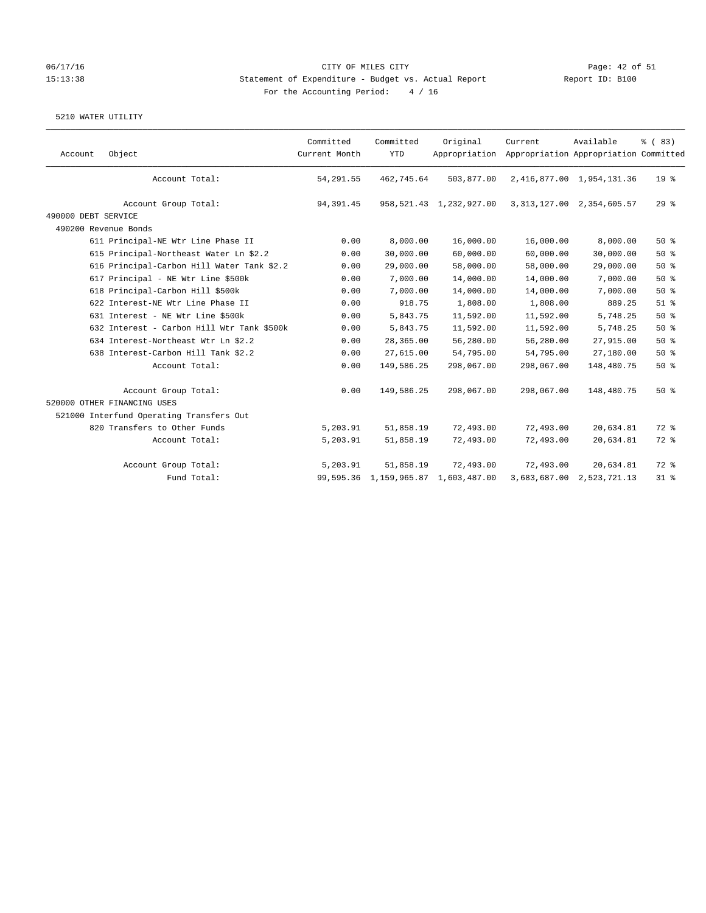### 06/17/16 Page: 42 of 51 Page: 42 of 51 15:13:38 Statement of Expenditure - Budget vs. Actual Report Report ID: B100 For the Accounting Period: 4 / 16

| Account             | Object                                     | Committed<br>Current Month | Committed<br><b>YTD</b> | Original<br>Appropriation  | Current      | Available<br>Appropriation Appropriation Committed | % (83)          |
|---------------------|--------------------------------------------|----------------------------|-------------------------|----------------------------|--------------|----------------------------------------------------|-----------------|
|                     | Account Total:                             | 54,291.55                  | 462,745.64              | 503,877.00                 |              | 2,416,877.00 1,954,131.36                          | 19 <sup>°</sup> |
|                     | Account Group Total:                       | 94, 391.45                 |                         | 958, 521.43 1, 232, 927.00 |              | 3, 313, 127.00 2, 354, 605.57                      | 29%             |
| 490000 DEBT SERVICE |                                            |                            |                         |                            |              |                                                    |                 |
|                     | 490200 Revenue Bonds                       |                            |                         |                            |              |                                                    |                 |
|                     | 611 Principal-NE Wtr Line Phase II         | 0.00                       | 8,000.00                | 16,000.00                  | 16,000.00    | 8,000.00                                           | 50%             |
|                     | 615 Principal-Northeast Water Ln \$2.2     | 0.00                       | 30,000.00               | 60,000.00                  | 60,000.00    | 30,000.00                                          | 50%             |
|                     | 616 Principal-Carbon Hill Water Tank \$2.2 | 0.00                       | 29,000.00               | 58,000.00                  | 58,000.00    | 29,000.00                                          | 50%             |
|                     | 617 Principal - NE Wtr Line \$500k         | 0.00                       | 7,000.00                | 14,000.00                  | 14,000.00    | 7,000.00                                           | 50%             |
|                     | 618 Principal-Carbon Hill \$500k           | 0.00                       | 7,000.00                | 14,000.00                  | 14,000.00    | 7,000.00                                           | 50%             |
|                     | 622 Interest-NE Wtr Line Phase II          | 0.00                       | 918.75                  | 1,808.00                   | 1,808.00     | 889.25                                             | $51$ %          |
|                     | 631 Interest - NE Wtr Line \$500k          | 0.00                       | 5,843.75                | 11,592.00                  | 11,592.00    | 5,748.25                                           | 50%             |
|                     | 632 Interest - Carbon Hill Wtr Tank \$500k | 0.00                       | 5,843.75                | 11,592.00                  | 11,592.00    | 5,748.25                                           | 50%             |
|                     | 634 Interest-Northeast Wtr Ln \$2.2        | 0.00                       | 28,365.00               | 56,280.00                  | 56,280.00    | 27,915.00                                          | 50%             |
|                     | 638 Interest-Carbon Hill Tank \$2.2        | 0.00                       | 27,615.00               | 54,795.00                  | 54,795.00    | 27,180.00                                          | 50%             |
|                     | Account Total:                             | 0.00                       | 149,586.25              | 298,067.00                 | 298,067.00   | 148,480.75                                         | 50%             |
|                     | Account Group Total:                       | 0.00                       | 149,586.25              | 298,067.00                 | 298,067.00   | 148,480.75                                         | 50%             |
|                     | 520000 OTHER FINANCING USES                |                            |                         |                            |              |                                                    |                 |
|                     | 521000 Interfund Operating Transfers Out   |                            |                         |                            |              |                                                    |                 |
|                     | 820 Transfers to Other Funds               | 5,203.91                   | 51,858.19               | 72,493.00                  | 72,493.00    | 20,634.81                                          | 72 %            |
|                     | Account Total:                             | 5,203.91                   | 51,858.19               | 72,493.00                  | 72,493.00    | 20,634.81                                          | 72 %            |
|                     | Account Group Total:                       | 5,203.91                   | 51,858.19               | 72,493.00                  | 72,493.00    | 20,634.81                                          | 72 %            |
|                     | Fund Total:                                |                            | 99,595.36 1,159,965.87  | 1,603,487.00               | 3,683,687.00 | 2,523,721.13                                       | $31$ %          |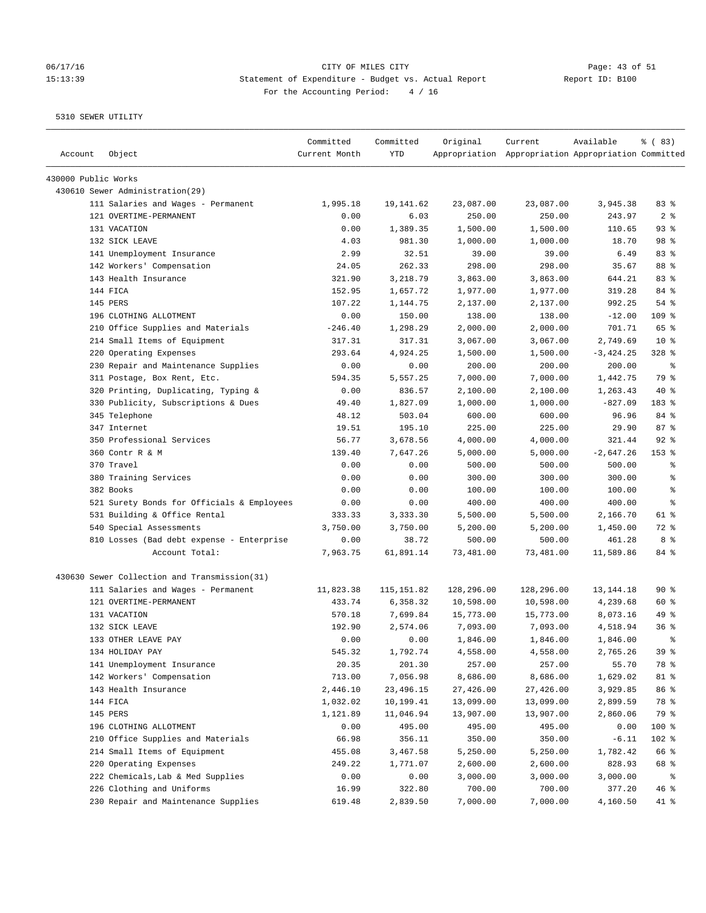# 06/17/16 Page: 43 of 51 15:13:39 Statement of Expenditure - Budget vs. Actual Report Changer Report ID: B100 For the Accounting Period: 4 / 16

| Account             | Object                                       | Committed<br>Current Month | Committed<br>YTD | Original   | Current<br>Appropriation Appropriation Appropriation Committed | Available   | % (83)         |
|---------------------|----------------------------------------------|----------------------------|------------------|------------|----------------------------------------------------------------|-------------|----------------|
| 430000 Public Works |                                              |                            |                  |            |                                                                |             |                |
|                     | 430610 Sewer Administration(29)              |                            |                  |            |                                                                |             |                |
|                     | 111 Salaries and Wages - Permanent           | 1,995.18                   | 19,141.62        | 23,087.00  | 23,087.00                                                      | 3,945.38    | 83 %           |
|                     | 121 OVERTIME-PERMANENT                       | 0.00                       | 6.03             | 250.00     | 250.00                                                         | 243.97      | 2 <sup>8</sup> |
|                     | 131 VACATION                                 | 0.00                       | 1,389.35         | 1,500.00   | 1,500.00                                                       | 110.65      | 93%            |
|                     | 132 SICK LEAVE                               | 4.03                       | 981.30           | 1,000.00   | 1,000.00                                                       | 18.70       | 98 %           |
|                     | 141 Unemployment Insurance                   | 2.99                       | 32.51            | 39.00      | 39.00                                                          | 6.49        | 83%            |
|                     | 142 Workers' Compensation                    | 24.05                      | 262.33           | 298.00     | 298.00                                                         | 35.67       | 88 %           |
|                     | 143 Health Insurance                         | 321.90                     | 3,218.79         | 3,863.00   | 3,863.00                                                       | 644.21      | 83%            |
|                     | 144 FICA                                     | 152.95                     | 1,657.72         | 1,977.00   | 1,977.00                                                       | 319.28      | 84 %           |
|                     | 145 PERS                                     | 107.22                     | 1,144.75         | 2,137.00   | 2,137.00                                                       | 992.25      | 54 %           |
|                     | 196 CLOTHING ALLOTMENT                       | 0.00                       | 150.00           | 138.00     | 138.00                                                         | $-12.00$    | $109$ %        |
|                     | 210 Office Supplies and Materials            | $-246.40$                  | 1,298.29         | 2,000.00   | 2,000.00                                                       | 701.71      | 65 %           |
|                     | 214 Small Items of Equipment                 | 317.31                     | 317.31           | 3,067.00   | 3,067.00                                                       | 2,749.69    | $10*$          |
|                     | 220 Operating Expenses                       | 293.64                     | 4,924.25         | 1,500.00   | 1,500.00                                                       | $-3,424.25$ | $328$ %        |
|                     | 230 Repair and Maintenance Supplies          | 0.00                       | 0.00             | 200.00     | 200.00                                                         | 200.00      | နွ             |
|                     | 311 Postage, Box Rent, Etc.                  | 594.35                     | 5,557.25         | 7,000.00   | 7,000.00                                                       | 1,442.75    | 79 %           |
|                     | 320 Printing, Duplicating, Typing &          | 0.00                       | 836.57           | 2,100.00   | 2,100.00                                                       | 1,263.43    | $40*$          |
|                     | 330 Publicity, Subscriptions & Dues          | 49.40                      | 1,827.09         | 1,000.00   | 1,000.00                                                       | $-827.09$   | 183 %          |
|                     | 345 Telephone                                | 48.12                      | 503.04           | 600.00     | 600.00                                                         | 96.96       | 84 %           |
|                     | 347 Internet                                 | 19.51                      | 195.10           | 225.00     | 225.00                                                         | 29.90       | 87%            |
|                     | 350 Professional Services                    | 56.77                      | 3,678.56         | 4,000.00   | 4,000.00                                                       | 321.44      | $92$ $%$       |
|                     | 360 Contr R & M                              | 139.40                     | 7,647.26         | 5,000.00   | 5,000.00                                                       | $-2,647.26$ | $153$ $%$      |
|                     | 370 Travel                                   | 0.00                       | 0.00             | 500.00     | 500.00                                                         | 500.00      | る              |
|                     | 380 Training Services                        | 0.00                       | 0.00             | 300.00     | 300.00                                                         | 300.00      | ి              |
|                     | 382 Books                                    | 0.00                       | 0.00             | 100.00     | 100.00                                                         | 100.00      | နွ             |
|                     | 521 Surety Bonds for Officials & Employees   | 0.00                       | 0.00             | 400.00     | 400.00                                                         | 400.00      | နွ             |
|                     | 531 Building & Office Rental                 | 333.33                     | 3,333.30         | 5,500.00   | 5,500.00                                                       | 2,166.70    | 61 %           |
|                     | 540 Special Assessments                      | 3,750.00                   | 3,750.00         | 5,200.00   | 5,200.00                                                       | 1,450.00    | 72 %           |
|                     | 810 Losses (Bad debt expense - Enterprise    | 0.00                       | 38.72            | 500.00     | 500.00                                                         | 461.28      | 8 %            |
|                     | Account Total:                               | 7,963.75                   | 61,891.14        | 73,481.00  | 73,481.00                                                      | 11,589.86   | 84 %           |
|                     | 430630 Sewer Collection and Transmission(31) |                            |                  |            |                                                                |             |                |
|                     | 111 Salaries and Wages - Permanent           | 11,823.38                  | 115, 151.82      | 128,296.00 | 128,296.00                                                     | 13, 144. 18 | 90%            |
|                     | 121 OVERTIME-PERMANENT                       | 433.74                     | 6,358.32         | 10,598.00  | 10,598.00                                                      | 4,239.68    | 60 %           |
|                     | 131 VACATION                                 | 570.18                     | 7,699.84         | 15,773.00  | 15,773.00                                                      | 8,073.16    | 49 %           |
|                     | 132 SICK LEAVE                               | 192.90                     | 2,574.06         | 7,093.00   | 7,093.00                                                       | 4,518.94    | 36%            |
|                     | 133 OTHER LEAVE PAY                          | 0.00                       | 0.00             | 1,846.00   | 1,846.00                                                       | 1,846.00    | 昙              |
|                     | 134 HOLIDAY PAY                              | 545.32                     | 1,792.74         | 4,558.00   | 4,558.00                                                       | 2,765.26    | 39 %           |
|                     | 141 Unemployment Insurance                   | 20.35                      | 201.30           | 257.00     | 257.00                                                         | 55.70       | 78 %           |
|                     | 142 Workers' Compensation                    | 713.00                     | 7,056.98         | 8,686.00   | 8,686.00                                                       | 1,629.02    | 81 %           |
|                     | 143 Health Insurance                         | 2,446.10                   | 23,496.15        | 27,426.00  | 27,426.00                                                      | 3,929.85    | 86 %           |
|                     | 144 FICA                                     | 1,032.02                   | 10,199.41        | 13,099.00  | 13,099.00                                                      | 2,899.59    | 78 %           |
|                     | 145 PERS                                     | 1,121.89                   | 11,046.94        | 13,907.00  | 13,907.00                                                      | 2,860.06    | 79 %           |
|                     | 196 CLOTHING ALLOTMENT                       | 0.00                       | 495.00           | 495.00     | 495.00                                                         | 0.00        | 100 %          |
|                     | 210 Office Supplies and Materials            | 66.98                      | 356.11           | 350.00     | 350.00                                                         | $-6.11$     | 102 %          |
|                     | 214 Small Items of Equipment                 | 455.08                     | 3,467.58         | 5,250.00   | 5,250.00                                                       | 1,782.42    | 66 %           |
|                     | 220 Operating Expenses                       | 249.22                     | 1,771.07         | 2,600.00   | 2,600.00                                                       | 828.93      | 68 %           |
|                     | 222 Chemicals, Lab & Med Supplies            | 0.00                       | 0.00             | 3,000.00   | 3,000.00                                                       | 3,000.00    | နွ             |
|                     | 226 Clothing and Uniforms                    | 16.99                      | 322.80           | 700.00     | 700.00                                                         | 377.20      | 46 %           |
|                     | 230 Repair and Maintenance Supplies          | 619.48                     | 2,839.50         | 7,000.00   | 7,000.00                                                       | 4,160.50    | 41 %           |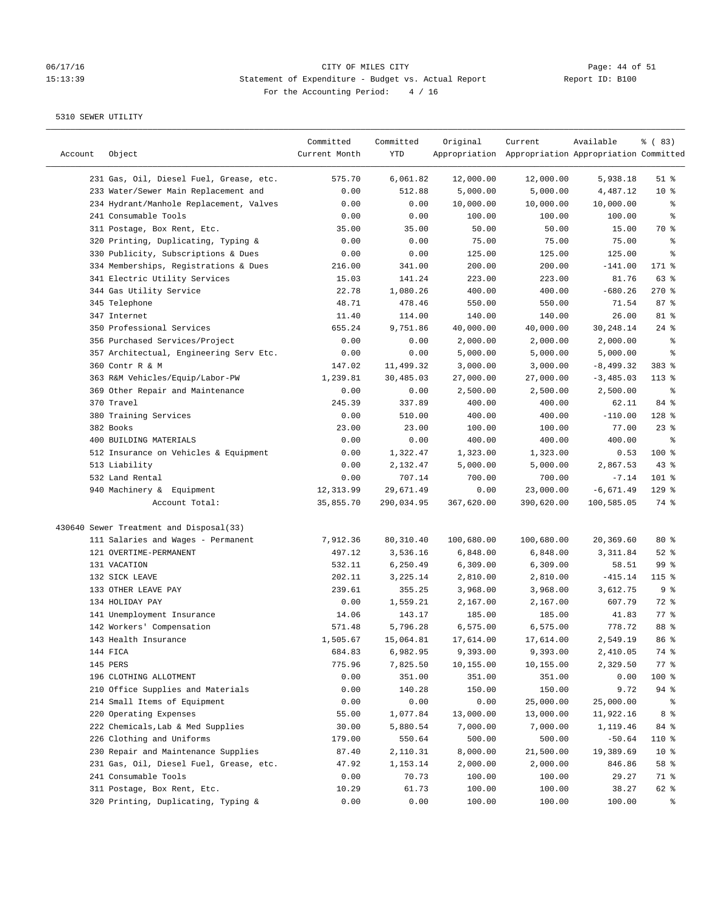#### 06/17/16 Page: 44 of 51 15:13:39 Statement of Expenditure - Budget vs. Actual Report Report ID: B100 For the Accounting Period: 4 / 16

| Account | Object                                  | Committed<br>Current Month | Committed<br>YTD | Original   | Current<br>Appropriation Appropriation Appropriation Committed | Available   | % (83)             |
|---------|-----------------------------------------|----------------------------|------------------|------------|----------------------------------------------------------------|-------------|--------------------|
|         | 231 Gas, Oil, Diesel Fuel, Grease, etc. | 575.70                     | 6,061.82         | 12,000.00  | 12,000.00                                                      | 5,938.18    | $51$ %             |
|         | 233 Water/Sewer Main Replacement and    | 0.00                       | 512.88           | 5,000.00   | 5,000.00                                                       | 4,487.12    | $10*$              |
|         | 234 Hydrant/Manhole Replacement, Valves | 0.00                       | 0.00             | 10,000.00  | 10,000.00                                                      | 10,000.00   | နွ                 |
|         | 241 Consumable Tools                    | 0.00                       | 0.00             | 100.00     | 100.00                                                         | 100.00      | ್ಠಿ                |
|         | 311 Postage, Box Rent, Etc.             | 35.00                      | 35.00            | 50.00      | 50.00                                                          | 15.00       | 70 %               |
|         | 320 Printing, Duplicating, Typing &     | 0.00                       | 0.00             | 75.00      | 75.00                                                          | 75.00       | ి                  |
|         | 330 Publicity, Subscriptions & Dues     | 0.00                       | 0.00             | 125.00     | 125.00                                                         | 125.00      | ి                  |
|         | 334 Memberships, Registrations & Dues   | 216.00                     | 341.00           | 200.00     | 200.00                                                         | $-141.00$   | 171 %              |
|         | 341 Electric Utility Services           | 15.03                      | 141.24           | 223.00     | 223.00                                                         | 81.76       | 63 %               |
|         | 344 Gas Utility Service                 | 22.78                      | 1,080.26         | 400.00     | 400.00                                                         | $-680.26$   | $270$ %            |
|         | 345 Telephone                           | 48.71                      | 478.46           | 550.00     | 550.00                                                         | 71.54       | 87%                |
|         | 347 Internet                            | 11.40                      | 114.00           | 140.00     | 140.00                                                         | 26.00       | 81 %               |
|         | 350 Professional Services               | 655.24                     | 9,751.86         | 40,000.00  | 40,000.00                                                      | 30,248.14   | $24$ %             |
|         | 356 Purchased Services/Project          | 0.00                       | 0.00             | 2,000.00   | 2,000.00                                                       | 2,000.00    | ್ಠಿ                |
|         | 357 Architectual, Engineering Serv Etc. | 0.00                       | 0.00             | 5,000.00   | 5,000.00                                                       | 5,000.00    | န့                 |
|         | 360 Contr R & M                         | 147.02                     | 11,499.32        | 3,000.00   | 3,000.00                                                       | $-8,499.32$ | 383 %              |
|         | 363 R&M Vehicles/Equip/Labor-PW         | 1,239.81                   | 30,485.03        | 27,000.00  | 27,000.00                                                      | $-3,485.03$ | $113*$             |
|         | 369 Other Repair and Maintenance        | 0.00                       | 0.00             | 2,500.00   | 2,500.00                                                       | 2,500.00    | နွ                 |
|         | 370 Travel                              | 245.39                     | 337.89           | 400.00     | 400.00                                                         | 62.11       | 84 %               |
|         | 380 Training Services                   | 0.00                       | 510.00           | 400.00     | 400.00                                                         | $-110.00$   | 128 %              |
|         | 382 Books                               | 23.00                      | 23.00            | 100.00     | 100.00                                                         | 77.00       | $23$ $%$           |
|         | 400 BUILDING MATERIALS                  | 0.00                       | 0.00             | 400.00     | 400.00                                                         | 400.00      | နွ                 |
|         | 512 Insurance on Vehicles & Equipment   | 0.00                       | 1,322.47         | 1,323.00   | 1,323.00                                                       | 0.53        | 100 %              |
|         | 513 Liability                           | 0.00                       | 2,132.47         | 5,000.00   | 5,000.00                                                       | 2,867.53    | 43%                |
|         | 532 Land Rental                         | 0.00                       | 707.14           | 700.00     | 700.00                                                         | $-7.14$     | $101$ %            |
|         | 940 Machinery & Equipment               | 12, 313.99                 | 29,671.49        | 0.00       | 23,000.00                                                      | $-6,671.49$ | $129$ %            |
|         | Account Total:                          | 35,855.70                  | 290,034.95       | 367,620.00 | 390,620.00                                                     | 100,585.05  | 74 %               |
|         | 430640 Sewer Treatment and Disposal(33) |                            |                  |            |                                                                |             |                    |
|         | 111 Salaries and Wages - Permanent      | 7,912.36                   | 80,310.40        | 100,680.00 | 100,680.00                                                     | 20,369.60   | $80*$              |
|         | 121 OVERTIME-PERMANENT                  | 497.12                     | 3,536.16         | 6,848.00   | 6,848.00                                                       | 3,311.84    | $52$ $%$           |
|         | 131 VACATION                            | 532.11                     | 6,250.49         | 6,309.00   | 6,309.00                                                       | 58.51       | 99 <sup>8</sup>    |
|         | 132 SICK LEAVE                          | 202.11                     | 3,225.14         | 2,810.00   | 2,810.00                                                       | $-415.14$   | 115 %              |
|         | 133 OTHER LEAVE PAY                     | 239.61                     | 355.25           | 3,968.00   | 3,968.00                                                       | 3,612.75    | 9%                 |
|         | 134 HOLIDAY PAY                         | 0.00                       | 1,559.21         | 2,167.00   | 2,167.00                                                       | 607.79      | 72 %               |
|         | 141 Unemployment Insurance              | 14.06                      | 143.17           | 185.00     | 185.00                                                         | 41.83       | 77.8               |
|         | 142 Workers' Compensation               | 571.48                     | 5,796.28         | 6,575.00   | 6,575.00                                                       | 778.72      | 88 %               |
|         | 143 Health Insurance                    | 1,505.67                   | 15,064.81        | 17,614.00  | 17,614.00                                                      | 2,549.19    | 86 <sup>8</sup>    |
|         | 144 FICA                                | 684.83                     | 6,982.95         | 9,393.00   | 9,393.00                                                       | 2,410.05    | 74 %               |
|         | 145 PERS                                | 775.96                     | 7,825.50         | 10,155.00  | 10,155.00                                                      | 2,329.50    | $77$ $\frac{6}{5}$ |
|         | 196 CLOTHING ALLOTMENT                  | 0.00                       | 351.00           | 351.00     | 351.00                                                         | 0.00        | 100 %              |
|         | 210 Office Supplies and Materials       | 0.00                       | 140.28           | 150.00     | 150.00                                                         | 9.72        | $94$ %             |
|         | 214 Small Items of Equipment            |                            |                  |            |                                                                |             |                    |
|         |                                         | 0.00                       | 0.00             | 0.00       | 25,000.00                                                      | 25,000.00   | ိစ                 |
|         | 220 Operating Expenses                  | 55.00                      | 1,077.84         | 13,000.00  | 13,000.00                                                      | 11,922.16   | 8 %                |
|         | 222 Chemicals, Lab & Med Supplies       | 30.00                      | 5,880.54         | 7,000.00   | 7,000.00                                                       | 1,119.46    | 84 %               |
|         | 226 Clothing and Uniforms               | 179.00                     | 550.64           | 500.00     | 500.00                                                         | $-50.64$    | 110 %              |
|         | 230 Repair and Maintenance Supplies     | 87.40                      | 2,110.31         | 8,000.00   | 21,500.00                                                      | 19,389.69   | 10 <sup>°</sup>    |
|         | 231 Gas, Oil, Diesel Fuel, Grease, etc. | 47.92                      | 1,153.14         | 2,000.00   | 2,000.00                                                       | 846.86      | 58 %               |
|         | 241 Consumable Tools                    | 0.00                       | 70.73            | 100.00     | 100.00                                                         | 29.27       | 71 %               |
|         | 311 Postage, Box Rent, Etc.             | 10.29                      | 61.73            | 100.00     | 100.00                                                         | 38.27       | 62 %<br>ွေ         |
|         | 320 Printing, Duplicating, Typing &     | 0.00                       | 0.00             | 100.00     | 100.00                                                         | 100.00      |                    |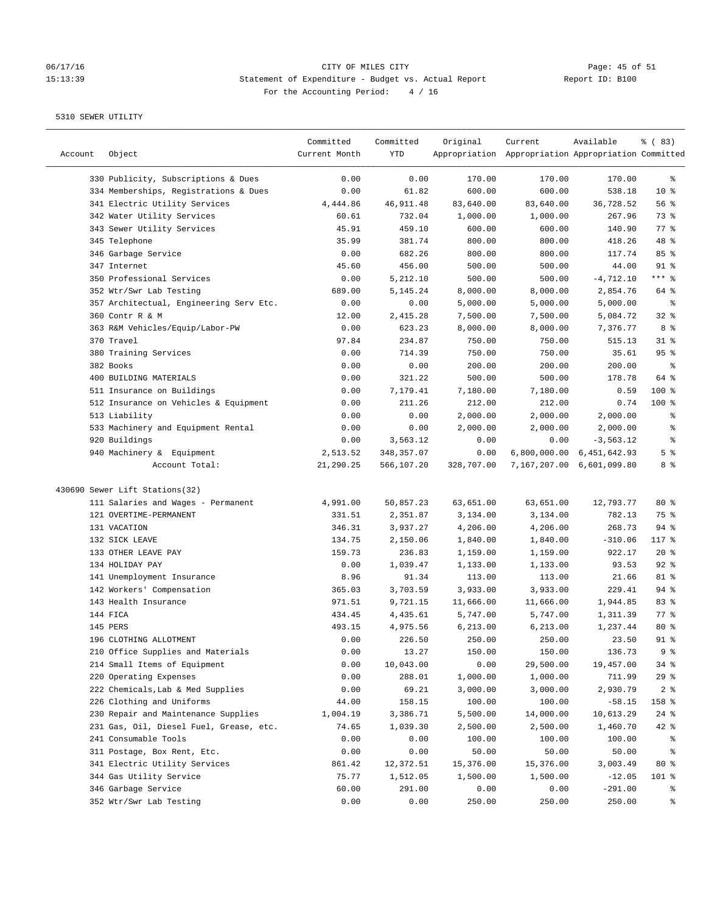# 06/17/16 CITY OF MILES CITY<br>15:13:39 Statement of Expenditure - Budget vs. Actual Report Report ID: B100 15:13:39 Statement of Expenditure - Budget vs. Actual Report For the Accounting Period: 4 / 16

————————————————————————————————————————————————————————————————————————————————————————————————————————————————————————————————————

|         |                                         | Committed     | Committed  | Original   | Current   | Available                                           | <sub>ර</sub> ි (83) |
|---------|-----------------------------------------|---------------|------------|------------|-----------|-----------------------------------------------------|---------------------|
| Account | Object                                  | Current Month | <b>YTD</b> |            |           | Appropriation Appropriation Appropriation Committed |                     |
|         | 330 Publicity, Subscriptions & Dues     | 0.00          | 0.00       | 170.00     | 170.00    | 170.00                                              | ್ಠಿ                 |
|         | 334 Memberships, Registrations & Dues   | 0.00          | 61.82      | 600.00     | 600.00    | 538.18                                              | 10 <sup>°</sup>     |
|         | 341 Electric Utility Services           | 4,444.86      | 46,911.48  | 83,640.00  | 83,640.00 | 36,728.52                                           | 56%                 |
|         | 342 Water Utility Services              | 60.61         | 732.04     | 1,000.00   | 1,000.00  | 267.96                                              | 73 %                |
|         | 343 Sewer Utility Services              | 45.91         | 459.10     | 600.00     | 600.00    | 140.90                                              | $77$ $\frac{6}{9}$  |
|         | 345 Telephone                           | 35.99         | 381.74     | 800.00     | 800.00    | 418.26                                              | 48 %                |
|         | 346 Garbage Service                     | 0.00          | 682.26     | 800.00     | 800.00    | 117.74                                              | 85%                 |
|         | 347 Internet                            | 45.60         | 456.00     | 500.00     | 500.00    | 44.00                                               | $91$ %              |
|         | 350 Professional Services               | 0.00          | 5,212.10   | 500.00     | 500.00    | $-4,712.10$                                         | $***$ $-$           |
|         | 352 Wtr/Swr Lab Testing                 | 689.00        | 5,145.24   | 8,000.00   | 8,000.00  | 2,854.76                                            | 64 %                |
|         | 357 Architectual, Engineering Serv Etc. | 0.00          | 0.00       | 5,000.00   | 5,000.00  | 5,000.00                                            | နွ                  |
|         | 360 Contr R & M                         | 12.00         | 2,415.28   | 7,500.00   | 7,500.00  | 5,084.72                                            | 32%                 |
|         | 363 R&M Vehicles/Equip/Labor-PW         | 0.00          | 623.23     | 8,000.00   | 8,000.00  | 7,376.77                                            | 8 %                 |
|         | 370 Travel                              | 97.84         | 234.87     | 750.00     | 750.00    | 515.13                                              | $31$ %              |
|         | 380 Training Services                   | 0.00          | 714.39     | 750.00     | 750.00    | 35.61                                               | 95 <sup>8</sup>     |
|         | 382 Books                               | 0.00          | 0.00       | 200.00     | 200.00    | 200.00                                              | ಿ                   |
|         | 400 BUILDING MATERIALS                  | 0.00          | 321.22     | 500.00     | 500.00    | 178.78                                              | 64 %                |
|         | 511 Insurance on Buildings              | 0.00          | 7,179.41   | 7,180.00   | 7,180.00  | 0.59                                                | $100$ %             |
|         | 512 Insurance on Vehicles & Equipment   | 0.00          | 211.26     | 212.00     | 212.00    | 0.74                                                | $100$ %             |
|         | 513 Liability                           | 0.00          | 0.00       | 2,000.00   | 2,000.00  | 2,000.00                                            | န့                  |
|         | 533 Machinery and Equipment Rental      | 0.00          | 0.00       | 2,000.00   | 2,000.00  | 2,000.00                                            | ್ಠಿ                 |
|         | 920 Buildings                           | 0.00          | 3,563.12   | 0.00       | 0.00      | $-3,563.12$                                         | ್ಠಿ                 |
|         | 940 Machinery & Equipment               | 2,513.52      | 348,357.07 | 0.00       |           | 6,800,000.00 6,451,642.93                           | 5 <sup>8</sup>      |
|         | Account Total:                          | 21,290.25     | 566,107.20 | 328,707.00 |           | 7,167,207.00 6,601,099.80                           | 8 %                 |
|         | 430690 Sewer Lift Stations(32)          |               |            |            |           |                                                     |                     |
|         | 111 Salaries and Wages - Permanent      | 4,991.00      | 50,857.23  | 63,651.00  | 63,651.00 | 12,793.77                                           | $80*$               |
|         | 121 OVERTIME-PERMANENT                  | 331.51        | 2,351.87   | 3,134.00   | 3,134.00  | 782.13                                              | 75 %                |
|         | 131 VACATION                            | 346.31        | 3,937.27   | 4,206.00   | 4,206.00  | 268.73                                              | $94$ %              |
|         | 132 SICK LEAVE                          | 134.75        | 2,150.06   | 1,840.00   | 1,840.00  | $-310.06$                                           | 117 %               |
|         | 133 OTHER LEAVE PAY                     | 159.73        | 236.83     | 1,159.00   | 1,159.00  | 922.17                                              | $20*$               |
|         | 134 HOLIDAY PAY                         | 0.00          | 1,039.47   | 1,133.00   | 1,133.00  | 93.53                                               | $92$ $%$            |
|         | 141 Unemployment Insurance              | 8.96          | 91.34      | 113.00     | 113.00    | 21.66                                               | 81 %                |
|         | 142 Workers' Compensation               | 365.03        | 3,703.59   | 3,933.00   | 3,933.00  | 229.41                                              | $94$ %              |
|         | 143 Health Insurance                    | 971.51        | 9,721.15   | 11,666.00  | 11,666.00 | 1,944.85                                            | 83%                 |
|         | 144 FICA                                | 434.45        | 4,435.61   | 5,747.00   | 5,747.00  | 1,311.39                                            | $77$ $\frac{6}{5}$  |
|         | 145 PERS                                | 493.15        | 4,975.56   | 6,213.00   | 6,213.00  | 1,237.44                                            | 80%                 |
|         | 196 CLOTHING ALLOTMENT                  | 0.00          | 226.50     | 250.00     | 250.00    | 23.50                                               | $91$ %              |
|         | 210 Office Supplies and Materials       | 0.00          | 13.27      | 150.00     | 150.00    | 136.73                                              | 9%                  |
|         | 214 Small Items of Equipment            | 0.00          | 10,043.00  | 0.00       | 29,500.00 | 19,457.00                                           | 34 %                |
|         | 220 Operating Expenses                  | 0.00          | 288.01     | 1,000.00   | 1,000.00  | 711.99                                              | 29%                 |
|         | 222 Chemicals, Lab & Med Supplies       | 0.00          | 69.21      | 3,000.00   | 3,000.00  | 2,930.79                                            | 2 <sub>8</sub>      |
|         | 226 Clothing and Uniforms               | 44.00         | 158.15     | 100.00     | 100.00    | $-58.15$                                            | 158 %               |
|         | 230 Repair and Maintenance Supplies     | 1,004.19      | 3,386.71   | 5,500.00   | 14,000.00 | 10,613.29                                           | $24$ %              |
|         | 231 Gas, Oil, Diesel Fuel, Grease, etc. | 74.65         | 1,039.30   | 2,500.00   | 2,500.00  | 1,460.70                                            | $42$ %              |
|         | 241 Consumable Tools                    | 0.00          | 0.00       | 100.00     | 100.00    | 100.00                                              | ိစ                  |
|         | 311 Postage, Box Rent, Etc.             | 0.00          | 0.00       | 50.00      | 50.00     | 50.00                                               | ៖                   |
|         | 341 Electric Utility Services           | 861.42        | 12,372.51  | 15,376.00  | 15,376.00 | 3,003.49                                            | $80*$               |
|         | 344 Gas Utility Service                 | 75.77         | 1,512.05   | 1,500.00   | 1,500.00  | $-12.05$                                            | 101 %               |
|         | 346 Garbage Service                     | 60.00         | 291.00     | 0.00       | 0.00      | $-291.00$                                           | န့                  |
|         | 352 Wtr/Swr Lab Testing                 | 0.00          | 0.00       | 250.00     | 250.00    | 250.00                                              | ွေ                  |
|         |                                         |               |            |            |           |                                                     |                     |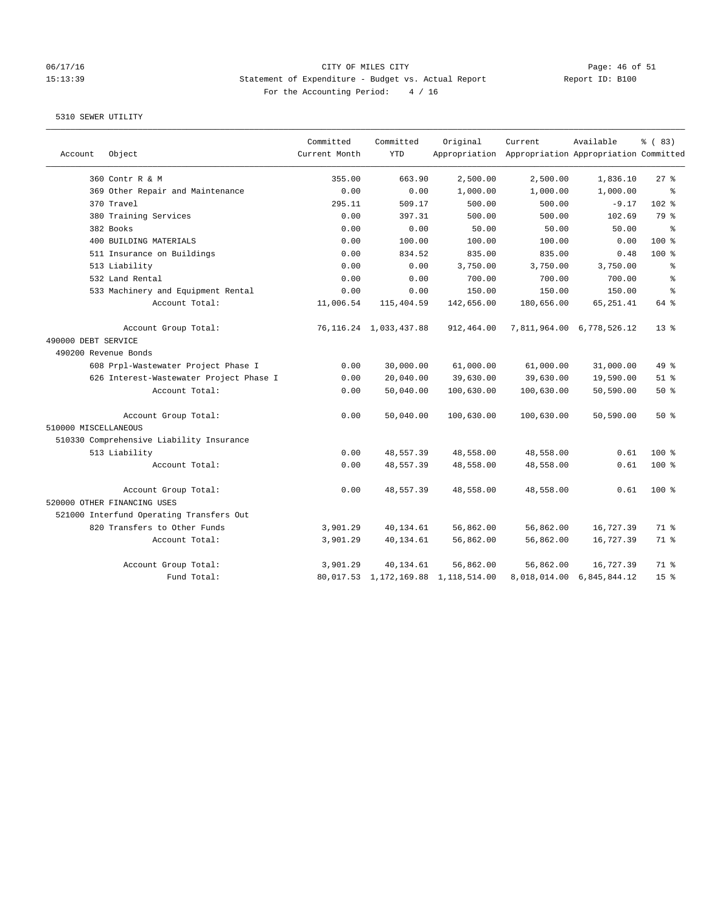# 06/17/16 Page: 46 of 51 15:13:39 Statement of Expenditure - Budget vs. Actual Report Changer Report ID: B100 For the Accounting Period: 4 / 16

|                      |                                          | Committed     | Committed                   | Original                            | Current                                             | Available                 | % (83)          |
|----------------------|------------------------------------------|---------------|-----------------------------|-------------------------------------|-----------------------------------------------------|---------------------------|-----------------|
| Account              | Object                                   | Current Month | <b>YTD</b>                  |                                     | Appropriation Appropriation Appropriation Committed |                           |                 |
|                      | 360 Contr R & M                          | 355.00        | 663.90                      | 2,500.00                            | 2,500.00                                            | 1,836.10                  | 27%             |
|                      | 369 Other Repair and Maintenance         | 0.00          | 0.00                        | 1,000.00                            | 1,000.00                                            | 1,000.00                  | နွ              |
|                      | 370 Travel                               | 295.11        | 509.17                      | 500.00                              | 500.00                                              | $-9.17$                   | $102$ %         |
|                      | 380 Training Services                    | 0.00          | 397.31                      | 500.00                              | 500.00                                              | 102.69                    | 79 %            |
|                      | 382 Books                                | 0.00          | 0.00                        | 50.00                               | 50.00                                               | 50.00                     | နွ              |
|                      | 400 BUILDING MATERIALS                   | 0.00          | 100.00                      | 100.00                              | 100.00                                              | 0.00                      | $100*$          |
|                      | 511 Insurance on Buildings               | 0.00          | 834.52                      | 835.00                              | 835.00                                              | 0.48                      | 100 %           |
|                      | 513 Liability                            | 0.00          | 0.00                        | 3,750.00                            | 3,750.00                                            | 3,750.00                  | နွ              |
|                      | 532 Land Rental                          | 0.00          | 0.00                        | 700.00                              | 700.00                                              | 700.00                    | ి               |
|                      | 533 Machinery and Equipment Rental       | 0.00          | 0.00                        | 150.00                              | 150.00                                              | 150.00                    | $\approx$       |
|                      | Account Total:                           | 11,006.54     | 115,404.59                  | 142,656.00                          | 180,656.00                                          | 65, 251.41                | 64 %            |
|                      | Account Group Total:                     |               | 76, 116. 24 1, 033, 437. 88 | 912,464.00                          |                                                     | 7,811,964.00 6,778,526.12 | $13*$           |
| 490000 DEBT SERVICE  |                                          |               |                             |                                     |                                                     |                           |                 |
| 490200 Revenue Bonds |                                          |               |                             |                                     |                                                     |                           |                 |
|                      | 608 Prpl-Wastewater Project Phase I      | 0.00          | 30,000.00                   | 61,000.00                           | 61,000.00                                           | 31,000.00                 | 49.8            |
|                      | 626 Interest-Wastewater Project Phase I  | 0.00          | 20,040.00                   | 39,630.00                           | 39,630.00                                           | 19,590.00                 | $51$ $%$        |
|                      | Account Total:                           | 0.00          | 50,040.00                   | 100,630.00                          | 100,630.00                                          | 50,590.00                 | 50%             |
|                      | Account Group Total:                     | 0.00          | 50,040.00                   | 100,630.00                          | 100,630.00                                          | 50,590.00                 | 50%             |
| 510000 MISCELLANEOUS |                                          |               |                             |                                     |                                                     |                           |                 |
|                      | 510330 Comprehensive Liability Insurance |               |                             |                                     |                                                     |                           |                 |
|                      | 513 Liability                            | 0.00          | 48,557.39                   | 48,558.00                           | 48,558.00                                           | 0.61                      | $100$ %         |
|                      | Account Total:                           | 0.00          | 48,557.39                   | 48,558.00                           | 48,558.00                                           | 0.61                      | 100 %           |
|                      | Account Group Total:                     | 0.00          | 48,557.39                   | 48,558.00                           | 48,558.00                                           | 0.61                      | $100$ %         |
|                      | 520000 OTHER FINANCING USES              |               |                             |                                     |                                                     |                           |                 |
|                      | 521000 Interfund Operating Transfers Out |               |                             |                                     |                                                     |                           |                 |
|                      | 820 Transfers to Other Funds             | 3,901.29      | 40,134.61                   | 56,862.00                           | 56,862.00                                           | 16,727.39                 | 71 %            |
|                      | Account Total:                           | 3,901.29      | 40,134.61                   | 56,862.00                           | 56,862.00                                           | 16,727.39                 | 71 %            |
|                      | Account Group Total:                     | 3,901.29      | 40,134.61                   | 56,862.00                           | 56,862.00                                           | 16,727.39                 | 71 %            |
|                      | Fund Total:                              |               |                             | 80,017.53 1,172,169.88 1,118,514.00 |                                                     | 8,018,014.00 6,845,844.12 | 15 <sup>8</sup> |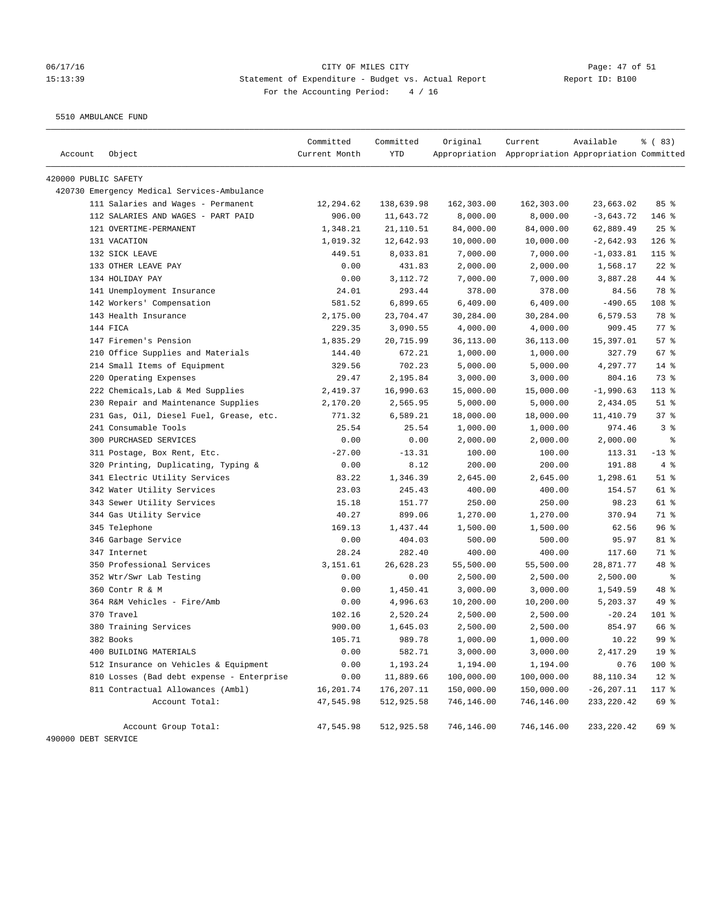## 06/17/16 Page: 47 of 51 15:13:39 Statement of Expenditure - Budget vs. Actual Report Changer Report ID: B100 For the Accounting Period: 4 / 16

5510 AMBULANCE FUND

|                      |                                             | Committed     | Committed  | Original   | Current                                             | Available     | % (83)          |
|----------------------|---------------------------------------------|---------------|------------|------------|-----------------------------------------------------|---------------|-----------------|
| Account              | Object                                      | Current Month | <b>YTD</b> |            | Appropriation Appropriation Appropriation Committed |               |                 |
| 420000 PUBLIC SAFETY |                                             |               |            |            |                                                     |               |                 |
|                      | 420730 Emergency Medical Services-Ambulance |               |            |            |                                                     |               |                 |
|                      | 111 Salaries and Wages - Permanent          | 12,294.62     | 138,639.98 | 162,303.00 | 162,303.00                                          | 23,663.02     | 85%             |
|                      | 112 SALARIES AND WAGES - PART PAID          | 906.00        | 11,643.72  | 8,000.00   | 8,000.00                                            | $-3,643.72$   | 146 %           |
|                      | 121 OVERTIME-PERMANENT                      | 1,348.21      | 21,110.51  | 84,000.00  | 84,000.00                                           | 62,889.49     | $25$ %          |
|                      | 131 VACATION                                | 1,019.32      | 12,642.93  | 10,000.00  | 10,000.00                                           | $-2,642.93$   | $126$ %         |
|                      | 132 SICK LEAVE                              | 449.51        | 8,033.81   | 7,000.00   | 7,000.00                                            | $-1,033.81$   | $115$ %         |
|                      | 133 OTHER LEAVE PAY                         | 0.00          | 431.83     | 2,000.00   | 2,000.00                                            | 1,568.17      | $22$ %          |
|                      | 134 HOLIDAY PAY                             | 0.00          | 3,112.72   | 7,000.00   | 7,000.00                                            | 3,887.28      | 44 %            |
|                      | 141 Unemployment Insurance                  | 24.01         | 293.44     | 378.00     | 378.00                                              | 84.56         | 78 %            |
|                      | 142 Workers' Compensation                   | 581.52        | 6,899.65   | 6,409.00   | 6,409.00                                            | $-490.65$     | 108 %           |
|                      | 143 Health Insurance                        | 2,175.00      | 23,704.47  | 30,284.00  | 30,284.00                                           | 6,579.53      | 78 %            |
|                      | 144 FICA                                    | 229.35        | 3,090.55   | 4,000.00   | 4,000.00                                            | 909.45        | 77 %            |
|                      | 147 Firemen's Pension                       | 1,835.29      | 20,715.99  | 36,113.00  | 36,113.00                                           | 15,397.01     | 57%             |
|                      | 210 Office Supplies and Materials           | 144.40        | 672.21     | 1,000.00   | 1,000.00                                            | 327.79        | 67 %            |
|                      | 214 Small Items of Equipment                | 329.56        | 702.23     | 5,000.00   | 5,000.00                                            | 4,297.77      | $14$ %          |
|                      | 220 Operating Expenses                      | 29.47         | 2,195.84   | 3,000.00   | 3,000.00                                            | 804.16        | 73 %            |
|                      | 222 Chemicals, Lab & Med Supplies           | 2,419.37      | 16,990.63  | 15,000.00  | 15,000.00                                           | $-1,990.63$   | $113*$          |
|                      | 230 Repair and Maintenance Supplies         | 2,170.20      | 2,565.95   | 5,000.00   | 5,000.00                                            | 2,434.05      | $51$ %          |
|                      | 231 Gas, Oil, Diesel Fuel, Grease, etc.     | 771.32        | 6,589.21   | 18,000.00  | 18,000.00                                           | 11,410.79     | 37%             |
|                      | 241 Consumable Tools                        | 25.54         | 25.54      | 1,000.00   | 1,000.00                                            | 974.46        | 3 <sup>8</sup>  |
|                      | 300 PURCHASED SERVICES                      | 0.00          | 0.00       | 2,000.00   | 2,000.00                                            | 2,000.00      | $\epsilon$      |
|                      | 311 Postage, Box Rent, Etc.                 | $-27.00$      | $-13.31$   | 100.00     | 100.00                                              | 113.31        | $-13$ %         |
|                      | 320 Printing, Duplicating, Typing &         | 0.00          | 8.12       | 200.00     | 200.00                                              | 191.88        | 4%              |
|                      | 341 Electric Utility Services               | 83.22         | 1,346.39   | 2,645.00   | 2,645.00                                            | 1,298.61      | $51$ %          |
|                      | 342 Water Utility Services                  | 23.03         | 245.43     | 400.00     | 400.00                                              | 154.57        | 61 %            |
|                      | 343 Sewer Utility Services                  | 15.18         | 151.77     | 250.00     | 250.00                                              | 98.23         | 61 %            |
|                      | 344 Gas Utility Service                     | 40.27         | 899.06     | 1,270.00   | 1,270.00                                            | 370.94        | 71 %            |
|                      | 345 Telephone                               | 169.13        | 1,437.44   | 1,500.00   | 1,500.00                                            | 62.56         | 96%             |
|                      | 346 Garbage Service                         | 0.00          | 404.03     | 500.00     | 500.00                                              | 95.97         | 81 %            |
|                      | 347 Internet                                | 28.24         | 282.40     | 400.00     | 400.00                                              | 117.60        | 71 %            |
|                      | 350 Professional Services                   | 3,151.61      | 26,628.23  | 55,500.00  | 55,500.00                                           | 28,871.77     | 48 %            |
|                      | 352 Wtr/Swr Lab Testing                     | 0.00          | 0.00       | 2,500.00   | 2,500.00                                            | 2,500.00      | နွ              |
|                      | 360 Contr R & M                             | 0.00          | 1,450.41   | 3,000.00   | 3,000.00                                            | 1,549.59      | 48 %            |
|                      | 364 R&M Vehicles - Fire/Amb                 | 0.00          | 4,996.63   | 10,200.00  | 10,200.00                                           | 5,203.37      | 49 %            |
|                      | 370 Travel                                  | 102.16        | 2,520.24   | 2,500.00   | 2,500.00                                            | $-20.24$      | 101 %           |
|                      | 380 Training Services                       | 900.00        | 1,645.03   | 2,500.00   | 2,500.00                                            | 854.97        | 66 %            |
|                      | 382 Books                                   | 105.71        | 989.78     | 1,000.00   | 1,000.00                                            | 10.22         | 99 <sup>8</sup> |
|                      | 400 BUILDING MATERIALS                      | 0.00          | 582.71     | 3,000.00   | 3,000.00                                            | 2,417.29      | 19 <sup>°</sup> |
|                      | 512 Insurance on Vehicles & Equipment       | 0.00          | 1,193.24   | 1,194.00   | 1,194.00                                            | 0.76          | 100 %           |
|                      | 810 Losses (Bad debt expense - Enterprise   | 0.00          | 11,889.66  | 100,000.00 | 100,000.00                                          | 88,110.34     | $12*$           |
|                      | 811 Contractual Allowances (Ambl)           | 16,201.74     | 176,207.11 | 150,000.00 | 150,000.00                                          | $-26, 207.11$ | 117 %           |
|                      | Account Total:                              | 47,545.98     | 512,925.58 | 746,146.00 | 746,146.00                                          | 233, 220.42   | 69 %            |
|                      | Account Group Total:                        | 47,545.98     | 512,925.58 | 746,146.00 | 746,146.00                                          | 233, 220.42   | 69 %            |
| 490000 DEBT SERVICE  |                                             |               |            |            |                                                     |               |                 |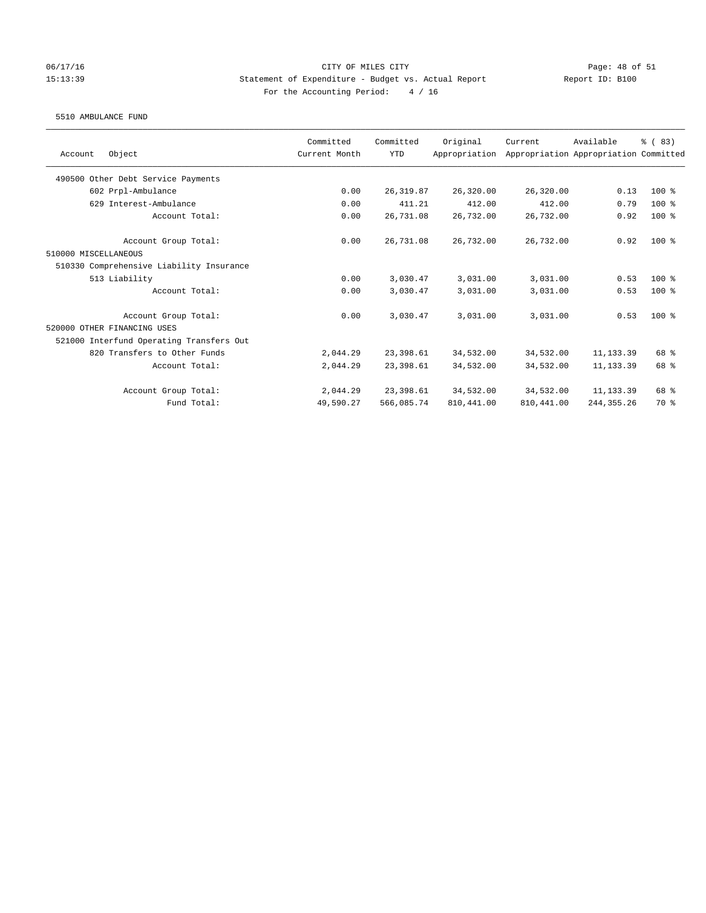### 06/17/16 Page: 48 of 51 15:13:39 Statement of Expenditure - Budget vs. Actual Report Report ID: B100 For the Accounting Period: 4 / 16

#### 5510 AMBULANCE FUND

|                                          | Committed     | Committed  | Original      | Current     | Available                             | % (83) |
|------------------------------------------|---------------|------------|---------------|-------------|---------------------------------------|--------|
| Object<br>Account                        | Current Month | <b>YTD</b> | Appropriation |             | Appropriation Appropriation Committed |        |
| 490500 Other Debt Service Payments       |               |            |               |             |                                       |        |
| 602 Prpl-Ambulance                       | 0.00          | 26, 319.87 | 26,320.00     | 26,320.00   | 0.13                                  | 100 %  |
| 629 Interest-Ambulance                   | 0.00          | 411.21     | 412.00        | 412.00      | 0.79                                  | 100 %  |
| Account Total:                           | 0.00          | 26,731.08  | 26,732.00     | 26,732.00   | 0.92                                  | 100 %  |
| Account Group Total:                     | 0.00          | 26,731.08  | 26,732.00     | 26,732.00   | 0.92                                  | $100*$ |
| 510000 MISCELLANEOUS                     |               |            |               |             |                                       |        |
| 510330 Comprehensive Liability Insurance |               |            |               |             |                                       |        |
| 513 Liability                            | 0.00          | 3,030.47   | 3,031.00      | 3,031.00    | 0.53                                  | $100*$ |
| Account Total:                           | 0.00          | 3,030.47   | 3,031.00      | 3,031.00    | 0.53                                  | $100*$ |
| Account Group Total:                     | 0.00          | 3,030.47   | 3,031.00      | 3,031.00    | 0.53                                  | $100*$ |
| 520000 OTHER FINANCING USES              |               |            |               |             |                                       |        |
| 521000 Interfund Operating Transfers Out |               |            |               |             |                                       |        |
| 820 Transfers to Other Funds             | 2,044.29      | 23,398.61  | 34,532.00     | 34,532.00   | 11, 133.39                            | 68 %   |
| Account Total:                           | 2,044.29      | 23,398.61  | 34,532.00     | 34,532.00   | 11, 133.39                            | 68 %   |
| Account Group Total:                     | 2,044.29      | 23,398.61  | 34,532.00     | 34,532.00   | 11,133.39                             | 68 %   |
| Fund Total:                              | 49,590.27     | 566,085.74 | 810, 441.00   | 810, 441.00 | 244, 355. 26                          | 70 %   |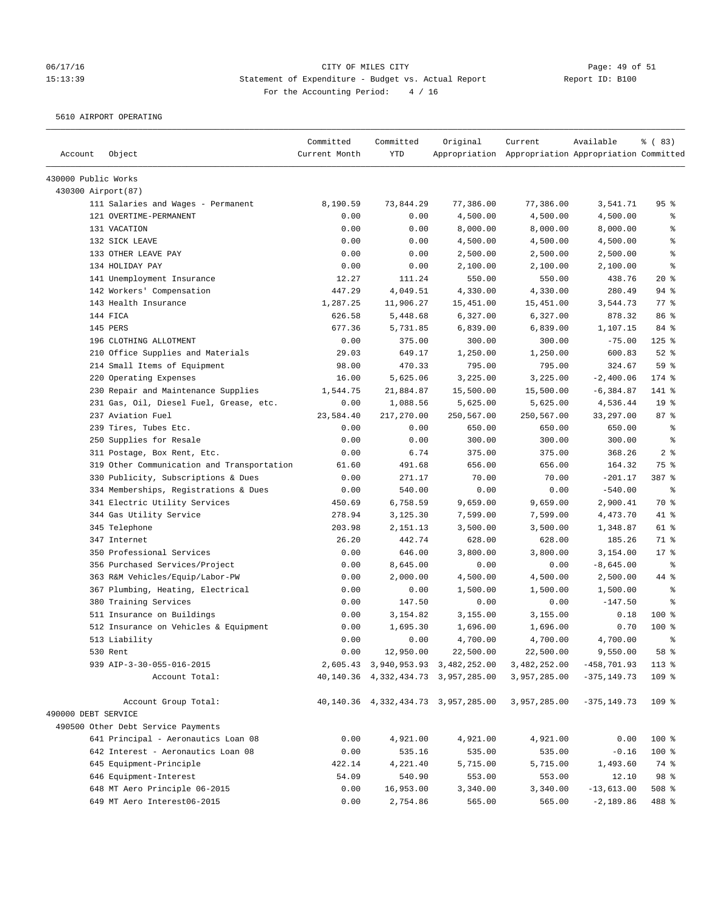# 06/17/16 Page: 49 of 51 15:13:39 Statement of Expenditure - Budget vs. Actual Report Changer Report ID: B100 For the Accounting Period: 4 / 16

5610 AIRPORT OPERATING

| Account             | Object                                     | Committed<br>Current Month | Committed<br><b>YTD</b> | Original                                    | Current<br>Appropriation Appropriation Appropriation Committed | Available      | % (83)                   |
|---------------------|--------------------------------------------|----------------------------|-------------------------|---------------------------------------------|----------------------------------------------------------------|----------------|--------------------------|
| 430000 Public Works |                                            |                            |                         |                                             |                                                                |                |                          |
| 430300 Airport(87)  |                                            |                            |                         |                                             |                                                                |                |                          |
|                     | 111 Salaries and Wages - Permanent         | 8,190.59                   | 73,844.29               | 77,386.00                                   | 77,386.00                                                      | 3,541.71       | 95%                      |
|                     | 121 OVERTIME-PERMANENT                     | 0.00                       | 0.00                    | 4,500.00                                    | 4,500.00                                                       | 4,500.00       | ್ಠಿ                      |
|                     | 131 VACATION                               | 0.00                       | 0.00                    | 8,000.00                                    | 8,000.00                                                       | 8,000.00       | န့                       |
|                     | 132 SICK LEAVE                             | 0.00                       | 0.00                    | 4,500.00                                    | 4,500.00                                                       | 4,500.00       | る                        |
|                     | 133 OTHER LEAVE PAY                        | 0.00                       | 0.00                    | 2,500.00                                    | 2,500.00                                                       | 2,500.00       | $\epsilon$               |
|                     | 134 HOLIDAY PAY                            | 0.00                       | 0.00                    | 2,100.00                                    | 2,100.00                                                       | 2,100.00       | နွ                       |
|                     | 141 Unemployment Insurance                 | 12.27                      | 111.24                  | 550.00                                      | 550.00                                                         | 438.76         | 20%                      |
|                     | 142 Workers' Compensation                  | 447.29                     | 4,049.51                | 4,330.00                                    | 4,330.00                                                       | 280.49         | $94$ %                   |
|                     | 143 Health Insurance                       | 1,287.25                   | 11,906.27               | 15,451.00                                   | 15,451.00                                                      | 3,544.73       | 77%                      |
|                     | 144 FICA                                   | 626.58                     | 5,448.68                | 6,327.00                                    | 6,327.00                                                       | 878.32         | 86 %                     |
|                     | 145 PERS                                   | 677.36                     | 5,731.85                | 6,839.00                                    | 6,839.00                                                       | 1,107.15       | 84 %                     |
|                     | 196 CLOTHING ALLOTMENT                     | 0.00                       | 375.00                  | 300.00                                      | 300.00                                                         | $-75.00$       | $125$ %                  |
|                     | 210 Office Supplies and Materials          | 29.03                      | 649.17                  | 1,250.00                                    | 1,250.00                                                       | 600.83         | $52$ $%$                 |
|                     | 214 Small Items of Equipment               | 98.00                      | 470.33                  | 795.00                                      | 795.00                                                         | 324.67         | 59 %                     |
|                     | 220 Operating Expenses                     | 16.00                      | 5,625.06                | 3,225.00                                    | 3,225.00                                                       | $-2,400.06$    | $174$ %                  |
|                     | 230 Repair and Maintenance Supplies        | 1,544.75                   | 21,884.87               | 15,500.00                                   | 15,500.00                                                      | $-6, 384.87$   | 141 %                    |
|                     | 231 Gas, Oil, Diesel Fuel, Grease, etc.    | 0.00                       | 1,088.56                | 5,625.00                                    | 5,625.00                                                       | 4,536.44       | 19 <sup>°</sup>          |
|                     | 237 Aviation Fuel                          | 23,584.40                  | 217,270.00              | 250,567.00                                  | 250,567.00                                                     | 33,297.00      | 87%                      |
|                     | 239 Tires, Tubes Etc.                      | 0.00                       | 0.00                    | 650.00                                      | 650.00                                                         | 650.00         | $\epsilon$               |
|                     | 250 Supplies for Resale                    | 0.00                       | 0.00                    | 300.00                                      | 300.00                                                         | 300.00         | $\,{}^{\circ}\!\!\delta$ |
|                     | 311 Postage, Box Rent, Etc.                | 0.00                       | 6.74                    | 375.00                                      | 375.00                                                         | 368.26         | 2 <sup>8</sup>           |
|                     | 319 Other Communication and Transportation | 61.60                      | 491.68                  | 656.00                                      | 656.00                                                         | 164.32         | 75 %                     |
|                     | 330 Publicity, Subscriptions & Dues        | 0.00                       | 271.17                  | 70.00                                       | 70.00                                                          | $-201.17$      | 387 %                    |
|                     | 334 Memberships, Registrations & Dues      | 0.00                       | 540.00                  | 0.00                                        | 0.00                                                           | $-540.00$      | ್ಠಿ                      |
|                     | 341 Electric Utility Services              | 450.69                     | 6,758.59                | 9,659.00                                    | 9,659.00                                                       | 2,900.41       | 70 %                     |
|                     | 344 Gas Utility Service                    | 278.94                     | 3,125.30                | 7,599.00                                    | 7,599.00                                                       | 4,473.70       | 41 %                     |
|                     | 345 Telephone                              | 203.98                     | 2,151.13                | 3,500.00                                    | 3,500.00                                                       | 1,348.87       | 61 %                     |
|                     | 347 Internet                               | 26.20                      | 442.74                  | 628.00                                      | 628.00                                                         | 185.26         | 71 %                     |
|                     | 350 Professional Services                  | 0.00                       | 646.00                  | 3,800.00                                    | 3,800.00                                                       | 3,154.00       | 17.8                     |
|                     | 356 Purchased Services/Project             | 0.00                       | 8,645.00                | 0.00                                        | 0.00                                                           | $-8,645.00$    | ႜ                        |
|                     | 363 R&M Vehicles/Equip/Labor-PW            | 0.00                       | 2,000.00                | 4,500.00                                    | 4,500.00                                                       | 2,500.00       | 44 %                     |
|                     | 367 Plumbing, Heating, Electrical          | 0.00                       | 0.00                    | 1,500.00                                    | 1,500.00                                                       | 1,500.00       | $\epsilon$               |
|                     | 380 Training Services                      | 0.00                       | 147.50                  | 0.00                                        | 0.00                                                           | $-147.50$      | る                        |
|                     | 511 Insurance on Buildings                 | 0.00                       | 3,154.82                | 3,155.00                                    | 3,155.00                                                       | 0.18           | 100 %                    |
|                     | 512 Insurance on Vehicles & Equipment      | 0.00                       | 1,695.30                | 1,696.00                                    | 1,696.00                                                       | 0.70           | $100*$                   |
|                     | 513 Liability                              | 0.00                       | 0.00                    | 4,700.00                                    | 4,700.00                                                       | 4,700.00       | နွ                       |
|                     | 530 Rent                                   | 0.00                       | 12,950.00               | 22,500.00                                   | 22,500.00                                                      | 9,550.00       | 58 %                     |
|                     | 939 AIP-3-30-055-016-2015                  |                            |                         | 2,605.43 3,940,953.93 3,482,252.00          | 3,482,252.00                                                   | $-458,701.93$  | 113 %                    |
|                     | Account Total:                             |                            |                         | 40, 140. 36 4, 332, 434. 73 3, 957, 285. 00 | 3,957,285.00                                                   | $-375, 149.73$ | 109 %                    |
| 490000 DEBT SERVICE | Account Group Total:                       |                            |                         | 40, 140. 36 4, 332, 434. 73 3, 957, 285. 00 | 3,957,285.00                                                   | $-375, 149.73$ | 109 %                    |
|                     | 490500 Other Debt Service Payments         |                            |                         |                                             |                                                                |                |                          |
|                     | 641 Principal - Aeronautics Loan 08        | 0.00                       | 4,921.00                | 4,921.00                                    | 4,921.00                                                       | 0.00           | 100 %                    |
|                     | 642 Interest - Aeronautics Loan 08         | 0.00                       | 535.16                  | 535.00                                      | 535.00                                                         | $-0.16$        | 100 %                    |
|                     | 645 Equipment-Principle                    | 422.14                     | 4,221.40                | 5,715.00                                    | 5,715.00                                                       | 1,493.60       | 74 %                     |
|                     | 646 Equipment-Interest                     | 54.09                      | 540.90                  | 553.00                                      | 553.00                                                         | 12.10          | 98 %                     |
|                     | 648 MT Aero Principle 06-2015              | 0.00                       | 16,953.00               | 3,340.00                                    | 3,340.00                                                       | $-13,613.00$   | $508$ %                  |
|                     | 649 MT Aero Interest06-2015                | 0.00                       | 2,754.86                | 565.00                                      | 565.00                                                         | $-2,189.86$    | 488 %                    |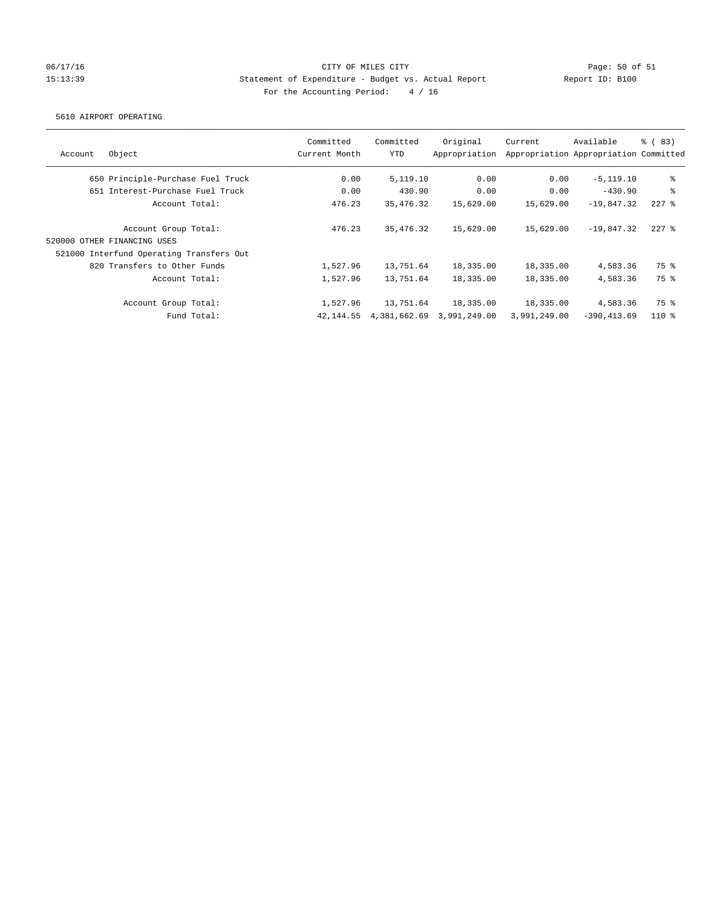# 06/17/16 Page: 50 of 51 15:13:39 Statement of Expenditure - Budget vs. Actual Report Report ID: B100 For the Accounting Period: 4 / 16

#### 5610 AIRPORT OPERATING

| Account | Object                                   | Committed<br>Current Month | Committed<br><b>YTD</b> | Original<br>Appropriation | Current      | Available<br>Appropriation Appropriation Committed | % (83)  |
|---------|------------------------------------------|----------------------------|-------------------------|---------------------------|--------------|----------------------------------------------------|---------|
|         | 650 Principle-Purchase Fuel Truck        | 0.00                       | 5,119.10                | 0.00                      | 0.00         | $-5, 119.10$                                       | ႜ       |
|         | 651 Interest-Purchase Fuel Truck         | 0.00                       | 430.90                  | 0.00                      | 0.00         | $-430.90$                                          | နွ      |
|         | Account Total:                           | 476.23                     | 35, 476. 32             | 15,629.00                 | 15,629.00    | $-19.847.32$                                       | $227$ % |
|         | Account Group Total:                     | 476.23                     | 35, 476. 32             | 15,629.00                 | 15,629.00    | $-19.847.32$                                       | $227$ % |
|         | 520000 OTHER FINANCING USES              |                            |                         |                           |              |                                                    |         |
|         | 521000 Interfund Operating Transfers Out |                            |                         |                           |              |                                                    |         |
|         | 820 Transfers to Other Funds             | 1,527.96                   | 13,751.64               | 18,335.00                 | 18,335.00    | 4,583.36                                           | 75 %    |
|         | Account Total:                           | 1,527.96                   | 13,751.64               | 18,335.00                 | 18,335.00    | 4,583.36                                           | 75 %    |
|         | Account Group Total:                     | 1,527.96                   | 13,751.64               | 18,335.00                 | 18,335.00    | 4,583.36                                           | 75 %    |
|         | Fund Total:                              | 42,144.55                  | 4,381,662.69            | 3,991,249.00              | 3,991,249.00 | $-390.413.69$                                      | $110*$  |